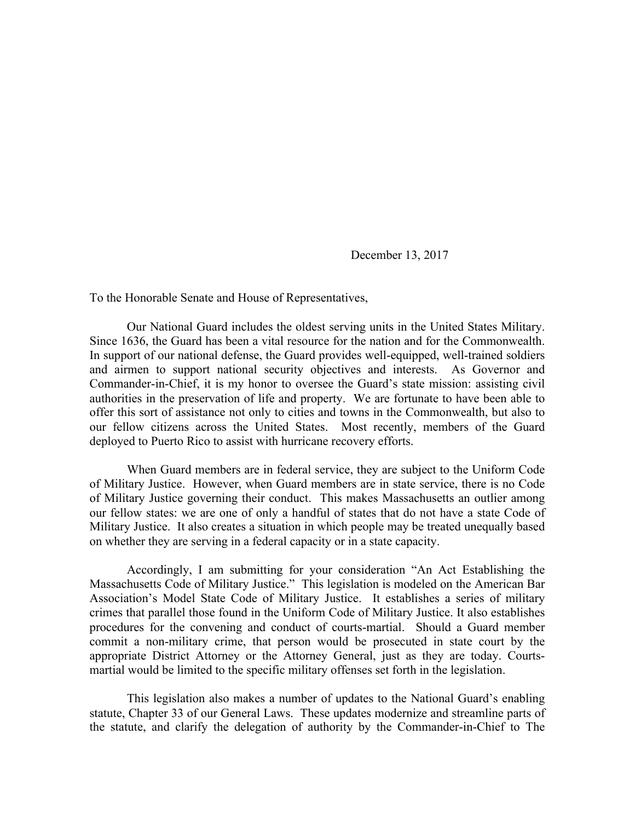December 13, 2017

To the Honorable Senate and House of Representatives,

Our National Guard includes the oldest serving units in the United States Military. Since 1636, the Guard has been a vital resource for the nation and for the Commonwealth. In support of our national defense, the Guard provides well-equipped, well-trained soldiers and airmen to support national security objectives and interests. As Governor and Commander-in-Chief, it is my honor to oversee the Guard's state mission: assisting civil authorities in the preservation of life and property. We are fortunate to have been able to offer this sort of assistance not only to cities and towns in the Commonwealth, but also to our fellow citizens across the United States. Most recently, members of the Guard deployed to Puerto Rico to assist with hurricane recovery efforts.

When Guard members are in federal service, they are subject to the Uniform Code of Military Justice. However, when Guard members are in state service, there is no Code of Military Justice governing their conduct. This makes Massachusetts an outlier among our fellow states: we are one of only a handful of states that do not have a state Code of Military Justice. It also creates a situation in which people may be treated unequally based on whether they are serving in a federal capacity or in a state capacity.

Accordingly, I am submitting for your consideration "An Act Establishing the Massachusetts Code of Military Justice." This legislation is modeled on the American Bar Association's Model State Code of Military Justice. It establishes a series of military crimes that parallel those found in the Uniform Code of Military Justice. It also establishes procedures for the convening and conduct of courts-martial. Should a Guard member commit a non-military crime, that person would be prosecuted in state court by the appropriate District Attorney or the Attorney General, just as they are today. Courtsmartial would be limited to the specific military offenses set forth in the legislation.

This legislation also makes a number of updates to the National Guard's enabling statute, Chapter 33 of our General Laws. These updates modernize and streamline parts of the statute, and clarify the delegation of authority by the Commander-in-Chief to The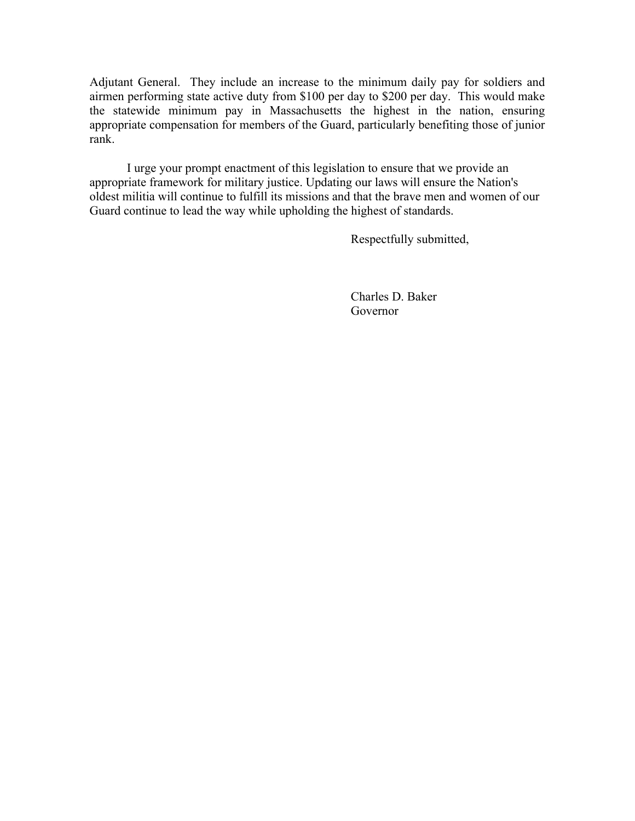Adjutant General. They include an increase to the minimum daily pay for soldiers and airmen performing state active duty from \$100 per day to \$200 per day. This would make the statewide minimum pay in Massachusetts the highest in the nation, ensuring appropriate compensation for members of the Guard, particularly benefiting those of junior rank.

I urge your prompt enactment of this legislation to ensure that we provide an appropriate framework for military justice. Updating our laws will ensure the Nation's oldest militia will continue to fulfill its missions and that the brave men and women of our Guard continue to lead the way while upholding the highest of standards.

Respectfully submitted,

Charles D. Baker Governor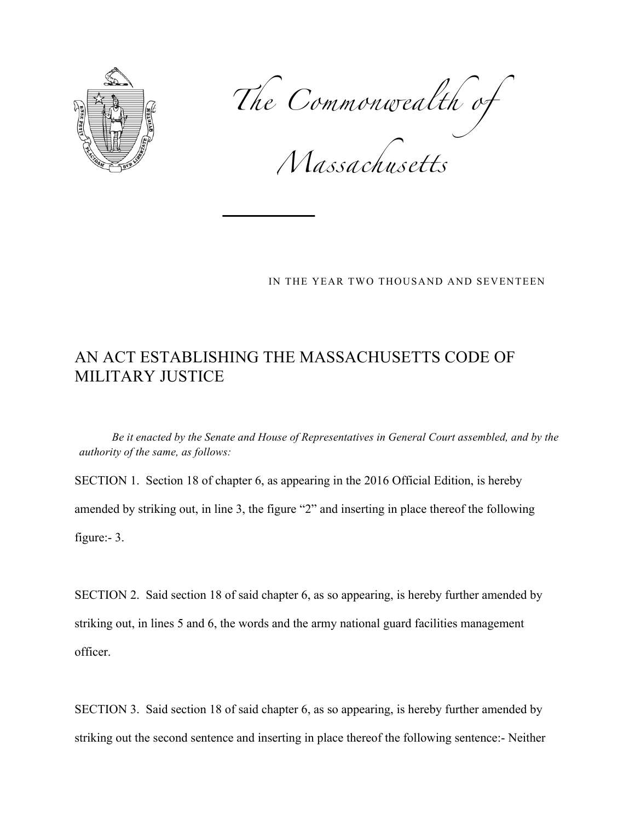

*The Commonwealth of* 

*Massachusetts*

IN THE YEAR TWO THOUSAND AND SEVENTEEN

# AN ACT ESTABLISHING THE MASSACHUSETTS CODE OF MILITARY JUSTICE

*Be it enacted by the Senate and House of Representatives in General Court assembled, and by the authority of the same, as follows:*

SECTION 1. Section 18 of chapter 6, as appearing in the 2016 Official Edition, is hereby amended by striking out, in line 3, the figure "2" and inserting in place thereof the following figure:- 3.

SECTION 2. Said section 18 of said chapter 6, as so appearing, is hereby further amended by striking out, in lines 5 and 6, the words and the army national guard facilities management officer.

SECTION 3. Said section 18 of said chapter 6, as so appearing, is hereby further amended by striking out the second sentence and inserting in place thereof the following sentence:- Neither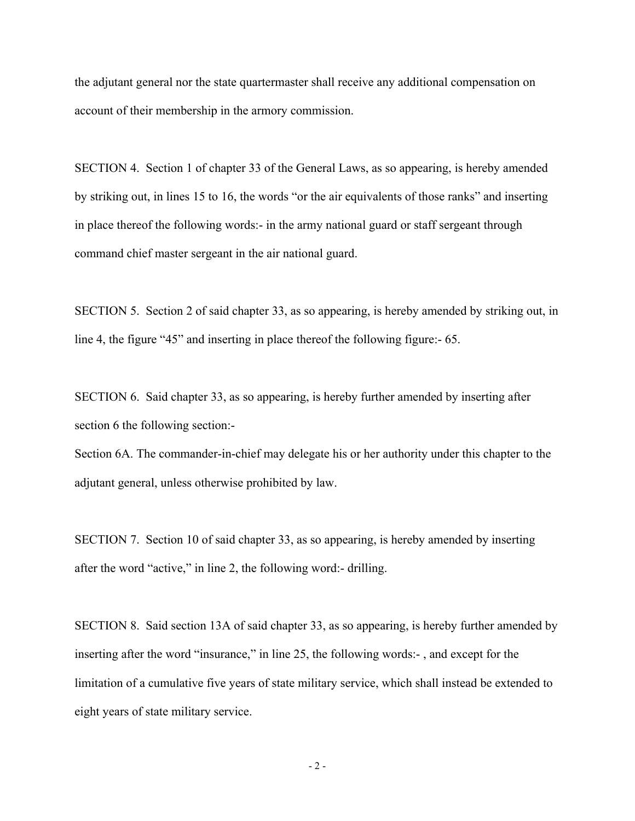the adjutant general nor the state quartermaster shall receive any additional compensation on account of their membership in the armory commission.

SECTION 4. Section 1 of chapter 33 of the General Laws, as so appearing, is hereby amended by striking out, in lines 15 to 16, the words "or the air equivalents of those ranks" and inserting in place thereof the following words:- in the army national guard or staff sergeant through command chief master sergeant in the air national guard.

SECTION 5. Section 2 of said chapter 33, as so appearing, is hereby amended by striking out, in line 4, the figure "45" and inserting in place thereof the following figure:- 65.

SECTION 6. Said chapter 33, as so appearing, is hereby further amended by inserting after section 6 the following section:-

Section 6A. The commander-in-chief may delegate his or her authority under this chapter to the adjutant general, unless otherwise prohibited by law.

SECTION 7. Section 10 of said chapter 33, as so appearing, is hereby amended by inserting after the word "active," in line 2, the following word:- drilling.

SECTION 8. Said section 13A of said chapter 33, as so appearing, is hereby further amended by inserting after the word "insurance," in line 25, the following words:- , and except for the limitation of a cumulative five years of state military service, which shall instead be extended to eight years of state military service.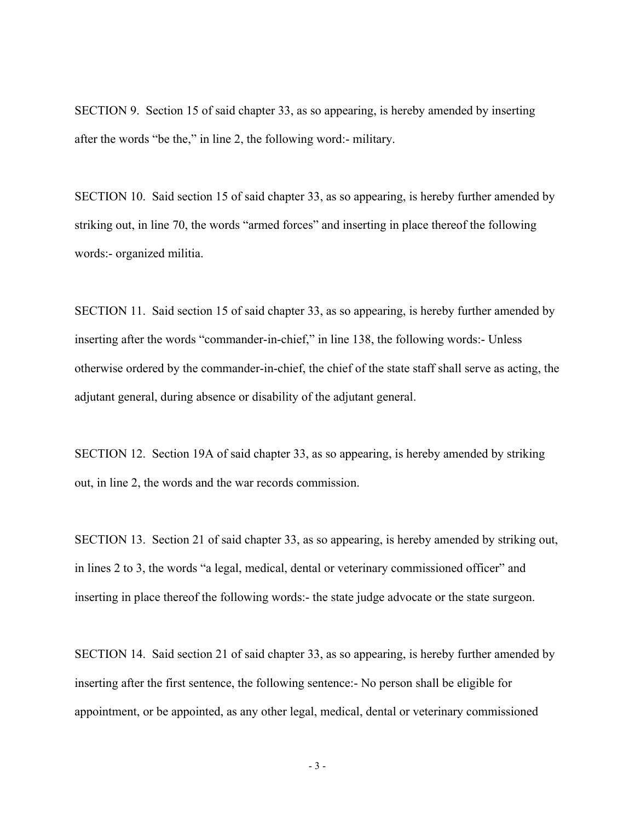SECTION 9. Section 15 of said chapter 33, as so appearing, is hereby amended by inserting after the words "be the," in line 2, the following word:- military.

SECTION 10. Said section 15 of said chapter 33, as so appearing, is hereby further amended by striking out, in line 70, the words "armed forces" and inserting in place thereof the following words:- organized militia.

SECTION 11. Said section 15 of said chapter 33, as so appearing, is hereby further amended by inserting after the words "commander-in-chief," in line 138, the following words:- Unless otherwise ordered by the commander-in-chief, the chief of the state staff shall serve as acting, the adjutant general, during absence or disability of the adjutant general.

SECTION 12. Section 19A of said chapter 33, as so appearing, is hereby amended by striking out, in line 2, the words and the war records commission.

SECTION 13. Section 21 of said chapter 33, as so appearing, is hereby amended by striking out, in lines 2 to 3, the words "a legal, medical, dental or veterinary commissioned officer" and inserting in place thereof the following words:- the state judge advocate or the state surgeon.

SECTION 14. Said section 21 of said chapter 33, as so appearing, is hereby further amended by inserting after the first sentence, the following sentence:- No person shall be eligible for appointment, or be appointed, as any other legal, medical, dental or veterinary commissioned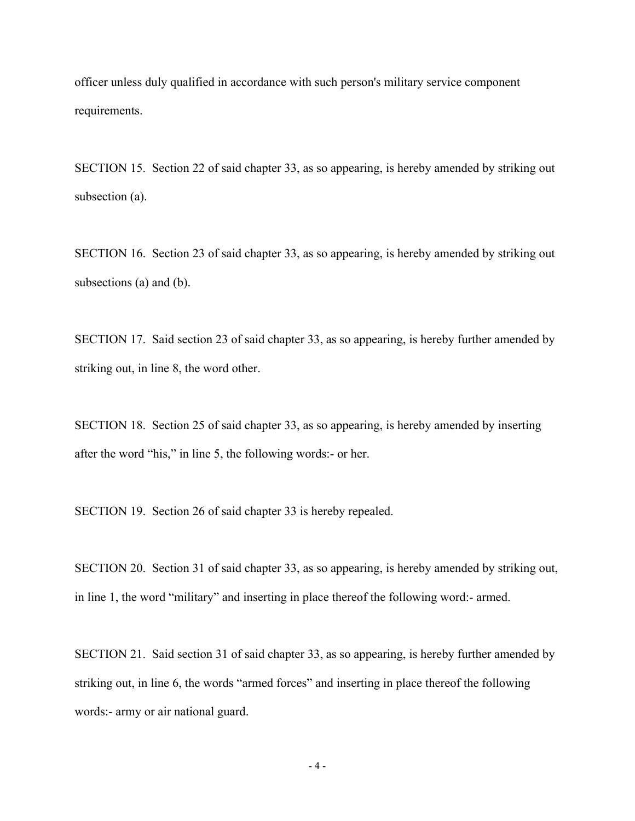officer unless duly qualified in accordance with such person's military service component requirements.

SECTION 15. Section 22 of said chapter 33, as so appearing, is hereby amended by striking out subsection (a).

SECTION 16. Section 23 of said chapter 33, as so appearing, is hereby amended by striking out subsections (a) and (b).

SECTION 17. Said section 23 of said chapter 33, as so appearing, is hereby further amended by striking out, in line 8, the word other.

SECTION 18. Section 25 of said chapter 33, as so appearing, is hereby amended by inserting after the word "his," in line 5, the following words:- or her.

SECTION 19. Section 26 of said chapter 33 is hereby repealed.

SECTION 20. Section 31 of said chapter 33, as so appearing, is hereby amended by striking out, in line 1, the word "military" and inserting in place thereof the following word:- armed.

SECTION 21. Said section 31 of said chapter 33, as so appearing, is hereby further amended by striking out, in line 6, the words "armed forces" and inserting in place thereof the following words:- army or air national guard.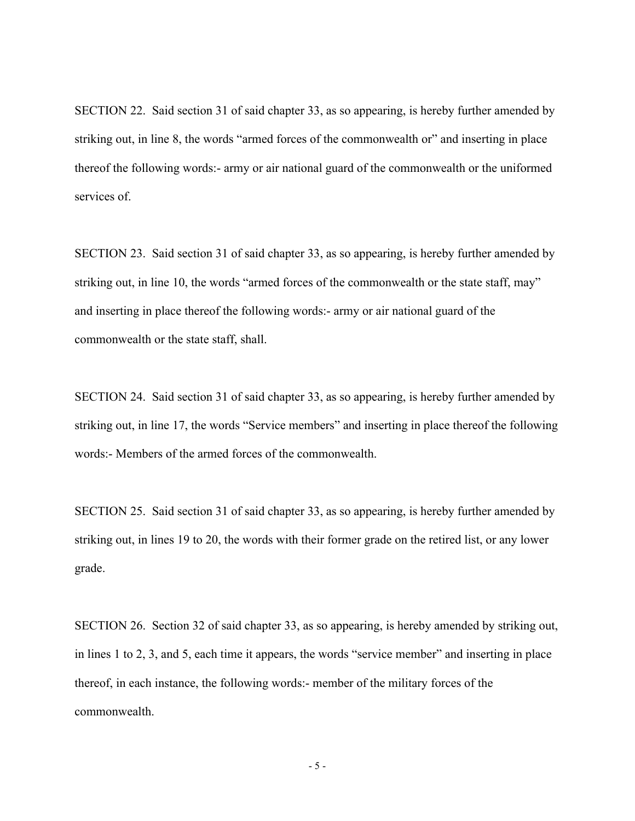SECTION 22. Said section 31 of said chapter 33, as so appearing, is hereby further amended by striking out, in line 8, the words "armed forces of the commonwealth or" and inserting in place thereof the following words:- army or air national guard of the commonwealth or the uniformed services of.

SECTION 23. Said section 31 of said chapter 33, as so appearing, is hereby further amended by striking out, in line 10, the words "armed forces of the commonwealth or the state staff, may" and inserting in place thereof the following words:- army or air national guard of the commonwealth or the state staff, shall.

SECTION 24. Said section 31 of said chapter 33, as so appearing, is hereby further amended by striking out, in line 17, the words "Service members" and inserting in place thereof the following words:- Members of the armed forces of the commonwealth.

SECTION 25. Said section 31 of said chapter 33, as so appearing, is hereby further amended by striking out, in lines 19 to 20, the words with their former grade on the retired list, or any lower grade.

SECTION 26. Section 32 of said chapter 33, as so appearing, is hereby amended by striking out, in lines 1 to 2, 3, and 5, each time it appears, the words "service member" and inserting in place thereof, in each instance, the following words:- member of the military forces of the commonwealth.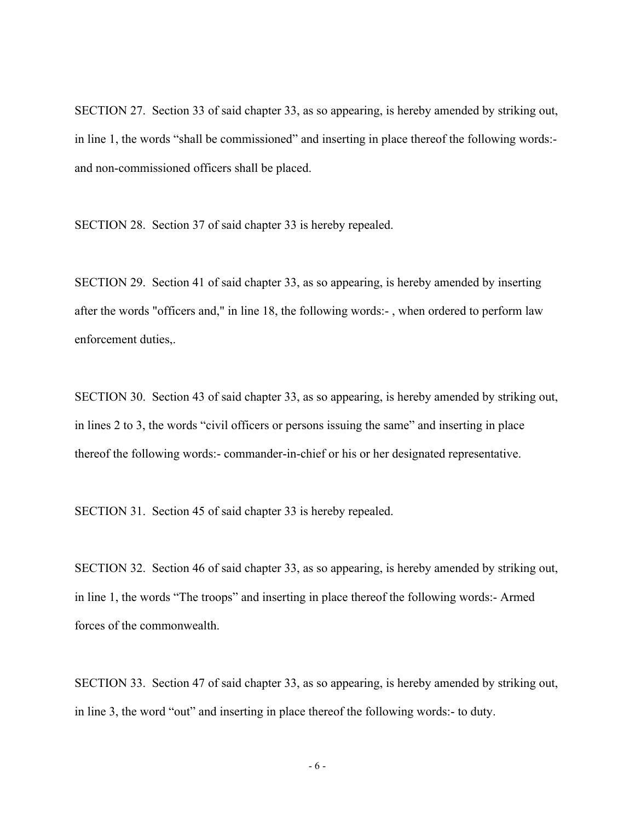SECTION 27. Section 33 of said chapter 33, as so appearing, is hereby amended by striking out, in line 1, the words "shall be commissioned" and inserting in place thereof the following words: and non-commissioned officers shall be placed.

SECTION 28. Section 37 of said chapter 33 is hereby repealed.

SECTION 29. Section 41 of said chapter 33, as so appearing, is hereby amended by inserting after the words "officers and," in line 18, the following words:- , when ordered to perform law enforcement duties,.

SECTION 30. Section 43 of said chapter 33, as so appearing, is hereby amended by striking out, in lines 2 to 3, the words "civil officers or persons issuing the same" and inserting in place thereof the following words:- commander-in-chief or his or her designated representative.

SECTION 31. Section 45 of said chapter 33 is hereby repealed.

SECTION 32. Section 46 of said chapter 33, as so appearing, is hereby amended by striking out, in line 1, the words "The troops" and inserting in place thereof the following words:- Armed forces of the commonwealth.

SECTION 33. Section 47 of said chapter 33, as so appearing, is hereby amended by striking out, in line 3, the word "out" and inserting in place thereof the following words:- to duty.

- 6 -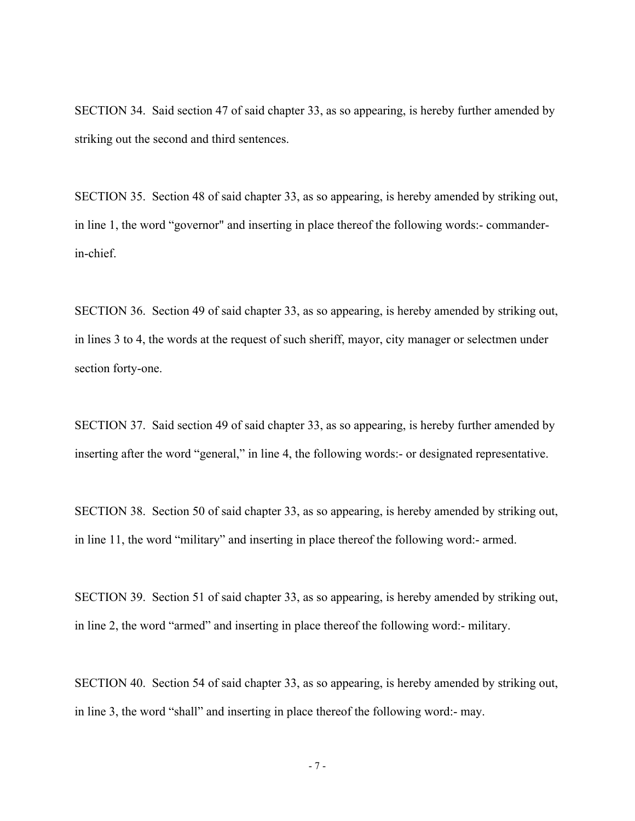SECTION 34. Said section 47 of said chapter 33, as so appearing, is hereby further amended by striking out the second and third sentences.

SECTION 35. Section 48 of said chapter 33, as so appearing, is hereby amended by striking out, in line 1, the word "governor" and inserting in place thereof the following words:- commanderin-chief.

SECTION 36. Section 49 of said chapter 33, as so appearing, is hereby amended by striking out, in lines 3 to 4, the words at the request of such sheriff, mayor, city manager or selectmen under section forty-one.

SECTION 37. Said section 49 of said chapter 33, as so appearing, is hereby further amended by inserting after the word "general," in line 4, the following words:- or designated representative.

SECTION 38. Section 50 of said chapter 33, as so appearing, is hereby amended by striking out, in line 11, the word "military" and inserting in place thereof the following word:- armed.

SECTION 39. Section 51 of said chapter 33, as so appearing, is hereby amended by striking out, in line 2, the word "armed" and inserting in place thereof the following word:- military.

SECTION 40. Section 54 of said chapter 33, as so appearing, is hereby amended by striking out, in line 3, the word "shall" and inserting in place thereof the following word:- may.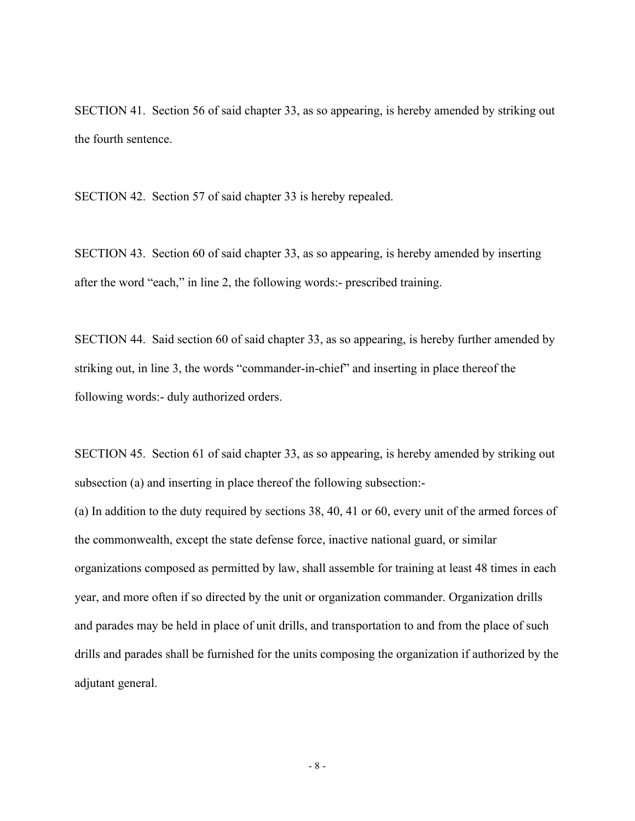SECTION 41. Section 56 of said chapter 33, as so appearing, is hereby amended by striking out the fourth sentence.

SECTION 42. Section 57 of said chapter 33 is hereby repealed.

SECTION 43. Section 60 of said chapter 33, as so appearing, is hereby amended by inserting after the word "each," in line 2, the following words:- prescribed training.

SECTION 44. Said section 60 of said chapter 33, as so appearing, is hereby further amended by striking out, in line 3, the words "commander-in-chief" and inserting in place thereof the following words:- duly authorized orders.

SECTION 45. Section 61 of said chapter 33, as so appearing, is hereby amended by striking out subsection (a) and inserting in place thereof the following subsection:-

(a) In addition to the duty required by sections 38, 40, 41 or 60, every unit of the armed forces of the commonwealth, except the state defense force, inactive national guard, or similar organizations composed as permitted by law, shall assemble for training at least 48 times in each year, and more often if so directed by the unit or organization commander. Organization drills and parades may be held in place of unit drills, and transportation to and from the place of such drills and parades shall be furnished for the units composing the organization if authorized by the adjutant general.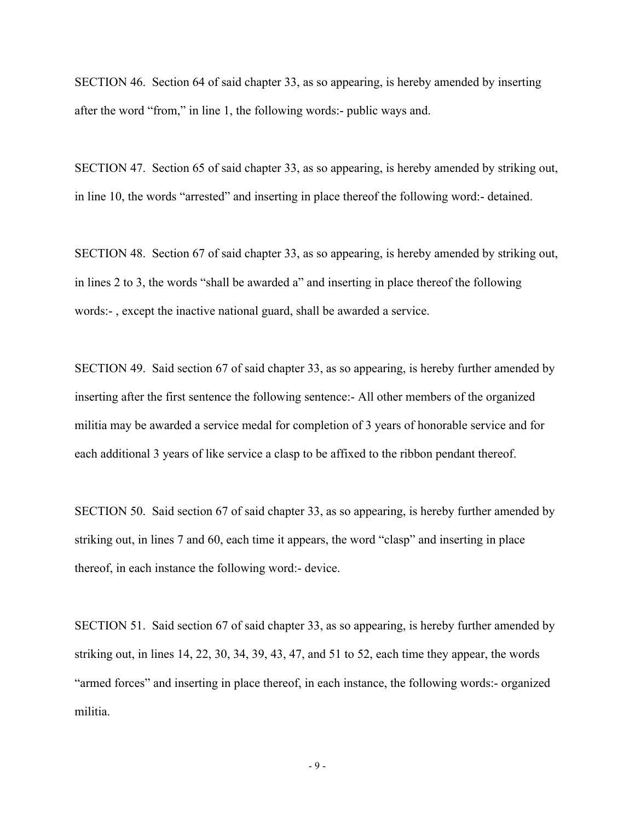SECTION 46. Section 64 of said chapter 33, as so appearing, is hereby amended by inserting after the word "from," in line 1, the following words:- public ways and.

SECTION 47. Section 65 of said chapter 33, as so appearing, is hereby amended by striking out, in line 10, the words "arrested" and inserting in place thereof the following word:- detained.

SECTION 48. Section 67 of said chapter 33, as so appearing, is hereby amended by striking out, in lines 2 to 3, the words "shall be awarded a" and inserting in place thereof the following words:- , except the inactive national guard, shall be awarded a service.

SECTION 49. Said section 67 of said chapter 33, as so appearing, is hereby further amended by inserting after the first sentence the following sentence:- All other members of the organized militia may be awarded a service medal for completion of 3 years of honorable service and for each additional 3 years of like service a clasp to be affixed to the ribbon pendant thereof.

SECTION 50. Said section 67 of said chapter 33, as so appearing, is hereby further amended by striking out, in lines 7 and 60, each time it appears, the word "clasp" and inserting in place thereof, in each instance the following word:- device.

SECTION 51. Said section 67 of said chapter 33, as so appearing, is hereby further amended by striking out, in lines 14, 22, 30, 34, 39, 43, 47, and 51 to 52, each time they appear, the words "armed forces" and inserting in place thereof, in each instance, the following words:- organized militia.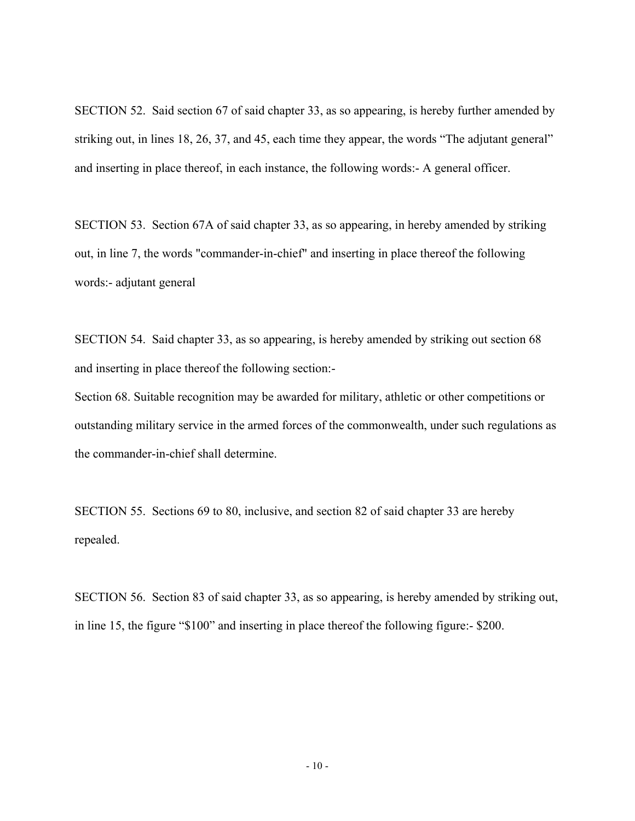SECTION 52. Said section 67 of said chapter 33, as so appearing, is hereby further amended by striking out, in lines 18, 26, 37, and 45, each time they appear, the words "The adjutant general" and inserting in place thereof, in each instance, the following words:- A general officer.

SECTION 53. Section 67A of said chapter 33, as so appearing, in hereby amended by striking out, in line 7, the words "commander-in-chief" and inserting in place thereof the following words:- adjutant general

SECTION 54. Said chapter 33, as so appearing, is hereby amended by striking out section 68 and inserting in place thereof the following section:-

Section 68. Suitable recognition may be awarded for military, athletic or other competitions or outstanding military service in the armed forces of the commonwealth, under such regulations as the commander-in-chief shall determine.

SECTION 55. Sections 69 to 80, inclusive, and section 82 of said chapter 33 are hereby repealed.

SECTION 56. Section 83 of said chapter 33, as so appearing, is hereby amended by striking out, in line 15, the figure "\$100" and inserting in place thereof the following figure:- \$200.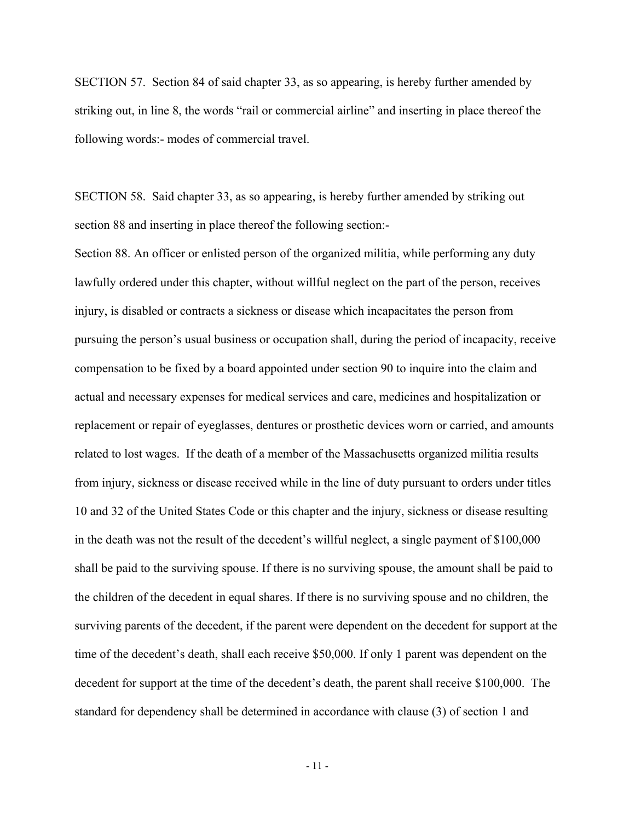SECTION 57. Section 84 of said chapter 33, as so appearing, is hereby further amended by striking out, in line 8, the words "rail or commercial airline" and inserting in place thereof the following words:- modes of commercial travel.

SECTION 58. Said chapter 33, as so appearing, is hereby further amended by striking out section 88 and inserting in place thereof the following section:-

Section 88. An officer or enlisted person of the organized militia, while performing any duty lawfully ordered under this chapter, without willful neglect on the part of the person, receives injury, is disabled or contracts a sickness or disease which incapacitates the person from pursuing the person's usual business or occupation shall, during the period of incapacity, receive compensation to be fixed by a board appointed under section 90 to inquire into the claim and actual and necessary expenses for medical services and care, medicines and hospitalization or replacement or repair of eyeglasses, dentures or prosthetic devices worn or carried, and amounts related to lost wages. If the death of a member of the Massachusetts organized militia results from injury, sickness or disease received while in the line of duty pursuant to orders under titles 10 and 32 of the United States Code or this chapter and the injury, sickness or disease resulting in the death was not the result of the decedent's willful neglect, a single payment of \$100,000 shall be paid to the surviving spouse. If there is no surviving spouse, the amount shall be paid to the children of the decedent in equal shares. If there is no surviving spouse and no children, the surviving parents of the decedent, if the parent were dependent on the decedent for support at the time of the decedent's death, shall each receive \$50,000. If only 1 parent was dependent on the decedent for support at the time of the decedent's death, the parent shall receive \$100,000. The standard for dependency shall be determined in accordance with clause (3) of section 1 and

- 11 -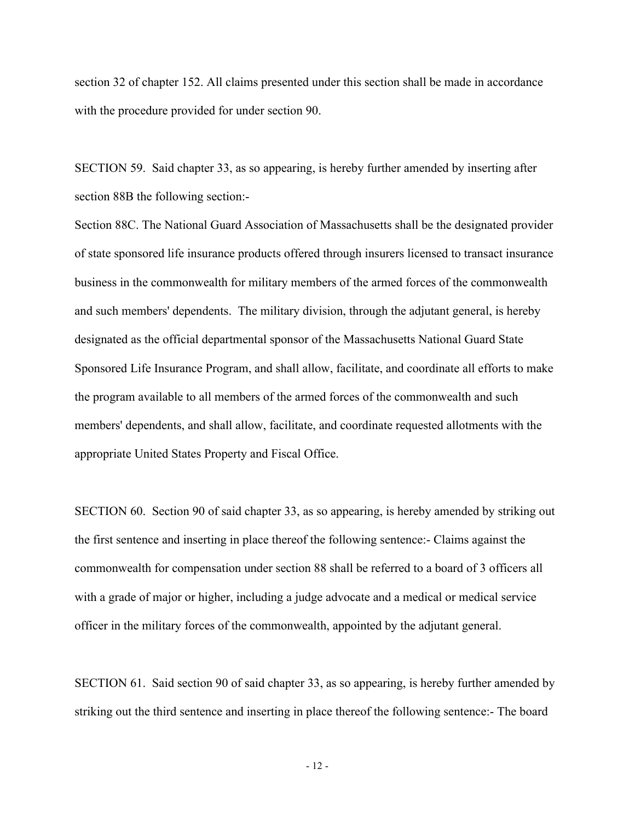section 32 of chapter 152. All claims presented under this section shall be made in accordance with the procedure provided for under section 90.

SECTION 59. Said chapter 33, as so appearing, is hereby further amended by inserting after section 88B the following section:-

Section 88C. The National Guard Association of Massachusetts shall be the designated provider of state sponsored life insurance products offered through insurers licensed to transact insurance business in the commonwealth for military members of the armed forces of the commonwealth and such members' dependents. The military division, through the adjutant general, is hereby designated as the official departmental sponsor of the Massachusetts National Guard State Sponsored Life Insurance Program, and shall allow, facilitate, and coordinate all efforts to make the program available to all members of the armed forces of the commonwealth and such members' dependents, and shall allow, facilitate, and coordinate requested allotments with the appropriate United States Property and Fiscal Office.

SECTION 60. Section 90 of said chapter 33, as so appearing, is hereby amended by striking out the first sentence and inserting in place thereof the following sentence:- Claims against the commonwealth for compensation under section 88 shall be referred to a board of 3 officers all with a grade of major or higher, including a judge advocate and a medical or medical service officer in the military forces of the commonwealth, appointed by the adjutant general.

SECTION 61. Said section 90 of said chapter 33, as so appearing, is hereby further amended by striking out the third sentence and inserting in place thereof the following sentence:- The board

- 12 -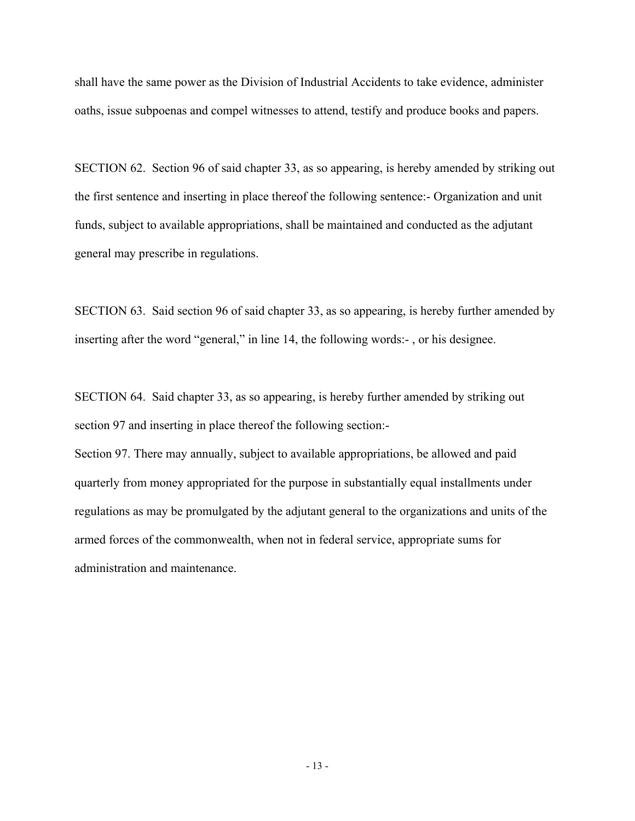shall have the same power as the Division of Industrial Accidents to take evidence, administer oaths, issue subpoenas and compel witnesses to attend, testify and produce books and papers.

SECTION 62. Section 96 of said chapter 33, as so appearing, is hereby amended by striking out the first sentence and inserting in place thereof the following sentence:- Organization and unit funds, subject to available appropriations, shall be maintained and conducted as the adjutant general may prescribe in regulations.

SECTION 63. Said section 96 of said chapter 33, as so appearing, is hereby further amended by inserting after the word "general," in line 14, the following words:- , or his designee.

SECTION 64. Said chapter 33, as so appearing, is hereby further amended by striking out section 97 and inserting in place thereof the following section:-

Section 97. There may annually, subject to available appropriations, be allowed and paid quarterly from money appropriated for the purpose in substantially equal installments under regulations as may be promulgated by the adjutant general to the organizations and units of the armed forces of the commonwealth, when not in federal service, appropriate sums for administration and maintenance.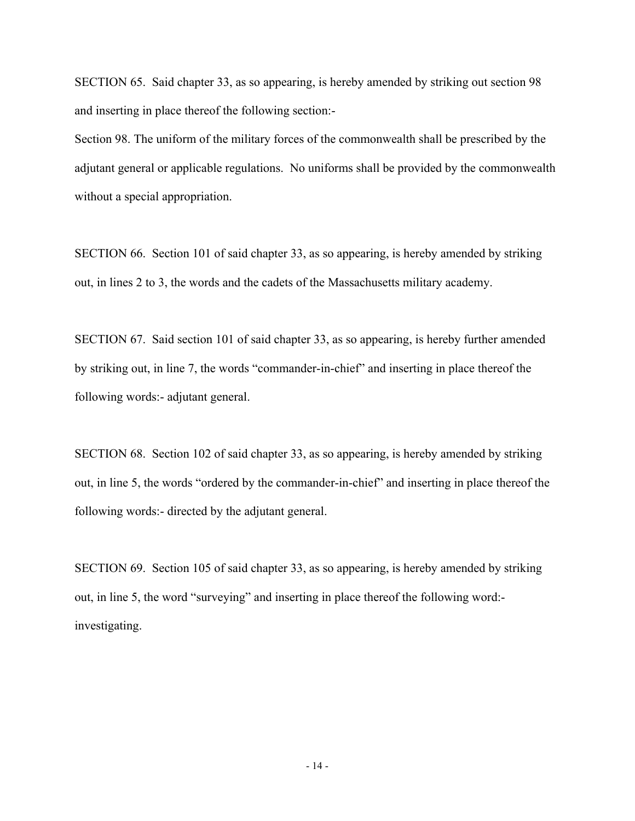SECTION 65. Said chapter 33, as so appearing, is hereby amended by striking out section 98 and inserting in place thereof the following section:-

Section 98. The uniform of the military forces of the commonwealth shall be prescribed by the adjutant general or applicable regulations. No uniforms shall be provided by the commonwealth without a special appropriation.

SECTION 66. Section 101 of said chapter 33, as so appearing, is hereby amended by striking out, in lines 2 to 3, the words and the cadets of the Massachusetts military academy.

SECTION 67. Said section 101 of said chapter 33, as so appearing, is hereby further amended by striking out, in line 7, the words "commander-in-chief" and inserting in place thereof the following words:- adjutant general.

SECTION 68. Section 102 of said chapter 33, as so appearing, is hereby amended by striking out, in line 5, the words "ordered by the commander-in-chief" and inserting in place thereof the following words:- directed by the adjutant general.

SECTION 69. Section 105 of said chapter 33, as so appearing, is hereby amended by striking out, in line 5, the word "surveying" and inserting in place thereof the following word: investigating.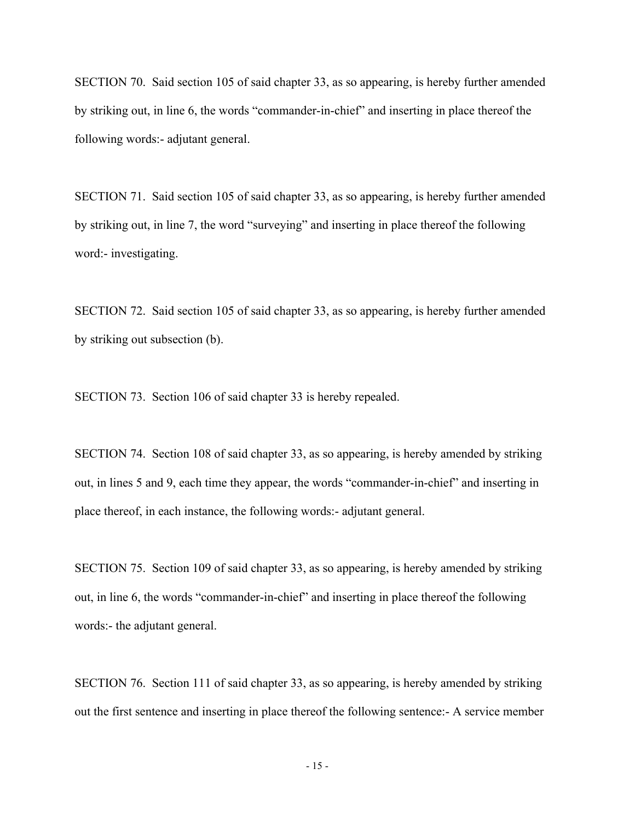SECTION 70. Said section 105 of said chapter 33, as so appearing, is hereby further amended by striking out, in line 6, the words "commander-in-chief" and inserting in place thereof the following words:- adjutant general.

SECTION 71. Said section 105 of said chapter 33, as so appearing, is hereby further amended by striking out, in line 7, the word "surveying" and inserting in place thereof the following word:- investigating.

SECTION 72. Said section 105 of said chapter 33, as so appearing, is hereby further amended by striking out subsection (b).

SECTION 73. Section 106 of said chapter 33 is hereby repealed.

SECTION 74. Section 108 of said chapter 33, as so appearing, is hereby amended by striking out, in lines 5 and 9, each time they appear, the words "commander-in-chief" and inserting in place thereof, in each instance, the following words:- adjutant general.

SECTION 75. Section 109 of said chapter 33, as so appearing, is hereby amended by striking out, in line 6, the words "commander-in-chief" and inserting in place thereof the following words:- the adjutant general.

SECTION 76. Section 111 of said chapter 33, as so appearing, is hereby amended by striking out the first sentence and inserting in place thereof the following sentence:- A service member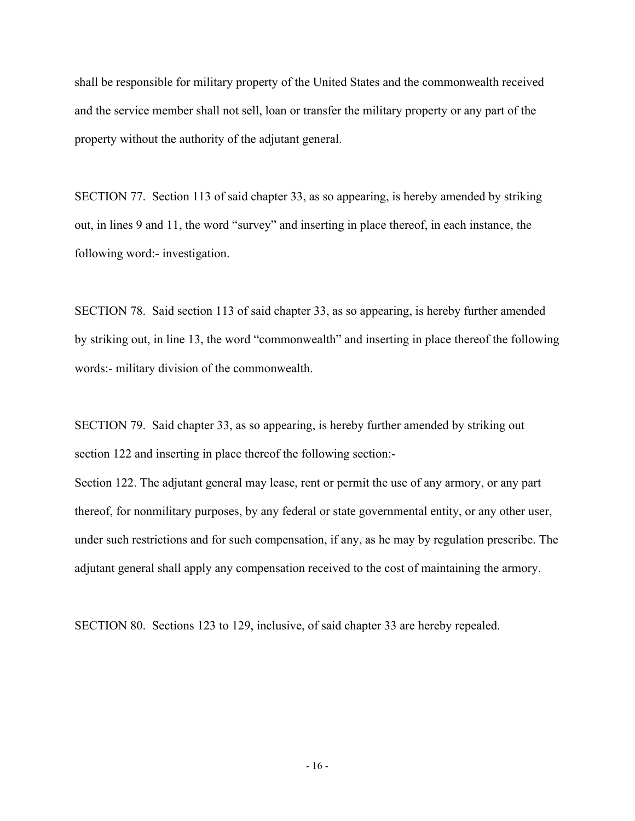shall be responsible for military property of the United States and the commonwealth received and the service member shall not sell, loan or transfer the military property or any part of the property without the authority of the adjutant general.

SECTION 77. Section 113 of said chapter 33, as so appearing, is hereby amended by striking out, in lines 9 and 11, the word "survey" and inserting in place thereof, in each instance, the following word:- investigation.

SECTION 78. Said section 113 of said chapter 33, as so appearing, is hereby further amended by striking out, in line 13, the word "commonwealth" and inserting in place thereof the following words:- military division of the commonwealth.

SECTION 79. Said chapter 33, as so appearing, is hereby further amended by striking out section 122 and inserting in place thereof the following section:-

Section 122. The adjutant general may lease, rent or permit the use of any armory, or any part thereof, for nonmilitary purposes, by any federal or state governmental entity, or any other user, under such restrictions and for such compensation, if any, as he may by regulation prescribe. The adjutant general shall apply any compensation received to the cost of maintaining the armory.

SECTION 80. Sections 123 to 129, inclusive, of said chapter 33 are hereby repealed.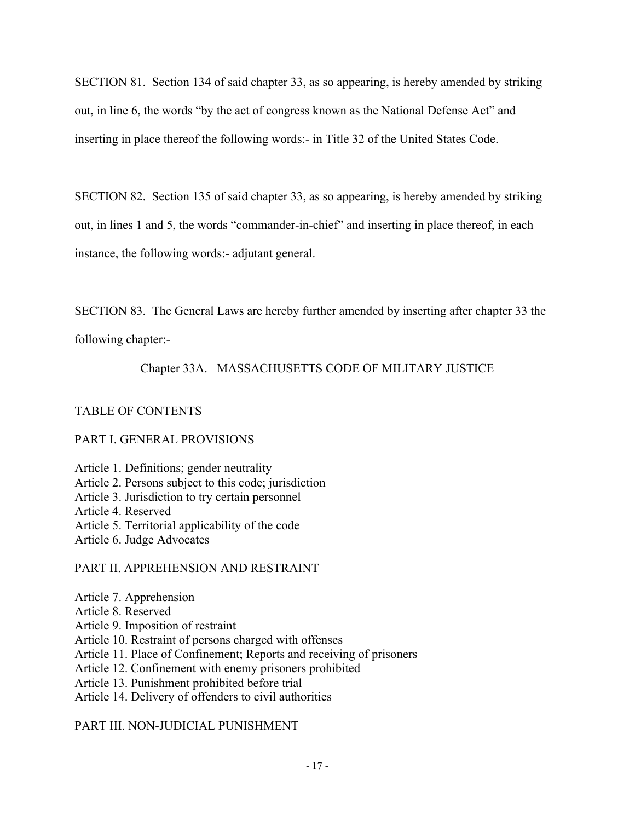SECTION 81. Section 134 of said chapter 33, as so appearing, is hereby amended by striking out, in line 6, the words "by the act of congress known as the National Defense Act" and inserting in place thereof the following words:- in Title 32 of the United States Code.

SECTION 82. Section 135 of said chapter 33, as so appearing, is hereby amended by striking out, in lines 1 and 5, the words "commander-in-chief" and inserting in place thereof, in each instance, the following words:- adjutant general.

SECTION 83. The General Laws are hereby further amended by inserting after chapter 33 the

following chapter:-

# Chapter 33A. MASSACHUSETTS CODE OF MILITARY JUSTICE

# TABLE OF CONTENTS

# PART I. GENERAL PROVISIONS

Article 1. Definitions; gender neutrality

- Article 2. Persons subject to this code; jurisdiction
- Article 3. Jurisdiction to try certain personnel
- Article 4. Reserved
- Article 5. Territorial applicability of the code
- Article 6. Judge Advocates

# PART II. APPREHENSION AND RESTRAINT

Article 7. Apprehension

- Article 8. Reserved
- Article 9. Imposition of restraint
- Article 10. Restraint of persons charged with offenses
- Article 11. Place of Confinement; Reports and receiving of prisoners
- Article 12. Confinement with enemy prisoners prohibited
- Article 13. Punishment prohibited before trial
- Article 14. Delivery of offenders to civil authorities

PART III. NON-JUDICIAL PUNISHMENT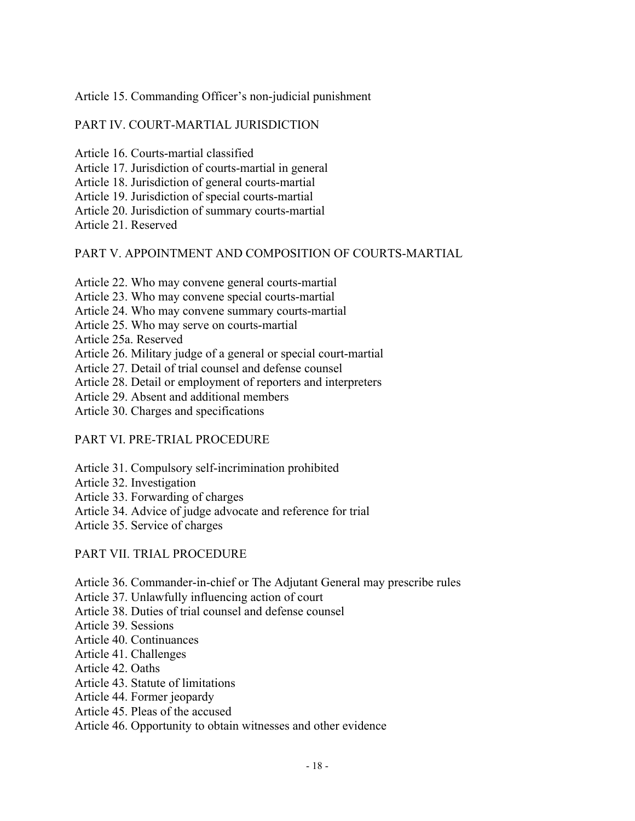Article 15. Commanding Officer's non-judicial punishment

PART IV. COURT-MARTIAL JURISDICTION

Article 16. Courts-martial classified

Article 17. Jurisdiction of courts-martial in general

Article 18. Jurisdiction of general courts-martial

Article 19. Jurisdiction of special courts-martial

Article 20. Jurisdiction of summary courts-martial

Article 21. Reserved

### PART V. APPOINTMENT AND COMPOSITION OF COURTS-MARTIAL

- Article 22. Who may convene general courts-martial
- Article 23. Who may convene special courts-martial
- Article 24. Who may convene summary courts-martial
- Article 25. Who may serve on courts-martial

Article 25a. Reserved

Article 26. Military judge of a general or special court-martial

Article 27. Detail of trial counsel and defense counsel

Article 28. Detail or employment of reporters and interpreters

- Article 29. Absent and additional members
- Article 30. Charges and specifications

### PART VI. PRE-TRIAL PROCEDURE

- Article 31. Compulsory self-incrimination prohibited
- Article 32. Investigation
- Article 33. Forwarding of charges
- Article 34. Advice of judge advocate and reference for trial
- Article 35. Service of charges

### PART VII. TRIAL PROCEDURE

- Article 36. Commander-in-chief or The Adjutant General may prescribe rules
- Article 37. Unlawfully influencing action of court
- Article 38. Duties of trial counsel and defense counsel
- Article 39. Sessions
- Article 40. Continuances
- Article 41. Challenges
- Article 42. Oaths
- Article 43. Statute of limitations
- Article 44. Former jeopardy
- Article 45. Pleas of the accused
- Article 46. Opportunity to obtain witnesses and other evidence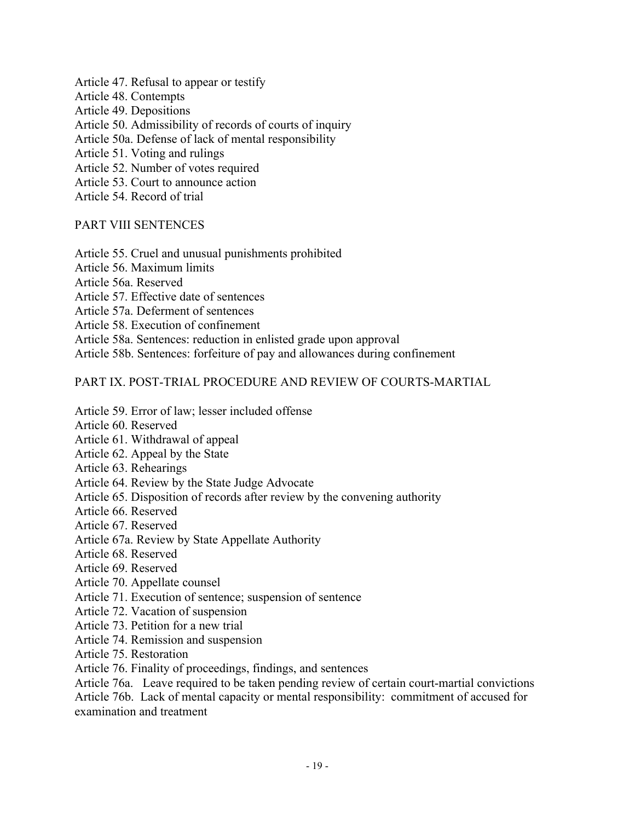#### Article 47. Refusal to appear or testify

- Article 48. Contempts
- Article 49. Depositions
- Article 50. Admissibility of records of courts of inquiry
- Article 50a. Defense of lack of mental responsibility
- Article 51. Voting and rulings
- Article 52. Number of votes required
- Article 53. Court to announce action
- Article 54. Record of trial

### PART VIII SENTENCES

- Article 55. Cruel and unusual punishments prohibited
- Article 56. Maximum limits
- Article 56a. Reserved
- Article 57. Effective date of sentences
- Article 57a. Deferment of sentences
- Article 58. Execution of confinement
- Article 58a. Sentences: reduction in enlisted grade upon approval
- Article 58b. Sentences: forfeiture of pay and allowances during confinement

### PART IX. POST-TRIAL PROCEDURE AND REVIEW OF COURTS-MARTIAL

- Article 59. Error of law; lesser included offense
- Article 60. Reserved
- Article 61. Withdrawal of appeal
- Article 62. Appeal by the State
- Article 63. Rehearings
- Article 64. Review by the State Judge Advocate
- Article 65. Disposition of records after review by the convening authority
- Article 66. Reserved
- Article 67. Reserved
- Article 67a. Review by State Appellate Authority
- Article 68. Reserved
- Article 69. Reserved
- Article 70. Appellate counsel
- Article 71. Execution of sentence; suspension of sentence
- Article 72. Vacation of suspension
- Article 73. Petition for a new trial
- Article 74. Remission and suspension
- Article 75. Restoration
- Article 76. Finality of proceedings, findings, and sentences
- Article 76a. Leave required to be taken pending review of certain court-martial convictions

Article 76b. Lack of mental capacity or mental responsibility: commitment of accused for examination and treatment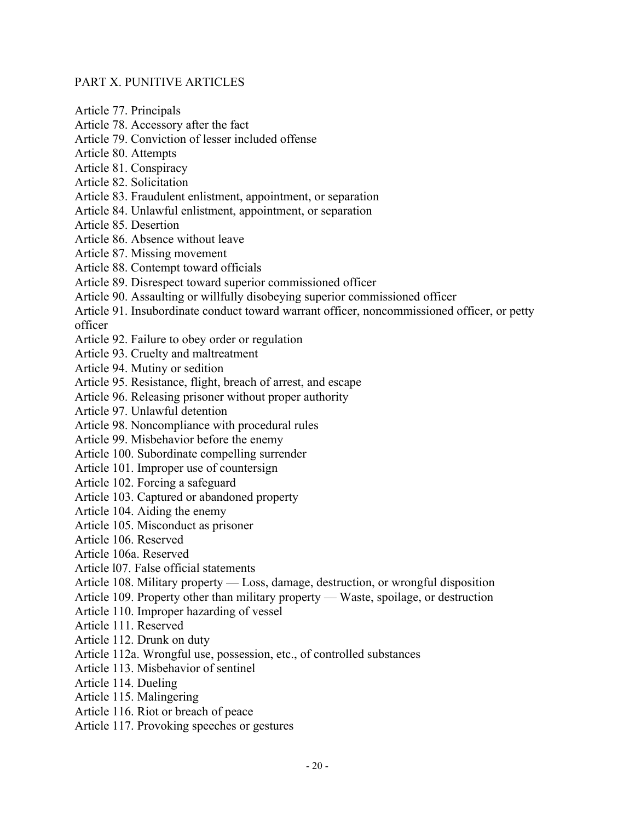#### PART X. PUNITIVE ARTICLES

Article 77. Principals

- Article 78. Accessory after the fact
- Article 79. Conviction of lesser included offense
- Article 80. Attempts
- Article 81. Conspiracy
- Article 82. Solicitation
- Article 83. Fraudulent enlistment, appointment, or separation
- Article 84. Unlawful enlistment, appointment, or separation
- Article 85. Desertion
- Article 86. Absence without leave
- Article 87. Missing movement
- Article 88. Contempt toward officials
- Article 89. Disrespect toward superior commissioned officer
- Article 90. Assaulting or willfully disobeying superior commissioned officer
- Article 91. Insubordinate conduct toward warrant officer, noncommissioned officer, or petty officer
- Article 92. Failure to obey order or regulation
- Article 93. Cruelty and maltreatment
- Article 94. Mutiny or sedition
- Article 95. Resistance, flight, breach of arrest, and escape
- Article 96. Releasing prisoner without proper authority
- Article 97. Unlawful detention
- Article 98. Noncompliance with procedural rules
- Article 99. Misbehavior before the enemy
- Article 100. Subordinate compelling surrender
- Article 101. Improper use of countersign
- Article 102. Forcing a safeguard
- Article 103. Captured or abandoned property
- Article 104. Aiding the enemy
- Article 105. Misconduct as prisoner
- Article 106. Reserved
- Article 106a. Reserved
- Article l07. False official statements
- Article 108. Military property Loss, damage, destruction, or wrongful disposition
- Article 109. Property other than military property Waste, spoilage, or destruction
- Article 110. Improper hazarding of vessel
- Article 111. Reserved
- Article 112. Drunk on duty
- Article 112a. Wrongful use, possession, etc., of controlled substances
- Article 113. Misbehavior of sentinel
- Article 114. Dueling
- Article 115. Malingering
- Article 116. Riot or breach of peace
- Article 117. Provoking speeches or gestures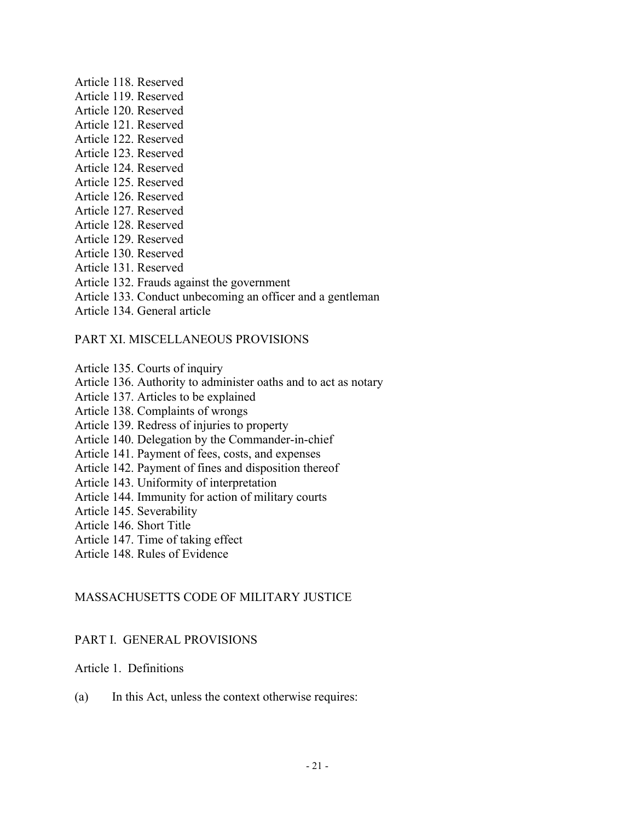- Article 118. Reserved
- Article 119. Reserved
- Article 120. Reserved
- Article 121. Reserved
- Article 122. Reserved
- Article 123. Reserved
- Article 124. Reserved
- Article 125. Reserved
- Article 126. Reserved
- Article 127. Reserved
- Article 128. Reserved
- Article 129. Reserved
- Article 130. Reserved
- Article 131. Reserved

#### Article 132. Frauds against the government

- Article 133. Conduct unbecoming an officer and a gentleman
- Article 134. General article

#### PART XI. MISCELLANEOUS PROVISIONS

- Article 135. Courts of inquiry
- Article 136. Authority to administer oaths and to act as notary
- Article 137. Articles to be explained
- Article 138. Complaints of wrongs
- Article 139. Redress of injuries to property
- Article 140. Delegation by the Commander-in-chief
- Article 141. Payment of fees, costs, and expenses
- Article 142. Payment of fines and disposition thereof
- Article 143. Uniformity of interpretation
- Article 144. Immunity for action of military courts
- Article 145. Severability
- Article 146. Short Title
- Article 147. Time of taking effect
- Article 148. Rules of Evidence

### MASSACHUSETTS CODE OF MILITARY JUSTICE

### PART I. GENERAL PROVISIONS

### Article 1. Definitions

#### (a) In this Act, unless the context otherwise requires: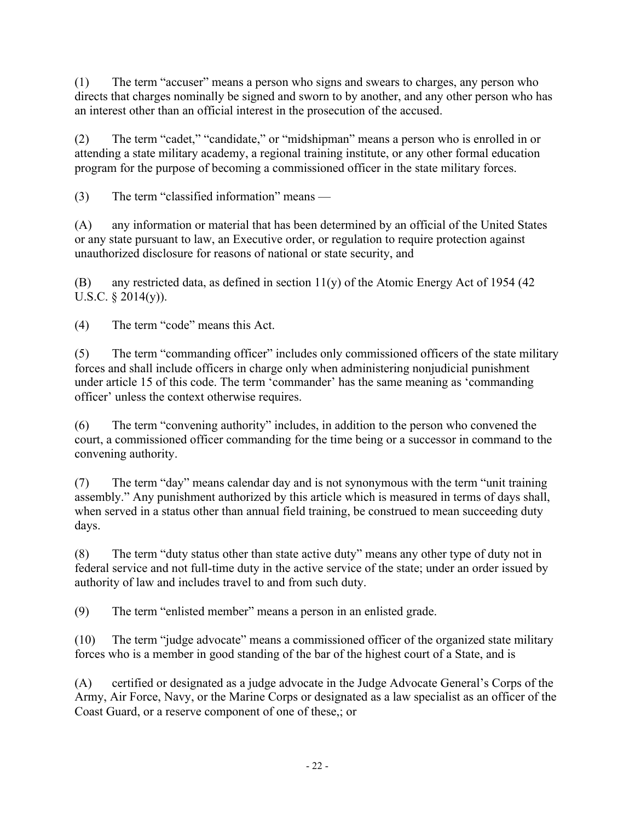(1) The term "accuser" means a person who signs and swears to charges, any person who directs that charges nominally be signed and sworn to by another, and any other person who has an interest other than an official interest in the prosecution of the accused.

(2) The term "cadet," "candidate," or "midshipman" means a person who is enrolled in or attending a state military academy, a regional training institute, or any other formal education program for the purpose of becoming a commissioned officer in the state military forces.

(3) The term "classified information" means —

(A) any information or material that has been determined by an official of the United States or any state pursuant to law, an Executive order, or regulation to require protection against unauthorized disclosure for reasons of national or state security, and

(B) any restricted data, as defined in section  $11(v)$  of the Atomic Energy Act of 1954 (42) U.S.C.  $\S 2014(y)$ ).

(4) The term "code" means this Act.

(5) The term "commanding officer" includes only commissioned officers of the state military forces and shall include officers in charge only when administering nonjudicial punishment under article 15 of this code. The term 'commander' has the same meaning as 'commanding officer' unless the context otherwise requires.

(6) The term "convening authority" includes, in addition to the person who convened the court, a commissioned officer commanding for the time being or a successor in command to the convening authority.

(7) The term "day" means calendar day and is not synonymous with the term "unit training assembly." Any punishment authorized by this article which is measured in terms of days shall, when served in a status other than annual field training, be construed to mean succeeding duty days.

(8) The term "duty status other than state active duty" means any other type of duty not in federal service and not full-time duty in the active service of the state; under an order issued by authority of law and includes travel to and from such duty.

(9) The term "enlisted member" means a person in an enlisted grade.

(10) The term "judge advocate" means a commissioned officer of the organized state military forces who is a member in good standing of the bar of the highest court of a State, and is

(A) certified or designated as a judge advocate in the Judge Advocate General's Corps of the Army, Air Force, Navy, or the Marine Corps or designated as a law specialist as an officer of the Coast Guard, or a reserve component of one of these,; or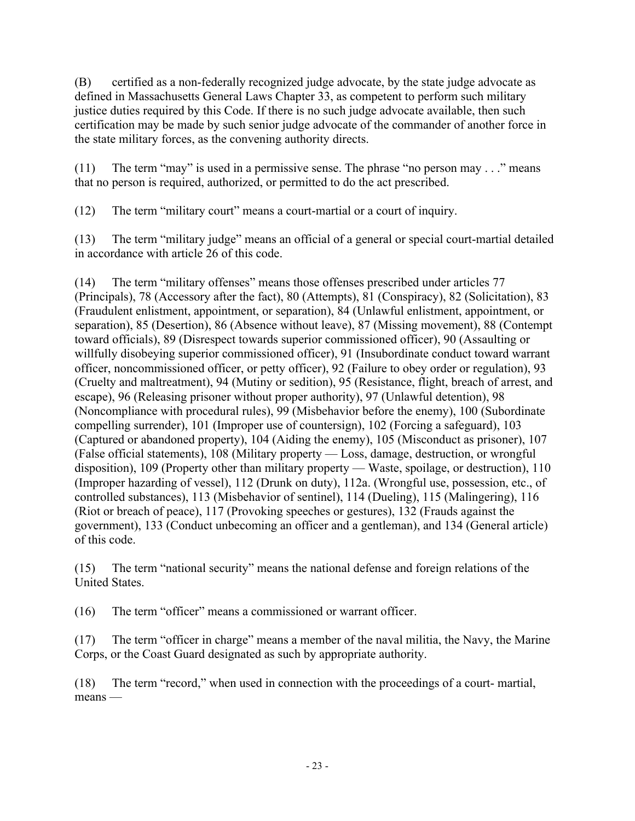(B) certified as a non-federally recognized judge advocate, by the state judge advocate as defined in Massachusetts General Laws Chapter 33, as competent to perform such military justice duties required by this Code. If there is no such judge advocate available, then such certification may be made by such senior judge advocate of the commander of another force in the state military forces, as the convening authority directs.

(11) The term "may" is used in a permissive sense. The phrase "no person may . . ." means that no person is required, authorized, or permitted to do the act prescribed.

(12) The term "military court" means a court-martial or a court of inquiry.

(13) The term "military judge" means an official of a general or special court-martial detailed in accordance with article 26 of this code.

(14) The term "military offenses" means those offenses prescribed under articles 77 (Principals), 78 (Accessory after the fact), 80 (Attempts), 81 (Conspiracy), 82 (Solicitation), 83 (Fraudulent enlistment, appointment, or separation), 84 (Unlawful enlistment, appointment, or separation), 85 (Desertion), 86 (Absence without leave), 87 (Missing movement), 88 (Contempt toward officials), 89 (Disrespect towards superior commissioned officer), 90 (Assaulting or willfully disobeying superior commissioned officer), 91 (Insubordinate conduct toward warrant officer, noncommissioned officer, or petty officer), 92 (Failure to obey order or regulation), 93 (Cruelty and maltreatment), 94 (Mutiny or sedition), 95 (Resistance, flight, breach of arrest, and escape), 96 (Releasing prisoner without proper authority), 97 (Unlawful detention), 98 (Noncompliance with procedural rules), 99 (Misbehavior before the enemy), 100 (Subordinate compelling surrender), 101 (Improper use of countersign), 102 (Forcing a safeguard), 103 (Captured or abandoned property), 104 (Aiding the enemy), 105 (Misconduct as prisoner), 107 (False official statements), 108 (Military property — Loss, damage, destruction, or wrongful disposition), 109 (Property other than military property — Waste, spoilage, or destruction), 110 (Improper hazarding of vessel), 112 (Drunk on duty), 112a. (Wrongful use, possession, etc., of controlled substances), 113 (Misbehavior of sentinel), 114 (Dueling), 115 (Malingering), 116 (Riot or breach of peace), 117 (Provoking speeches or gestures), 132 (Frauds against the government), 133 (Conduct unbecoming an officer and a gentleman), and 134 (General article) of this code.

(15) The term "national security" means the national defense and foreign relations of the United States.

(16) The term "officer" means a commissioned or warrant officer.

(17) The term "officer in charge" means a member of the naval militia, the Navy, the Marine Corps, or the Coast Guard designated as such by appropriate authority.

(18) The term "record," when used in connection with the proceedings of a court- martial, means —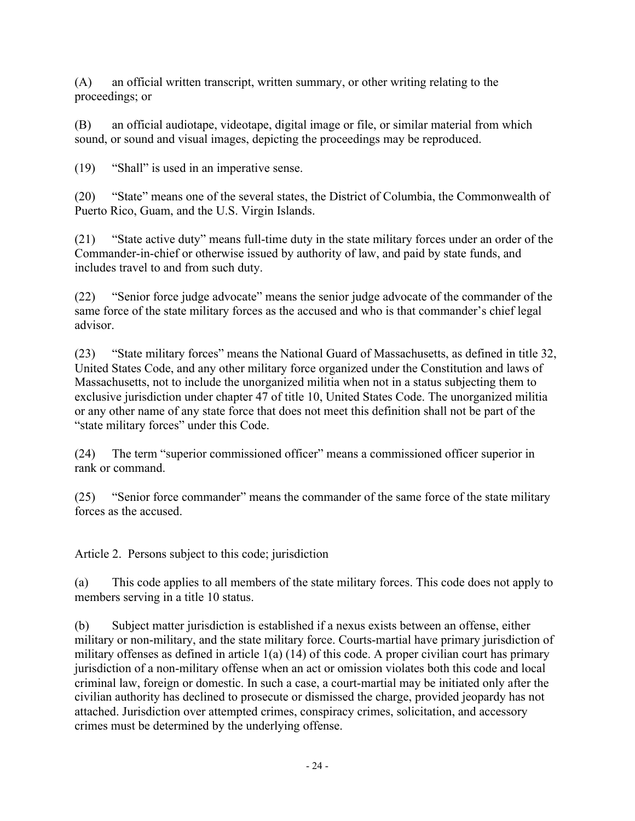(A) an official written transcript, written summary, or other writing relating to the proceedings; or

(B) an official audiotape, videotape, digital image or file, or similar material from which sound, or sound and visual images, depicting the proceedings may be reproduced.

(19) "Shall" is used in an imperative sense.

(20) "State" means one of the several states, the District of Columbia, the Commonwealth of Puerto Rico, Guam, and the U.S. Virgin Islands.

(21) "State active duty" means full-time duty in the state military forces under an order of the Commander-in-chief or otherwise issued by authority of law, and paid by state funds, and includes travel to and from such duty.

(22) "Senior force judge advocate" means the senior judge advocate of the commander of the same force of the state military forces as the accused and who is that commander's chief legal advisor.

(23) "State military forces" means the National Guard of Massachusetts, as defined in title 32, United States Code, and any other military force organized under the Constitution and laws of Massachusetts, not to include the unorganized militia when not in a status subjecting them to exclusive jurisdiction under chapter 47 of title 10, United States Code. The unorganized militia or any other name of any state force that does not meet this definition shall not be part of the "state military forces" under this Code.

(24) The term "superior commissioned officer" means a commissioned officer superior in rank or command.

(25) "Senior force commander" means the commander of the same force of the state military forces as the accused.

Article 2. Persons subject to this code; jurisdiction

(a) This code applies to all members of the state military forces. This code does not apply to members serving in a title 10 status.

(b) Subject matter jurisdiction is established if a nexus exists between an offense, either military or non-military, and the state military force. Courts-martial have primary jurisdiction of military offenses as defined in article 1(a) (14) of this code. A proper civilian court has primary jurisdiction of a non-military offense when an act or omission violates both this code and local criminal law, foreign or domestic. In such a case, a court-martial may be initiated only after the civilian authority has declined to prosecute or dismissed the charge, provided jeopardy has not attached. Jurisdiction over attempted crimes, conspiracy crimes, solicitation, and accessory crimes must be determined by the underlying offense.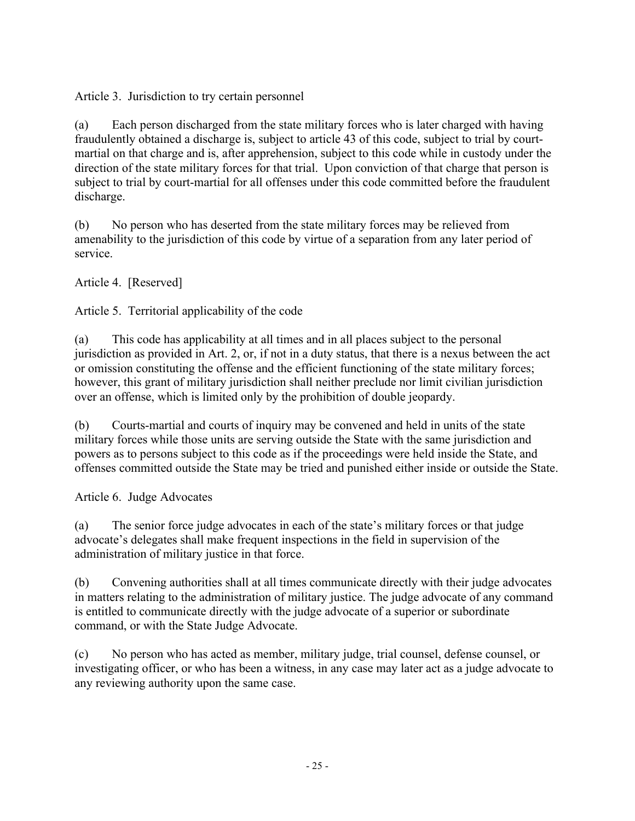Article 3. Jurisdiction to try certain personnel

(a) Each person discharged from the state military forces who is later charged with having fraudulently obtained a discharge is, subject to article 43 of this code, subject to trial by courtmartial on that charge and is, after apprehension, subject to this code while in custody under the direction of the state military forces for that trial. Upon conviction of that charge that person is subject to trial by court-martial for all offenses under this code committed before the fraudulent discharge.

(b) No person who has deserted from the state military forces may be relieved from amenability to the jurisdiction of this code by virtue of a separation from any later period of service.

Article 4. [Reserved]

Article 5. Territorial applicability of the code

(a) This code has applicability at all times and in all places subject to the personal jurisdiction as provided in Art. 2, or, if not in a duty status, that there is a nexus between the act or omission constituting the offense and the efficient functioning of the state military forces; however, this grant of military jurisdiction shall neither preclude nor limit civilian jurisdiction over an offense, which is limited only by the prohibition of double jeopardy.

(b) Courts-martial and courts of inquiry may be convened and held in units of the state military forces while those units are serving outside the State with the same jurisdiction and powers as to persons subject to this code as if the proceedings were held inside the State, and offenses committed outside the State may be tried and punished either inside or outside the State.

Article 6. Judge Advocates

(a) The senior force judge advocates in each of the state's military forces or that judge advocate's delegates shall make frequent inspections in the field in supervision of the administration of military justice in that force.

(b) Convening authorities shall at all times communicate directly with their judge advocates in matters relating to the administration of military justice. The judge advocate of any command is entitled to communicate directly with the judge advocate of a superior or subordinate command, or with the State Judge Advocate.

(c) No person who has acted as member, military judge, trial counsel, defense counsel, or investigating officer, or who has been a witness, in any case may later act as a judge advocate to any reviewing authority upon the same case.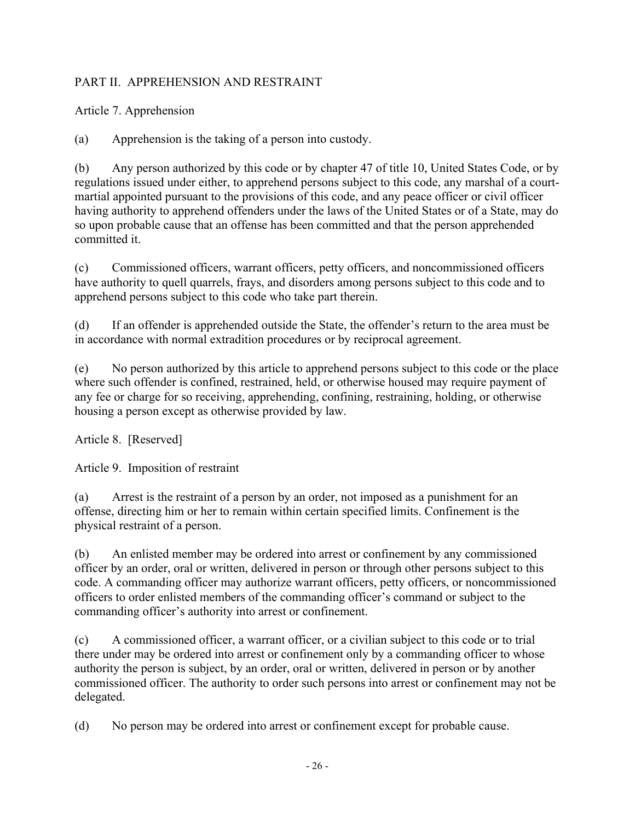# PART II. APPREHENSION AND RESTRAINT

Article 7. Apprehension

(a) Apprehension is the taking of a person into custody.

(b) Any person authorized by this code or by chapter 47 of title 10, United States Code, or by regulations issued under either, to apprehend persons subject to this code, any marshal of a courtmartial appointed pursuant to the provisions of this code, and any peace officer or civil officer having authority to apprehend offenders under the laws of the United States or of a State, may do so upon probable cause that an offense has been committed and that the person apprehended committed it.

(c) Commissioned officers, warrant officers, petty officers, and noncommissioned officers have authority to quell quarrels, frays, and disorders among persons subject to this code and to apprehend persons subject to this code who take part therein.

(d) If an offender is apprehended outside the State, the offender's return to the area must be in accordance with normal extradition procedures or by reciprocal agreement.

(e) No person authorized by this article to apprehend persons subject to this code or the place where such offender is confined, restrained, held, or otherwise housed may require payment of any fee or charge for so receiving, apprehending, confining, restraining, holding, or otherwise housing a person except as otherwise provided by law.

Article 8. [Reserved]

Article 9. Imposition of restraint

(a) Arrest is the restraint of a person by an order, not imposed as a punishment for an offense, directing him or her to remain within certain specified limits. Confinement is the physical restraint of a person.

(b) An enlisted member may be ordered into arrest or confinement by any commissioned officer by an order, oral or written, delivered in person or through other persons subject to this code. A commanding officer may authorize warrant officers, petty officers, or noncommissioned officers to order enlisted members of the commanding officer's command or subject to the commanding officer's authority into arrest or confinement.

(c) A commissioned officer, a warrant officer, or a civilian subject to this code or to trial there under may be ordered into arrest or confinement only by a commanding officer to whose authority the person is subject, by an order, oral or written, delivered in person or by another commissioned officer. The authority to order such persons into arrest or confinement may not be delegated.

(d) No person may be ordered into arrest or confinement except for probable cause.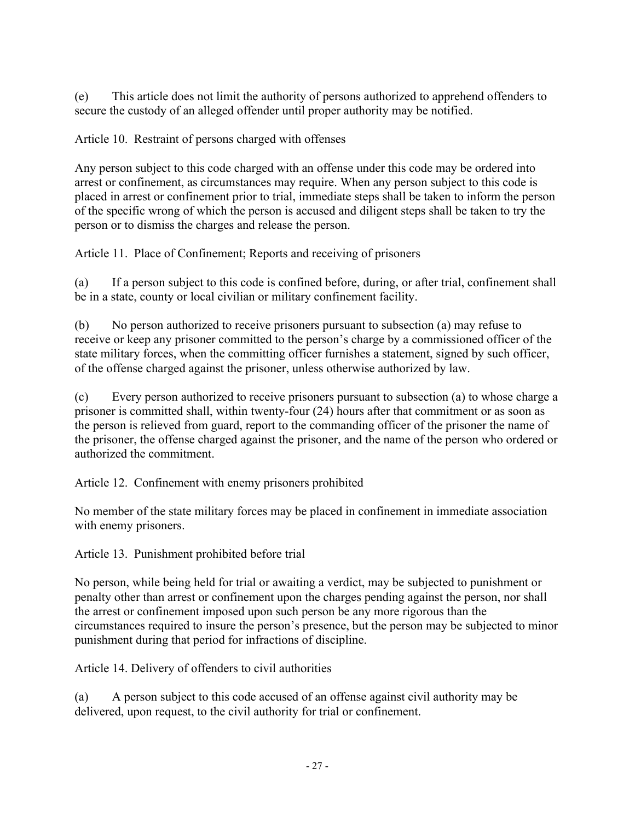(e) This article does not limit the authority of persons authorized to apprehend offenders to secure the custody of an alleged offender until proper authority may be notified.

Article 10. Restraint of persons charged with offenses

Any person subject to this code charged with an offense under this code may be ordered into arrest or confinement, as circumstances may require. When any person subject to this code is placed in arrest or confinement prior to trial, immediate steps shall be taken to inform the person of the specific wrong of which the person is accused and diligent steps shall be taken to try the person or to dismiss the charges and release the person.

Article 11. Place of Confinement; Reports and receiving of prisoners

(a) If a person subject to this code is confined before, during, or after trial, confinement shall be in a state, county or local civilian or military confinement facility.

(b) No person authorized to receive prisoners pursuant to subsection (a) may refuse to receive or keep any prisoner committed to the person's charge by a commissioned officer of the state military forces, when the committing officer furnishes a statement, signed by such officer, of the offense charged against the prisoner, unless otherwise authorized by law.

(c) Every person authorized to receive prisoners pursuant to subsection (a) to whose charge a prisoner is committed shall, within twenty-four (24) hours after that commitment or as soon as the person is relieved from guard, report to the commanding officer of the prisoner the name of the prisoner, the offense charged against the prisoner, and the name of the person who ordered or authorized the commitment.

Article 12. Confinement with enemy prisoners prohibited

No member of the state military forces may be placed in confinement in immediate association with enemy prisoners.

Article 13. Punishment prohibited before trial

No person, while being held for trial or awaiting a verdict, may be subjected to punishment or penalty other than arrest or confinement upon the charges pending against the person, nor shall the arrest or confinement imposed upon such person be any more rigorous than the circumstances required to insure the person's presence, but the person may be subjected to minor punishment during that period for infractions of discipline.

Article 14. Delivery of offenders to civil authorities

(a) A person subject to this code accused of an offense against civil authority may be delivered, upon request, to the civil authority for trial or confinement.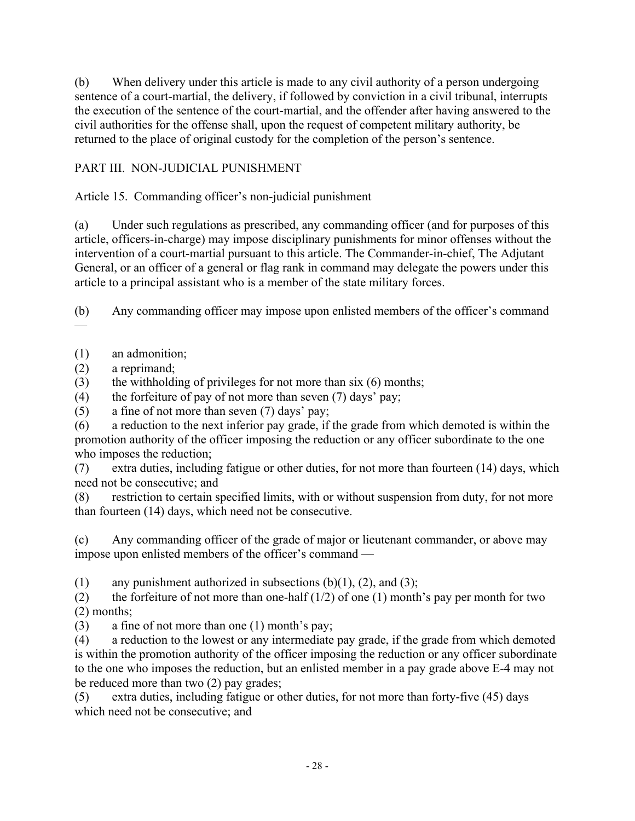(b) When delivery under this article is made to any civil authority of a person undergoing sentence of a court-martial, the delivery, if followed by conviction in a civil tribunal, interrupts the execution of the sentence of the court-martial, and the offender after having answered to the civil authorities for the offense shall, upon the request of competent military authority, be returned to the place of original custody for the completion of the person's sentence.

# PART III. NON-JUDICIAL PUNISHMENT

Article 15. Commanding officer's non-judicial punishment

(a) Under such regulations as prescribed, any commanding officer (and for purposes of this article, officers-in-charge) may impose disciplinary punishments for minor offenses without the intervention of a court-martial pursuant to this article. The Commander-in-chief, The Adjutant General, or an officer of a general or flag rank in command may delegate the powers under this article to a principal assistant who is a member of the state military forces.

(b) Any commanding officer may impose upon enlisted members of the officer's command —<br>—

(1) an admonition;

- (2) a reprimand;
- (3) the withholding of privileges for not more than six (6) months;
- (4) the forfeiture of pay of not more than seven  $(7)$  days' pay;

(5) a fine of not more than seven (7) days' pay;

(6) a reduction to the next inferior pay grade, if the grade from which demoted is within the promotion authority of the officer imposing the reduction or any officer subordinate to the one who imposes the reduction;

(7) extra duties, including fatigue or other duties, for not more than fourteen (14) days, which need not be consecutive; and

(8) restriction to certain specified limits, with or without suspension from duty, for not more than fourteen (14) days, which need not be consecutive.

(c) Any commanding officer of the grade of major or lieutenant commander, or above may impose upon enlisted members of the officer's command —

(1) any punishment authorized in subsections  $(b)(1)$ ,  $(2)$ , and  $(3)$ ;

(2) the forfeiture of not more than one-half  $(1/2)$  of one (1) month's pay per month for two (2) months;

(3) a fine of not more than one (1) month's pay;

(4) a reduction to the lowest or any intermediate pay grade, if the grade from which demoted is within the promotion authority of the officer imposing the reduction or any officer subordinate to the one who imposes the reduction, but an enlisted member in a pay grade above E-4 may not be reduced more than two (2) pay grades;

(5) extra duties, including fatigue or other duties, for not more than forty-five (45) days which need not be consecutive; and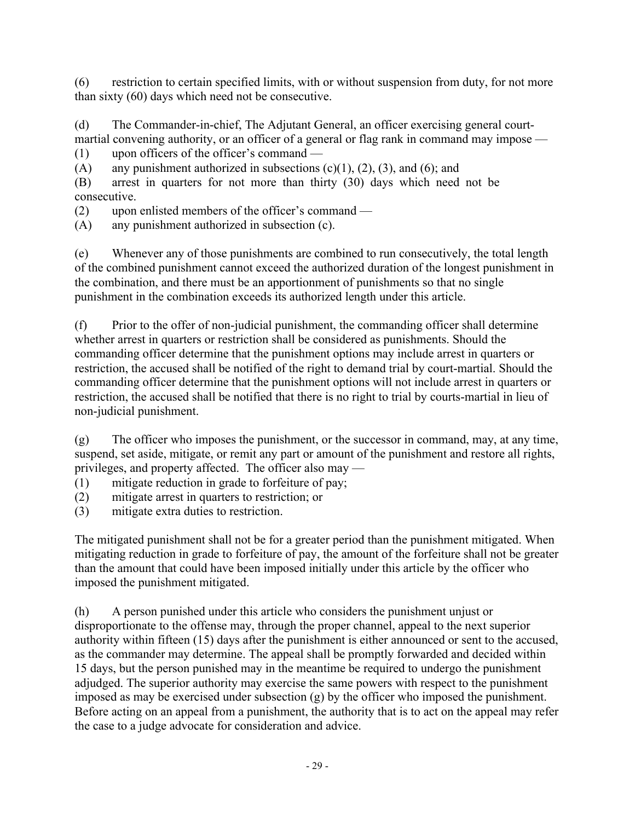(6) restriction to certain specified limits, with or without suspension from duty, for not more than sixty (60) days which need not be consecutive.

(d) The Commander-in-chief, The Adjutant General, an officer exercising general courtmartial convening authority, or an officer of a general or flag rank in command may impose —

(1) upon officers of the officer's command —

(A) any punishment authorized in subsections  $(c)(1)$ ,  $(2)$ ,  $(3)$ , and  $(6)$ ; and

(B) arrest in quarters for not more than thirty (30) days which need not be consecutive.

(2) upon enlisted members of the officer's command —

(A) any punishment authorized in subsection (c).

(e) Whenever any of those punishments are combined to run consecutively, the total length of the combined punishment cannot exceed the authorized duration of the longest punishment in the combination, and there must be an apportionment of punishments so that no single punishment in the combination exceeds its authorized length under this article.

(f) Prior to the offer of non-judicial punishment, the commanding officer shall determine whether arrest in quarters or restriction shall be considered as punishments. Should the commanding officer determine that the punishment options may include arrest in quarters or restriction, the accused shall be notified of the right to demand trial by court-martial. Should the commanding officer determine that the punishment options will not include arrest in quarters or restriction, the accused shall be notified that there is no right to trial by courts-martial in lieu of non-judicial punishment.

(g) The officer who imposes the punishment, or the successor in command, may, at any time, suspend, set aside, mitigate, or remit any part or amount of the punishment and restore all rights, privileges, and property affected. The officer also may —

(1) mitigate reduction in grade to forfeiture of pay;

(2) mitigate arrest in quarters to restriction; or

(3) mitigate extra duties to restriction.

The mitigated punishment shall not be for a greater period than the punishment mitigated. When mitigating reduction in grade to forfeiture of pay, the amount of the forfeiture shall not be greater than the amount that could have been imposed initially under this article by the officer who imposed the punishment mitigated.

(h) A person punished under this article who considers the punishment unjust or disproportionate to the offense may, through the proper channel, appeal to the next superior authority within fifteen (15) days after the punishment is either announced or sent to the accused, as the commander may determine. The appeal shall be promptly forwarded and decided within 15 days, but the person punished may in the meantime be required to undergo the punishment adjudged. The superior authority may exercise the same powers with respect to the punishment imposed as may be exercised under subsection (g) by the officer who imposed the punishment. Before acting on an appeal from a punishment, the authority that is to act on the appeal may refer the case to a judge advocate for consideration and advice.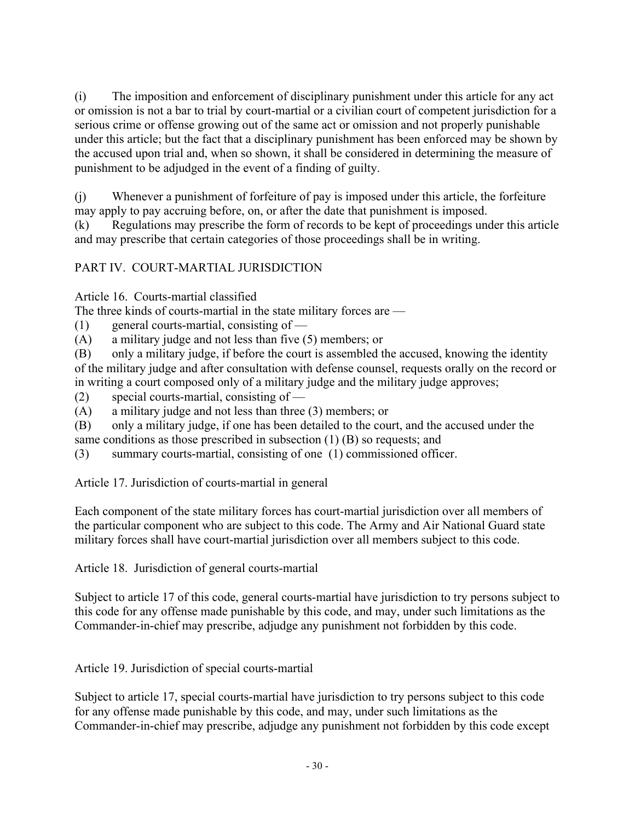(i) The imposition and enforcement of disciplinary punishment under this article for any act or omission is not a bar to trial by court-martial or a civilian court of competent jurisdiction for a serious crime or offense growing out of the same act or omission and not properly punishable under this article; but the fact that a disciplinary punishment has been enforced may be shown by the accused upon trial and, when so shown, it shall be considered in determining the measure of punishment to be adjudged in the event of a finding of guilty.

(j) Whenever a punishment of forfeiture of pay is imposed under this article, the forfeiture may apply to pay accruing before, on, or after the date that punishment is imposed.

(k) Regulations may prescribe the form of records to be kept of proceedings under this article and may prescribe that certain categories of those proceedings shall be in writing.

# PART IV. COURT-MARTIAL JURISDICTION

Article 16. Courts-martial classified

The three kinds of courts-martial in the state military forces are —

- $(1)$  general courts-martial, consisting of —
- (A) a military judge and not less than five (5) members; or

(B) only a military judge, if before the court is assembled the accused, knowing the identity of the military judge and after consultation with defense counsel, requests orally on the record or in writing a court composed only of a military judge and the military judge approves;

(2) special courts-martial, consisting of —

- (A) a military judge and not less than three (3) members; or
- (B) only a military judge, if one has been detailed to the court, and the accused under the same conditions as those prescribed in subsection (1) (B) so requests; and

(3) summary courts-martial, consisting of one (1) commissioned officer.

Article 17. Jurisdiction of courts-martial in general

Each component of the state military forces has court-martial jurisdiction over all members of the particular component who are subject to this code. The Army and Air National Guard state military forces shall have court-martial jurisdiction over all members subject to this code.

Article 18. Jurisdiction of general courts-martial

Subject to article 17 of this code, general courts-martial have jurisdiction to try persons subject to this code for any offense made punishable by this code, and may, under such limitations as the Commander-in-chief may prescribe, adjudge any punishment not forbidden by this code.

Article 19. Jurisdiction of special courts-martial

Subject to article 17, special courts-martial have jurisdiction to try persons subject to this code for any offense made punishable by this code, and may, under such limitations as the Commander-in-chief may prescribe, adjudge any punishment not forbidden by this code except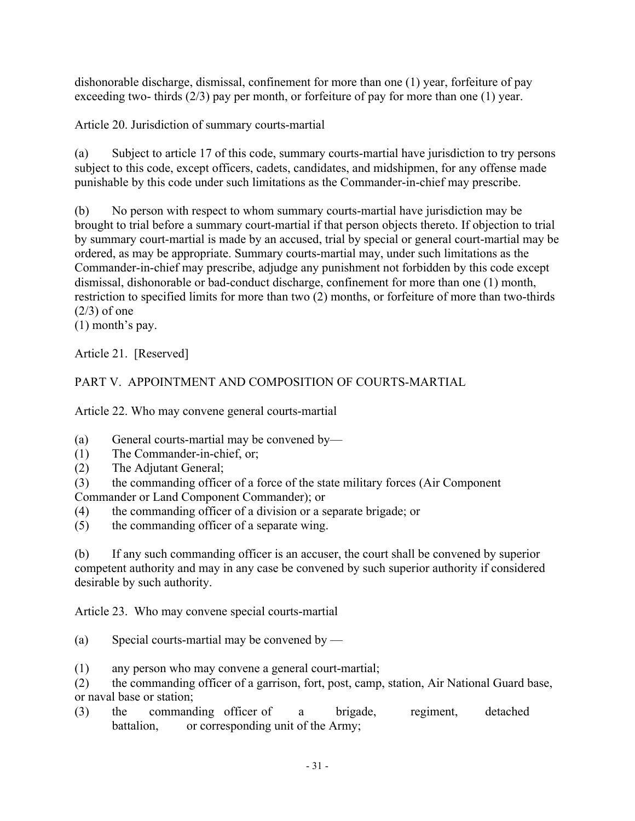dishonorable discharge, dismissal, confinement for more than one (1) year, forfeiture of pay exceeding two- thirds (2/3) pay per month, or forfeiture of pay for more than one (1) year.

Article 20. Jurisdiction of summary courts-martial

(a) Subject to article 17 of this code, summary courts-martial have jurisdiction to try persons subject to this code, except officers, cadets, candidates, and midshipmen, for any offense made punishable by this code under such limitations as the Commander-in-chief may prescribe.

(b) No person with respect to whom summary courts-martial have jurisdiction may be brought to trial before a summary court-martial if that person objects thereto. If objection to trial by summary court-martial is made by an accused, trial by special or general court-martial may be ordered, as may be appropriate. Summary courts-martial may, under such limitations as the Commander-in-chief may prescribe, adjudge any punishment not forbidden by this code except dismissal, dishonorable or bad-conduct discharge, confinement for more than one (1) month, restriction to specified limits for more than two (2) months, or forfeiture of more than two-thirds  $(2/3)$  of one

(1) month's pay.

Article 21. [Reserved]

# PART V. APPOINTMENT AND COMPOSITION OF COURTS-MARTIAL

Article 22. Who may convene general courts-martial

- (a) General courts-martial may be convened by—
- (1) The Commander-in-chief, or;
- (2) The Adjutant General;
- (3) the commanding officer of a force of the state military forces (Air Component Commander or Land Component Commander); or
- (4) the commanding officer of a division or a separate brigade; or
- (5) the commanding officer of a separate wing.

(b) If any such commanding officer is an accuser, the court shall be convened by superior competent authority and may in any case be convened by such superior authority if considered desirable by such authority.

Article 23. Who may convene special courts-martial

(a) Special courts-martial may be convened by —

(1) any person who may convene a general court-martial;

(2) the commanding officer of a garrison, fort, post, camp, station, Air National Guard base, or naval base or station;

(3) the commanding officer of a brigade, regiment, detached battalion, or corresponding unit of the Army;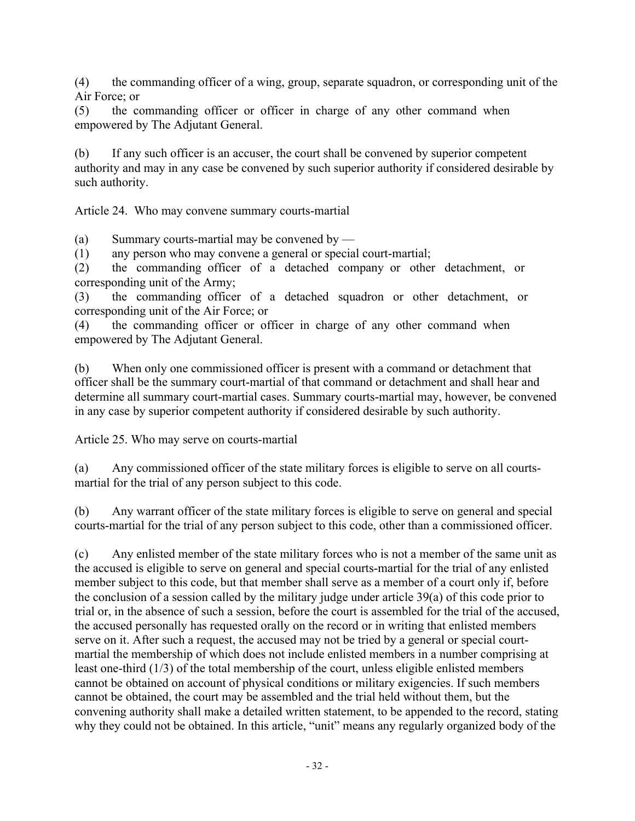(4) the commanding officer of a wing, group, separate squadron, or corresponding unit of the Air Force; or

(5) the commanding officer or officer in charge of any other command when empowered by The Adjutant General.

(b) If any such officer is an accuser, the court shall be convened by superior competent authority and may in any case be convened by such superior authority if considered desirable by such authority.

Article 24. Who may convene summary courts-martial

(a) Summary courts-martial may be convened by  $\frac{1}{2}$ 

(1) any person who may convene a general or special court-martial;

(2) the commanding officer of a detached company or other detachment, or corresponding unit of the Army;

(3) the commanding officer of a detached squadron or other detachment, or corresponding unit of the Air Force; or

(4) the commanding officer or officer in charge of any other command when empowered by The Adjutant General.

(b) When only one commissioned officer is present with a command or detachment that officer shall be the summary court-martial of that command or detachment and shall hear and determine all summary court-martial cases. Summary courts-martial may, however, be convened in any case by superior competent authority if considered desirable by such authority.

Article 25. Who may serve on courts-martial

(a) Any commissioned officer of the state military forces is eligible to serve on all courtsmartial for the trial of any person subject to this code.

(b) Any warrant officer of the state military forces is eligible to serve on general and special courts-martial for the trial of any person subject to this code, other than a commissioned officer.

(c) Any enlisted member of the state military forces who is not a member of the same unit as the accused is eligible to serve on general and special courts-martial for the trial of any enlisted member subject to this code, but that member shall serve as a member of a court only if, before the conclusion of a session called by the military judge under article 39(a) of this code prior to trial or, in the absence of such a session, before the court is assembled for the trial of the accused, the accused personally has requested orally on the record or in writing that enlisted members serve on it. After such a request, the accused may not be tried by a general or special courtmartial the membership of which does not include enlisted members in a number comprising at least one-third (1/3) of the total membership of the court, unless eligible enlisted members cannot be obtained on account of physical conditions or military exigencies. If such members cannot be obtained, the court may be assembled and the trial held without them, but the convening authority shall make a detailed written statement, to be appended to the record, stating why they could not be obtained. In this article, "unit" means any regularly organized body of the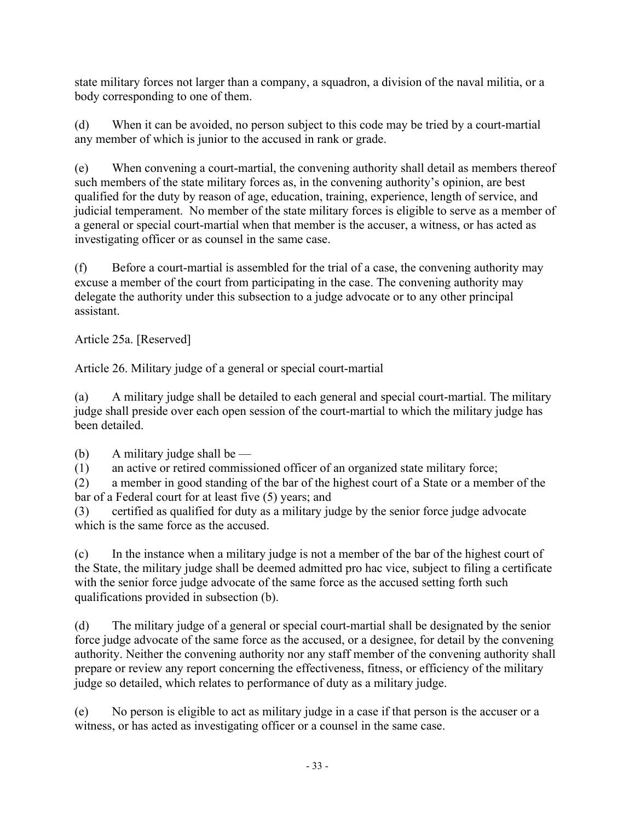state military forces not larger than a company, a squadron, a division of the naval militia, or a body corresponding to one of them.

(d) When it can be avoided, no person subject to this code may be tried by a court-martial any member of which is junior to the accused in rank or grade.

(e) When convening a court-martial, the convening authority shall detail as members thereof such members of the state military forces as, in the convening authority's opinion, are best qualified for the duty by reason of age, education, training, experience, length of service, and judicial temperament. No member of the state military forces is eligible to serve as a member of a general or special court-martial when that member is the accuser, a witness, or has acted as investigating officer or as counsel in the same case.

(f) Before a court-martial is assembled for the trial of a case, the convening authority may excuse a member of the court from participating in the case. The convening authority may delegate the authority under this subsection to a judge advocate or to any other principal assistant.

Article 25a. [Reserved]

Article 26. Military judge of a general or special court-martial

(a) A military judge shall be detailed to each general and special court-martial. The military judge shall preside over each open session of the court-martial to which the military judge has been detailed.

(b) A military judge shall be  $-$ 

(1) an active or retired commissioned officer of an organized state military force;

(2) a member in good standing of the bar of the highest court of a State or a member of the bar of a Federal court for at least five (5) years; and

(3) certified as qualified for duty as a military judge by the senior force judge advocate which is the same force as the accused.

(c) In the instance when a military judge is not a member of the bar of the highest court of the State, the military judge shall be deemed admitted pro hac vice, subject to filing a certificate with the senior force judge advocate of the same force as the accused setting forth such qualifications provided in subsection (b).

(d) The military judge of a general or special court-martial shall be designated by the senior force judge advocate of the same force as the accused, or a designee, for detail by the convening authority. Neither the convening authority nor any staff member of the convening authority shall prepare or review any report concerning the effectiveness, fitness, or efficiency of the military judge so detailed, which relates to performance of duty as a military judge.

(e) No person is eligible to act as military judge in a case if that person is the accuser or a witness, or has acted as investigating officer or a counsel in the same case.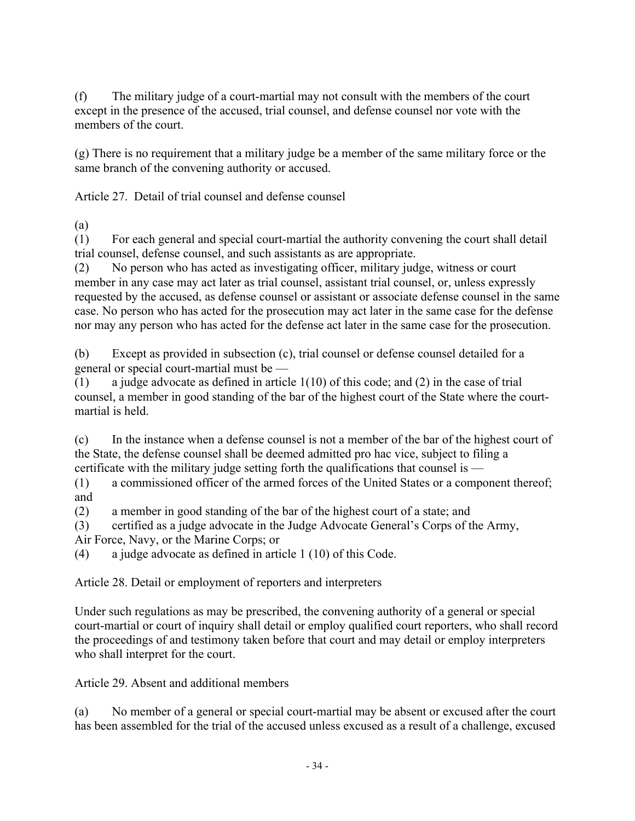(f) The military judge of a court-martial may not consult with the members of the court except in the presence of the accused, trial counsel, and defense counsel nor vote with the members of the court.

(g) There is no requirement that a military judge be a member of the same military force or the same branch of the convening authority or accused.

Article 27. Detail of trial counsel and defense counsel

(a)

(1) For each general and special court-martial the authority convening the court shall detail trial counsel, defense counsel, and such assistants as are appropriate.

(2) No person who has acted as investigating officer, military judge, witness or court member in any case may act later as trial counsel, assistant trial counsel, or, unless expressly requested by the accused, as defense counsel or assistant or associate defense counsel in the same case. No person who has acted for the prosecution may act later in the same case for the defense nor may any person who has acted for the defense act later in the same case for the prosecution.

(b) Except as provided in subsection (c), trial counsel or defense counsel detailed for a general or special court-martial must be —

(1) a judge advocate as defined in article 1(10) of this code; and (2) in the case of trial counsel, a member in good standing of the bar of the highest court of the State where the courtmartial is held.

(c) In the instance when a defense counsel is not a member of the bar of the highest court of the State, the defense counsel shall be deemed admitted pro hac vice, subject to filing a certificate with the military judge setting forth the qualifications that counsel is —

(1) a commissioned officer of the armed forces of the United States or a component thereof; and

(2) a member in good standing of the bar of the highest court of a state; and

(3) certified as a judge advocate in the Judge Advocate General's Corps of the Army,

Air Force, Navy, or the Marine Corps; or

(4) a judge advocate as defined in article 1 (10) of this Code.

Article 28. Detail or employment of reporters and interpreters

Under such regulations as may be prescribed, the convening authority of a general or special court-martial or court of inquiry shall detail or employ qualified court reporters, who shall record the proceedings of and testimony taken before that court and may detail or employ interpreters who shall interpret for the court.

Article 29. Absent and additional members

(a) No member of a general or special court-martial may be absent or excused after the court has been assembled for the trial of the accused unless excused as a result of a challenge, excused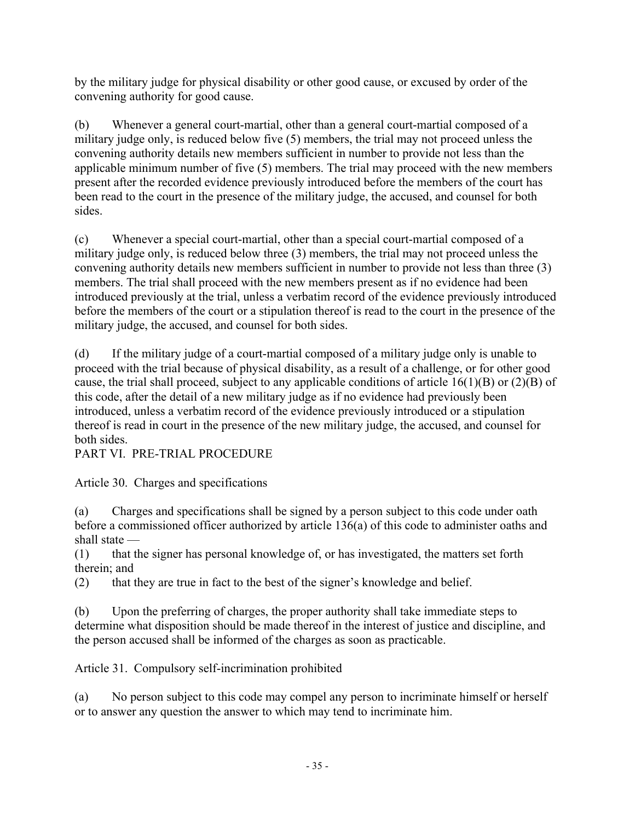by the military judge for physical disability or other good cause, or excused by order of the convening authority for good cause.

(b) Whenever a general court-martial, other than a general court-martial composed of a military judge only, is reduced below five (5) members, the trial may not proceed unless the convening authority details new members sufficient in number to provide not less than the applicable minimum number of five (5) members. The trial may proceed with the new members present after the recorded evidence previously introduced before the members of the court has been read to the court in the presence of the military judge, the accused, and counsel for both sides.

(c) Whenever a special court-martial, other than a special court-martial composed of a military judge only, is reduced below three (3) members, the trial may not proceed unless the convening authority details new members sufficient in number to provide not less than three (3) members. The trial shall proceed with the new members present as if no evidence had been introduced previously at the trial, unless a verbatim record of the evidence previously introduced before the members of the court or a stipulation thereof is read to the court in the presence of the military judge, the accused, and counsel for both sides.

(d) If the military judge of a court-martial composed of a military judge only is unable to proceed with the trial because of physical disability, as a result of a challenge, or for other good cause, the trial shall proceed, subject to any applicable conditions of article  $16(1)(B)$  or  $(2)(B)$  of this code, after the detail of a new military judge as if no evidence had previously been introduced, unless a verbatim record of the evidence previously introduced or a stipulation thereof is read in court in the presence of the new military judge, the accused, and counsel for both sides.

PART VI. PRE-TRIAL PROCEDURE

Article 30. Charges and specifications

(a) Charges and specifications shall be signed by a person subject to this code under oath before a commissioned officer authorized by article 136(a) of this code to administer oaths and shall state —

(1) that the signer has personal knowledge of, or has investigated, the matters set forth therein; and

(2) that they are true in fact to the best of the signer's knowledge and belief.

(b) Upon the preferring of charges, the proper authority shall take immediate steps to determine what disposition should be made thereof in the interest of justice and discipline, and the person accused shall be informed of the charges as soon as practicable.

Article 31. Compulsory self-incrimination prohibited

(a) No person subject to this code may compel any person to incriminate himself or herself or to answer any question the answer to which may tend to incriminate him.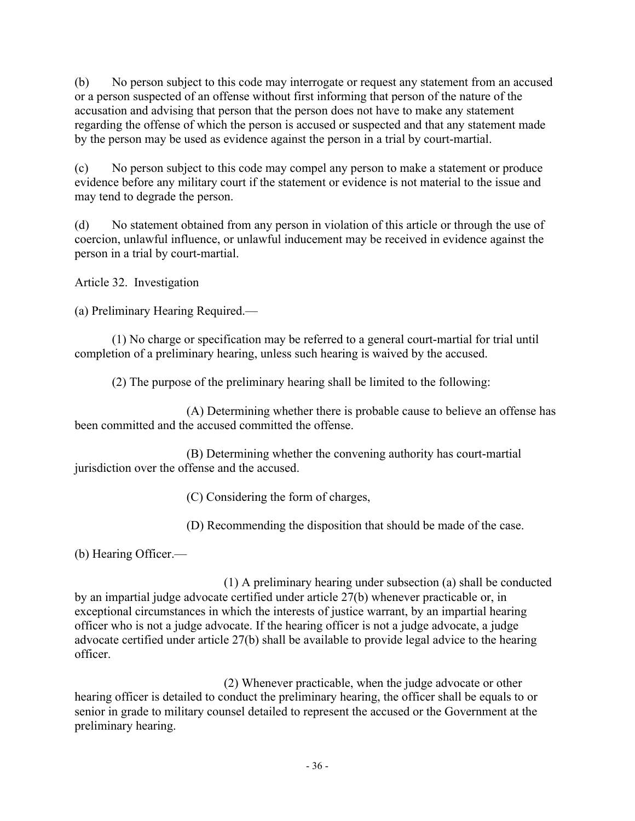(b) No person subject to this code may interrogate or request any statement from an accused or a person suspected of an offense without first informing that person of the nature of the accusation and advising that person that the person does not have to make any statement regarding the offense of which the person is accused or suspected and that any statement made by the person may be used as evidence against the person in a trial by court-martial.

(c) No person subject to this code may compel any person to make a statement or produce evidence before any military court if the statement or evidence is not material to the issue and may tend to degrade the person.

(d) No statement obtained from any person in violation of this article or through the use of coercion, unlawful influence, or unlawful inducement may be received in evidence against the person in a trial by court-martial.

Article 32. Investigation

(a) Preliminary Hearing Required.—

(1) No charge or specification may be referred to a general court-martial for trial until completion of a preliminary hearing, unless such hearing is waived by the accused.

(2) The purpose of the preliminary hearing shall be limited to the following:

(A) Determining whether there is probable cause to believe an offense has been committed and the accused committed the offense.

(B) Determining whether the convening authority has court-martial jurisdiction over the offense and the accused.

(C) Considering the form of charges,

(D) Recommending the disposition that should be made of the case.

(b) Hearing Officer.—

(1) A preliminary hearing under subsection (a) shall be conducted by an impartial judge advocate certified under article 27(b) whenever practicable or, in exceptional circumstances in which the interests of justice warrant, by an impartial hearing officer who is not a judge advocate. If the hearing officer is not a judge advocate, a judge advocate certified under article 27(b) shall be available to provide legal advice to the hearing officer.

(2) Whenever practicable, when the judge advocate or other hearing officer is detailed to conduct the preliminary hearing, the officer shall be equals to or senior in grade to military counsel detailed to represent the accused or the Government at the preliminary hearing.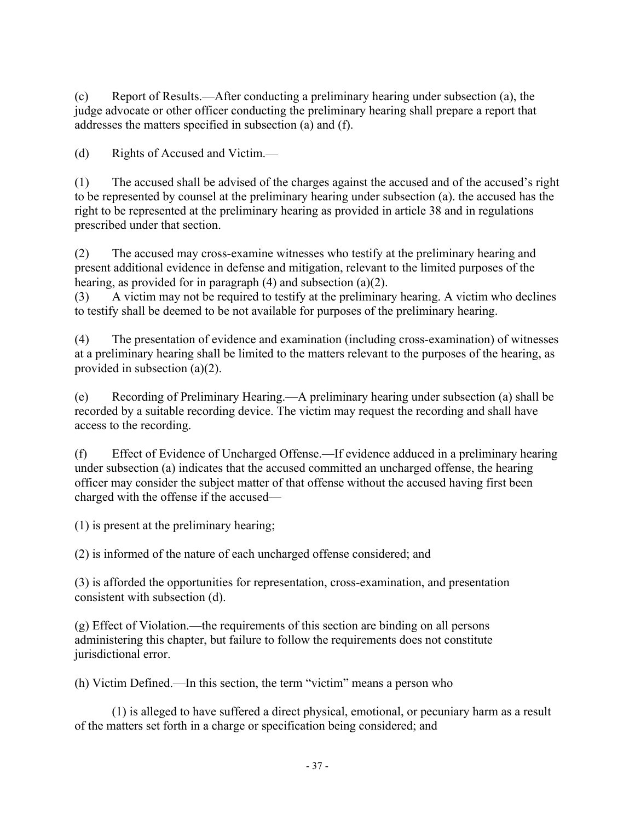(c) Report of Results.—After conducting a preliminary hearing under subsection (a), the judge advocate or other officer conducting the preliminary hearing shall prepare a report that addresses the matters specified in subsection (a) and (f).

(d) Rights of Accused and Victim.—

(1) The accused shall be advised of the charges against the accused and of the accused's right to be represented by counsel at the preliminary hearing under subsection (a). the accused has the right to be represented at the preliminary hearing as provided in article 38 and in regulations prescribed under that section.

(2) The accused may cross-examine witnesses who testify at the preliminary hearing and present additional evidence in defense and mitigation, relevant to the limited purposes of the hearing, as provided for in paragraph (4) and subsection (a)(2).

(3) A victim may not be required to testify at the preliminary hearing. A victim who declines to testify shall be deemed to be not available for purposes of the preliminary hearing.

(4) The presentation of evidence and examination (including cross-examination) of witnesses at a preliminary hearing shall be limited to the matters relevant to the purposes of the hearing, as provided in subsection (a)(2).

(e) Recording of Preliminary Hearing.—A preliminary hearing under subsection (a) shall be recorded by a suitable recording device. The victim may request the recording and shall have access to the recording.

(f) Effect of Evidence of Uncharged Offense.—If evidence adduced in a preliminary hearing under subsection (a) indicates that the accused committed an uncharged offense, the hearing officer may consider the subject matter of that offense without the accused having first been charged with the offense if the accused—

(1) is present at the preliminary hearing;

(2) is informed of the nature of each uncharged offense considered; and

(3) is afforded the opportunities for representation, cross-examination, and presentation consistent with subsection (d).

(g) Effect of Violation.—the requirements of this section are binding on all persons administering this chapter, but failure to follow the requirements does not constitute jurisdictional error.

(h) Victim Defined.—In this section, the term "victim" means a person who

(1) is alleged to have suffered a direct physical, emotional, or pecuniary harm as a result of the matters set forth in a charge or specification being considered; and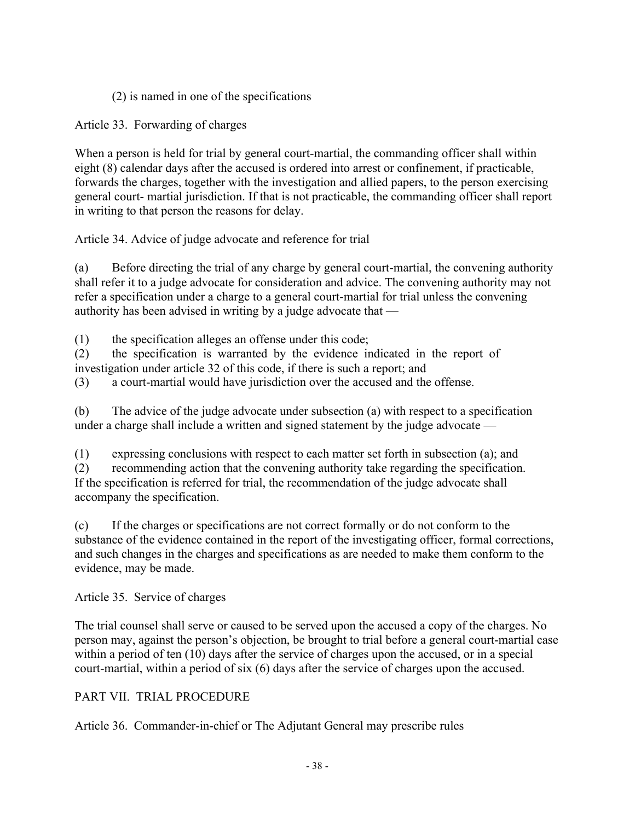(2) is named in one of the specifications

Article 33. Forwarding of charges

When a person is held for trial by general court-martial, the commanding officer shall within eight (8) calendar days after the accused is ordered into arrest or confinement, if practicable, forwards the charges, together with the investigation and allied papers, to the person exercising general court- martial jurisdiction. If that is not practicable, the commanding officer shall report in writing to that person the reasons for delay.

Article 34. Advice of judge advocate and reference for trial

(a) Before directing the trial of any charge by general court-martial, the convening authority shall refer it to a judge advocate for consideration and advice. The convening authority may not refer a specification under a charge to a general court-martial for trial unless the convening authority has been advised in writing by a judge advocate that —

(1) the specification alleges an offense under this code;

(2) the specification is warranted by the evidence indicated in the report of investigation under article 32 of this code, if there is such a report; and

(3) a court-martial would have jurisdiction over the accused and the offense.

(b) The advice of the judge advocate under subsection (a) with respect to a specification under a charge shall include a written and signed statement by the judge advocate —

(1) expressing conclusions with respect to each matter set forth in subsection (a); and

(2) recommending action that the convening authority take regarding the specification. If the specification is referred for trial, the recommendation of the judge advocate shall accompany the specification.

(c) If the charges or specifications are not correct formally or do not conform to the substance of the evidence contained in the report of the investigating officer, formal corrections, and such changes in the charges and specifications as are needed to make them conform to the evidence, may be made.

# Article 35. Service of charges

The trial counsel shall serve or caused to be served upon the accused a copy of the charges. No person may, against the person's objection, be brought to trial before a general court-martial case within a period of ten (10) days after the service of charges upon the accused, or in a special court-martial, within a period of six (6) days after the service of charges upon the accused.

# PART VII. TRIAL PROCEDURE

Article 36. Commander-in-chief or The Adjutant General may prescribe rules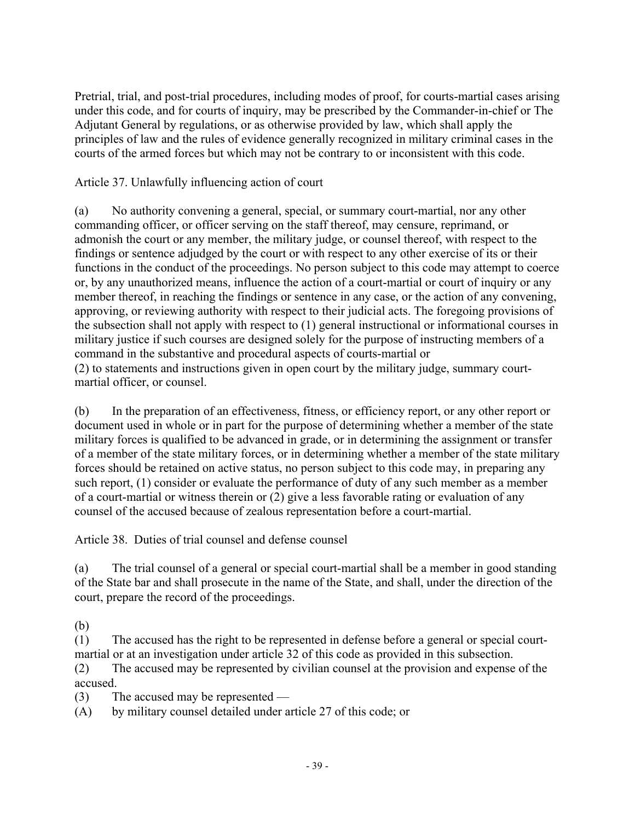Pretrial, trial, and post-trial procedures, including modes of proof, for courts-martial cases arising under this code, and for courts of inquiry, may be prescribed by the Commander-in-chief or The Adjutant General by regulations, or as otherwise provided by law, which shall apply the principles of law and the rules of evidence generally recognized in military criminal cases in the courts of the armed forces but which may not be contrary to or inconsistent with this code.

Article 37. Unlawfully influencing action of court

(a) No authority convening a general, special, or summary court-martial, nor any other commanding officer, or officer serving on the staff thereof, may censure, reprimand, or admonish the court or any member, the military judge, or counsel thereof, with respect to the findings or sentence adjudged by the court or with respect to any other exercise of its or their functions in the conduct of the proceedings. No person subject to this code may attempt to coerce or, by any unauthorized means, influence the action of a court-martial or court of inquiry or any member thereof, in reaching the findings or sentence in any case, or the action of any convening, approving, or reviewing authority with respect to their judicial acts. The foregoing provisions of the subsection shall not apply with respect to (1) general instructional or informational courses in military justice if such courses are designed solely for the purpose of instructing members of a command in the substantive and procedural aspects of courts-martial or (2) to statements and instructions given in open court by the military judge, summary courtmartial officer, or counsel.

(b) In the preparation of an effectiveness, fitness, or efficiency report, or any other report or document used in whole or in part for the purpose of determining whether a member of the state military forces is qualified to be advanced in grade, or in determining the assignment or transfer of a member of the state military forces, or in determining whether a member of the state military forces should be retained on active status, no person subject to this code may, in preparing any such report, (1) consider or evaluate the performance of duty of any such member as a member of a court-martial or witness therein or (2) give a less favorable rating or evaluation of any counsel of the accused because of zealous representation before a court-martial.

Article 38. Duties of trial counsel and defense counsel

(a) The trial counsel of a general or special court-martial shall be a member in good standing of the State bar and shall prosecute in the name of the State, and shall, under the direction of the court, prepare the record of the proceedings.

(b)

(1) The accused has the right to be represented in defense before a general or special courtmartial or at an investigation under article 32 of this code as provided in this subsection.

(2) The accused may be represented by civilian counsel at the provision and expense of the accused.

(3) The accused may be represented —

(A) by military counsel detailed under article 27 of this code; or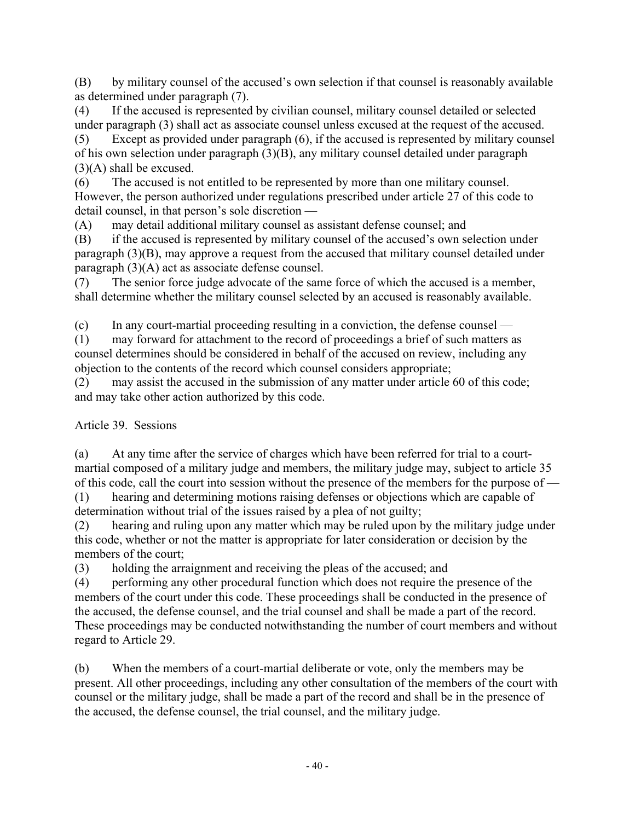(B) by military counsel of the accused's own selection if that counsel is reasonably available as determined under paragraph (7).

(4) If the accused is represented by civilian counsel, military counsel detailed or selected under paragraph (3) shall act as associate counsel unless excused at the request of the accused.

(5) Except as provided under paragraph (6), if the accused is represented by military counsel of his own selection under paragraph (3)(B), any military counsel detailed under paragraph  $(3)(A)$  shall be excused.

(6) The accused is not entitled to be represented by more than one military counsel. However, the person authorized under regulations prescribed under article 27 of this code to detail counsel, in that person's sole discretion —

(A) may detail additional military counsel as assistant defense counsel; and

(B) if the accused is represented by military counsel of the accused's own selection under paragraph (3)(B), may approve a request from the accused that military counsel detailed under paragraph (3)(A) act as associate defense counsel.

(7) The senior force judge advocate of the same force of which the accused is a member, shall determine whether the military counsel selected by an accused is reasonably available.

(c) In any court-martial proceeding resulting in a conviction, the defense counsel —

(1) may forward for attachment to the record of proceedings a brief of such matters as counsel determines should be considered in behalf of the accused on review, including any objection to the contents of the record which counsel considers appropriate;

(2) may assist the accused in the submission of any matter under article 60 of this code; and may take other action authorized by this code.

Article 39. Sessions

(a) At any time after the service of charges which have been referred for trial to a courtmartial composed of a military judge and members, the military judge may, subject to article 35 of this code, call the court into session without the presence of the members for the purpose of —

(1) hearing and determining motions raising defenses or objections which are capable of determination without trial of the issues raised by a plea of not guilty;

(2) hearing and ruling upon any matter which may be ruled upon by the military judge under this code, whether or not the matter is appropriate for later consideration or decision by the members of the court;

(3) holding the arraignment and receiving the pleas of the accused; and

(4) performing any other procedural function which does not require the presence of the members of the court under this code. These proceedings shall be conducted in the presence of the accused, the defense counsel, and the trial counsel and shall be made a part of the record. These proceedings may be conducted notwithstanding the number of court members and without regard to Article 29.

(b) When the members of a court-martial deliberate or vote, only the members may be present. All other proceedings, including any other consultation of the members of the court with counsel or the military judge, shall be made a part of the record and shall be in the presence of the accused, the defense counsel, the trial counsel, and the military judge.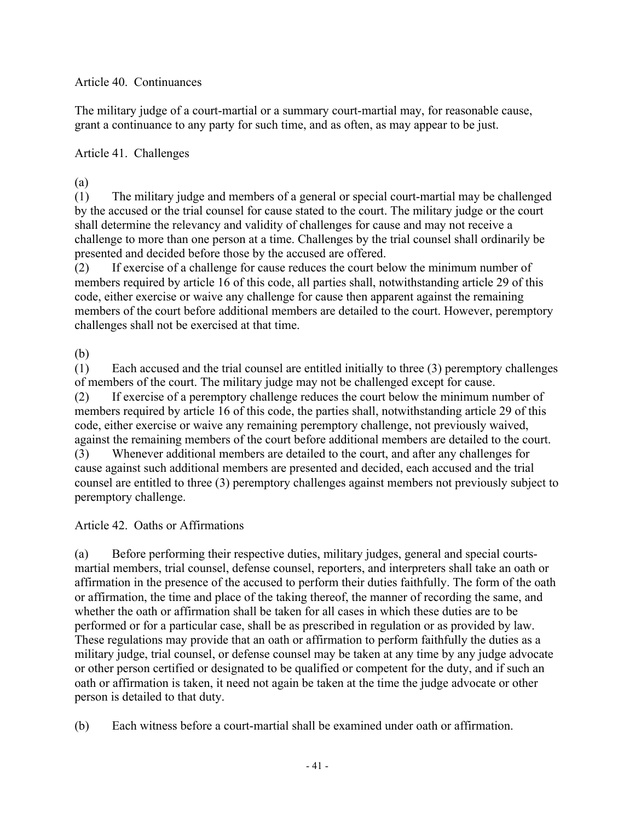#### Article 40. Continuances

The military judge of a court-martial or a summary court-martial may, for reasonable cause, grant a continuance to any party for such time, and as often, as may appear to be just.

#### Article 41. Challenges

(a)

(1) The military judge and members of a general or special court-martial may be challenged by the accused or the trial counsel for cause stated to the court. The military judge or the court shall determine the relevancy and validity of challenges for cause and may not receive a challenge to more than one person at a time. Challenges by the trial counsel shall ordinarily be presented and decided before those by the accused are offered.

(2) If exercise of a challenge for cause reduces the court below the minimum number of members required by article 16 of this code, all parties shall, notwithstanding article 29 of this code, either exercise or waive any challenge for cause then apparent against the remaining members of the court before additional members are detailed to the court. However, peremptory challenges shall not be exercised at that time.

(b)

(1) Each accused and the trial counsel are entitled initially to three (3) peremptory challenges of members of the court. The military judge may not be challenged except for cause.

(2) If exercise of a peremptory challenge reduces the court below the minimum number of members required by article 16 of this code, the parties shall, notwithstanding article 29 of this code, either exercise or waive any remaining peremptory challenge, not previously waived, against the remaining members of the court before additional members are detailed to the court.

(3) Whenever additional members are detailed to the court, and after any challenges for cause against such additional members are presented and decided, each accused and the trial counsel are entitled to three (3) peremptory challenges against members not previously subject to peremptory challenge.

Article 42. Oaths or Affirmations

(a) Before performing their respective duties, military judges, general and special courtsmartial members, trial counsel, defense counsel, reporters, and interpreters shall take an oath or affirmation in the presence of the accused to perform their duties faithfully. The form of the oath or affirmation, the time and place of the taking thereof, the manner of recording the same, and whether the oath or affirmation shall be taken for all cases in which these duties are to be performed or for a particular case, shall be as prescribed in regulation or as provided by law. These regulations may provide that an oath or affirmation to perform faithfully the duties as a military judge, trial counsel, or defense counsel may be taken at any time by any judge advocate or other person certified or designated to be qualified or competent for the duty, and if such an oath or affirmation is taken, it need not again be taken at the time the judge advocate or other person is detailed to that duty.

(b) Each witness before a court-martial shall be examined under oath or affirmation.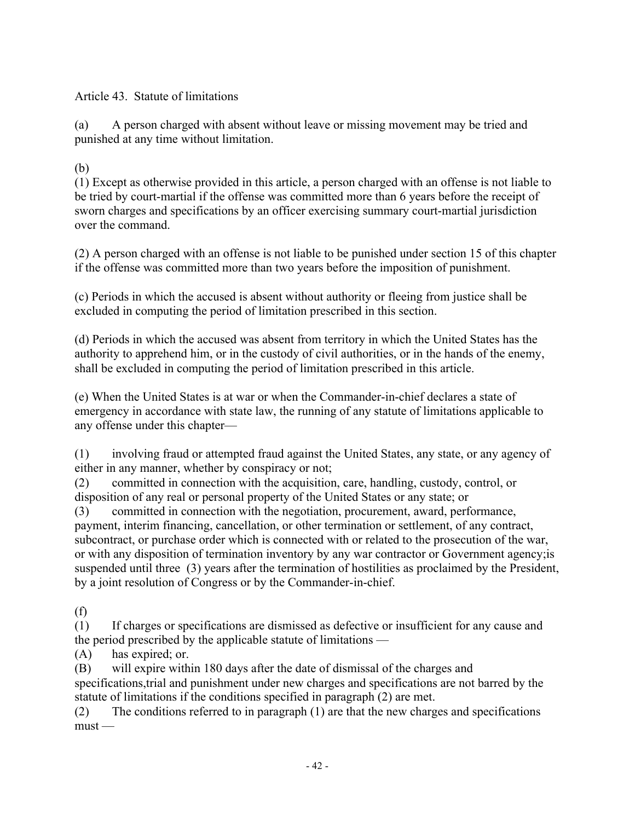Article 43. Statute of limitations

(a) A person charged with absent without leave or missing movement may be tried and punished at any time without limitation.

### (b)

(1) Except as otherwise provided in this article, a person charged with an offense is not liable to be tried by court-martial if the offense was committed more than 6 years before the receipt of sworn charges and specifications by an officer exercising summary court-martial jurisdiction over the command.

(2) A person charged with an offense is not liable to be punished under section 15 of this chapter if the offense was committed more than two years before the imposition of punishment.

(c) Periods in which the accused is absent without authority or fleeing from justice shall be excluded in computing the period of limitation prescribed in this section.

(d) Periods in which the accused was absent from territory in which the United States has the authority to apprehend him, or in the custody of civil authorities, or in the hands of the enemy, shall be excluded in computing the period of limitation prescribed in this article.

(e) When the United States is at war or when the Commander-in-chief declares a state of emergency in accordance with state law, the running of any statute of limitations applicable to any offense under this chapter—

(1) involving fraud or attempted fraud against the United States, any state, or any agency of either in any manner, whether by conspiracy or not;

(2) committed in connection with the acquisition, care, handling, custody, control, or disposition of any real or personal property of the United States or any state; or

(3) committed in connection with the negotiation, procurement, award, performance, payment, interim financing, cancellation, or other termination or settlement, of any contract, subcontract, or purchase order which is connected with or related to the prosecution of the war, or with any disposition of termination inventory by any war contractor or Government agency;is suspended until three (3) years after the termination of hostilities as proclaimed by the President, by a joint resolution of Congress or by the Commander-in-chief.

(f)

(1) If charges or specifications are dismissed as defective or insufficient for any cause and the period prescribed by the applicable statute of limitations —

(A) has expired; or.

(B) will expire within 180 days after the date of dismissal of the charges and

specifications,trial and punishment under new charges and specifications are not barred by the statute of limitations if the conditions specified in paragraph (2) are met.

(2) The conditions referred to in paragraph (1) are that the new charges and specifications  $must -$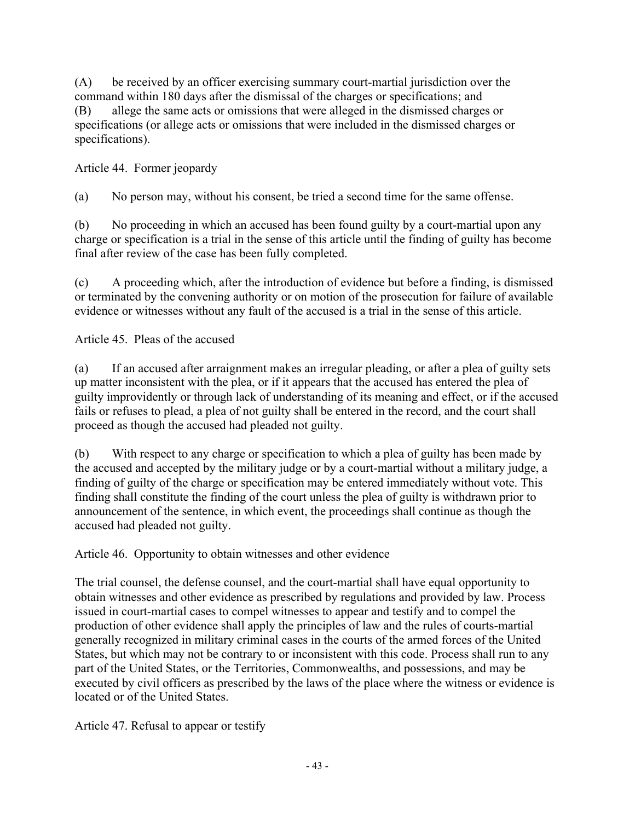(A) be received by an officer exercising summary court-martial jurisdiction over the command within 180 days after the dismissal of the charges or specifications; and (B) allege the same acts or omissions that were alleged in the dismissed charges or specifications (or allege acts or omissions that were included in the dismissed charges or specifications).

Article 44. Former jeopardy

(a) No person may, without his consent, be tried a second time for the same offense.

(b) No proceeding in which an accused has been found guilty by a court-martial upon any charge or specification is a trial in the sense of this article until the finding of guilty has become final after review of the case has been fully completed.

(c) A proceeding which, after the introduction of evidence but before a finding, is dismissed or terminated by the convening authority or on motion of the prosecution for failure of available evidence or witnesses without any fault of the accused is a trial in the sense of this article.

Article 45. Pleas of the accused

(a) If an accused after arraignment makes an irregular pleading, or after a plea of guilty sets up matter inconsistent with the plea, or if it appears that the accused has entered the plea of guilty improvidently or through lack of understanding of its meaning and effect, or if the accused fails or refuses to plead, a plea of not guilty shall be entered in the record, and the court shall proceed as though the accused had pleaded not guilty.

(b) With respect to any charge or specification to which a plea of guilty has been made by the accused and accepted by the military judge or by a court-martial without a military judge, a finding of guilty of the charge or specification may be entered immediately without vote. This finding shall constitute the finding of the court unless the plea of guilty is withdrawn prior to announcement of the sentence, in which event, the proceedings shall continue as though the accused had pleaded not guilty.

Article 46. Opportunity to obtain witnesses and other evidence

The trial counsel, the defense counsel, and the court-martial shall have equal opportunity to obtain witnesses and other evidence as prescribed by regulations and provided by law. Process issued in court-martial cases to compel witnesses to appear and testify and to compel the production of other evidence shall apply the principles of law and the rules of courts-martial generally recognized in military criminal cases in the courts of the armed forces of the United States, but which may not be contrary to or inconsistent with this code. Process shall run to any part of the United States, or the Territories, Commonwealths, and possessions, and may be executed by civil officers as prescribed by the laws of the place where the witness or evidence is located or of the United States.

Article 47. Refusal to appear or testify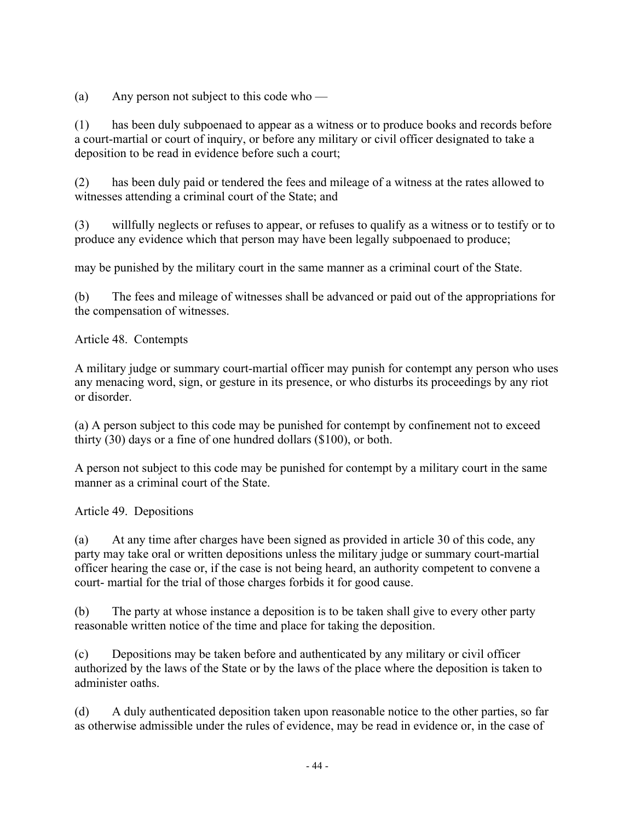(a) Any person not subject to this code who —

(1) has been duly subpoenaed to appear as a witness or to produce books and records before a court-martial or court of inquiry, or before any military or civil officer designated to take a deposition to be read in evidence before such a court;

(2) has been duly paid or tendered the fees and mileage of a witness at the rates allowed to witnesses attending a criminal court of the State; and

(3) willfully neglects or refuses to appear, or refuses to qualify as a witness or to testify or to produce any evidence which that person may have been legally subpoenaed to produce;

may be punished by the military court in the same manner as a criminal court of the State.

(b) The fees and mileage of witnesses shall be advanced or paid out of the appropriations for the compensation of witnesses.

Article 48. Contempts

A military judge or summary court-martial officer may punish for contempt any person who uses any menacing word, sign, or gesture in its presence, or who disturbs its proceedings by any riot or disorder.

(a) A person subject to this code may be punished for contempt by confinement not to exceed thirty (30) days or a fine of one hundred dollars (\$100), or both.

A person not subject to this code may be punished for contempt by a military court in the same manner as a criminal court of the State.

Article 49. Depositions

(a) At any time after charges have been signed as provided in article 30 of this code, any party may take oral or written depositions unless the military judge or summary court-martial officer hearing the case or, if the case is not being heard, an authority competent to convene a court- martial for the trial of those charges forbids it for good cause.

(b) The party at whose instance a deposition is to be taken shall give to every other party reasonable written notice of the time and place for taking the deposition.

(c) Depositions may be taken before and authenticated by any military or civil officer authorized by the laws of the State or by the laws of the place where the deposition is taken to administer oaths.

(d) A duly authenticated deposition taken upon reasonable notice to the other parties, so far as otherwise admissible under the rules of evidence, may be read in evidence or, in the case of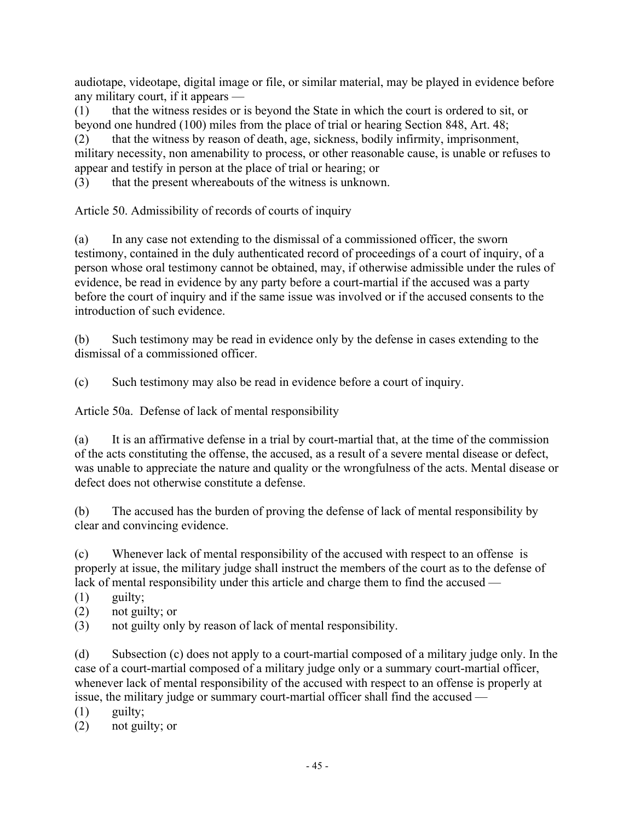audiotape, videotape, digital image or file, or similar material, may be played in evidence before any military court, if it appears —

(1) that the witness resides or is beyond the State in which the court is ordered to sit, or beyond one hundred (100) miles from the place of trial or hearing Section 848, Art. 48;

(2) that the witness by reason of death, age, sickness, bodily infirmity, imprisonment, military necessity, non amenability to process, or other reasonable cause, is unable or refuses to appear and testify in person at the place of trial or hearing; or

(3) that the present whereabouts of the witness is unknown.

Article 50. Admissibility of records of courts of inquiry

(a) In any case not extending to the dismissal of a commissioned officer, the sworn testimony, contained in the duly authenticated record of proceedings of a court of inquiry, of a person whose oral testimony cannot be obtained, may, if otherwise admissible under the rules of evidence, be read in evidence by any party before a court-martial if the accused was a party before the court of inquiry and if the same issue was involved or if the accused consents to the introduction of such evidence.

(b) Such testimony may be read in evidence only by the defense in cases extending to the dismissal of a commissioned officer.

(c) Such testimony may also be read in evidence before a court of inquiry.

Article 50a. Defense of lack of mental responsibility

(a) It is an affirmative defense in a trial by court-martial that, at the time of the commission of the acts constituting the offense, the accused, as a result of a severe mental disease or defect, was unable to appreciate the nature and quality or the wrongfulness of the acts. Mental disease or defect does not otherwise constitute a defense.

(b) The accused has the burden of proving the defense of lack of mental responsibility by clear and convincing evidence.

(c) Whenever lack of mental responsibility of the accused with respect to an offense is properly at issue, the military judge shall instruct the members of the court as to the defense of lack of mental responsibility under this article and charge them to find the accused —

- (1) guilty;
- (2) not guilty; or
- (3) not guilty only by reason of lack of mental responsibility.

(d) Subsection (c) does not apply to a court-martial composed of a military judge only. In the case of a court-martial composed of a military judge only or a summary court-martial officer, whenever lack of mental responsibility of the accused with respect to an offense is properly at issue, the military judge or summary court-martial officer shall find the accused —

(1) guilty;

(2) not guilty; or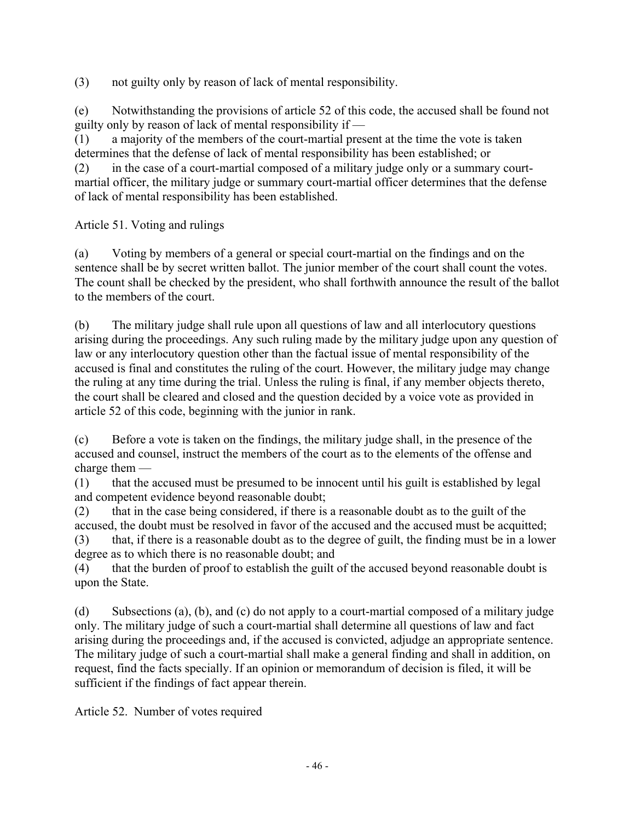(3) not guilty only by reason of lack of mental responsibility.

(e) Notwithstanding the provisions of article 52 of this code, the accused shall be found not guilty only by reason of lack of mental responsibility if —

(1) a majority of the members of the court-martial present at the time the vote is taken determines that the defense of lack of mental responsibility has been established; or (2) in the case of a court-martial composed of a military judge only or a summary court-

martial officer, the military judge or summary court-martial officer determines that the defense of lack of mental responsibility has been established.

Article 51. Voting and rulings

(a) Voting by members of a general or special court-martial on the findings and on the sentence shall be by secret written ballot. The junior member of the court shall count the votes. The count shall be checked by the president, who shall forthwith announce the result of the ballot to the members of the court.

(b) The military judge shall rule upon all questions of law and all interlocutory questions arising during the proceedings. Any such ruling made by the military judge upon any question of law or any interlocutory question other than the factual issue of mental responsibility of the accused is final and constitutes the ruling of the court. However, the military judge may change the ruling at any time during the trial. Unless the ruling is final, if any member objects thereto, the court shall be cleared and closed and the question decided by a voice vote as provided in article 52 of this code, beginning with the junior in rank.

(c) Before a vote is taken on the findings, the military judge shall, in the presence of the accused and counsel, instruct the members of the court as to the elements of the offense and charge them —

(1) that the accused must be presumed to be innocent until his guilt is established by legal and competent evidence beyond reasonable doubt;

(2) that in the case being considered, if there is a reasonable doubt as to the guilt of the accused, the doubt must be resolved in favor of the accused and the accused must be acquitted;

(3) that, if there is a reasonable doubt as to the degree of guilt, the finding must be in a lower degree as to which there is no reasonable doubt; and

(4) that the burden of proof to establish the guilt of the accused beyond reasonable doubt is upon the State.

(d) Subsections (a), (b), and (c) do not apply to a court-martial composed of a military judge only. The military judge of such a court-martial shall determine all questions of law and fact arising during the proceedings and, if the accused is convicted, adjudge an appropriate sentence. The military judge of such a court-martial shall make a general finding and shall in addition, on request, find the facts specially. If an opinion or memorandum of decision is filed, it will be sufficient if the findings of fact appear therein.

Article 52. Number of votes required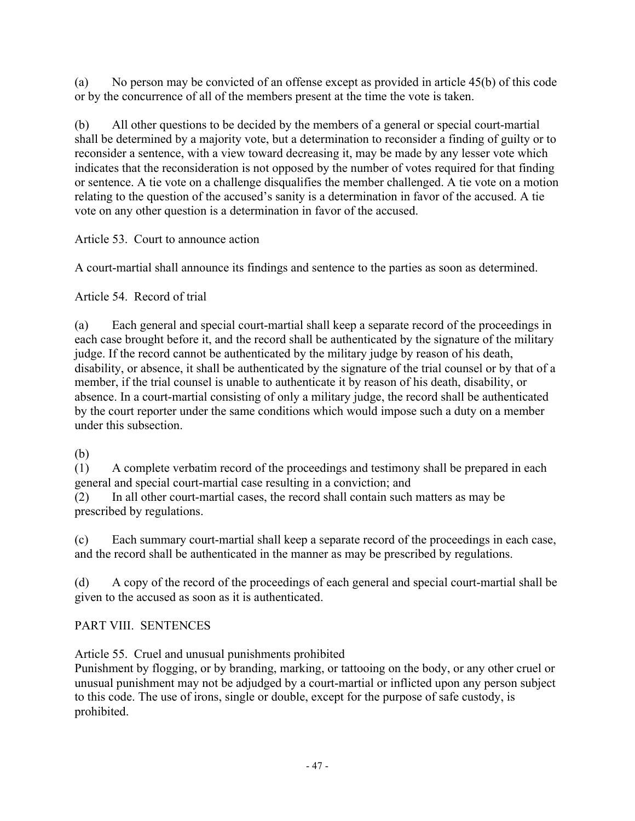(a) No person may be convicted of an offense except as provided in article 45(b) of this code or by the concurrence of all of the members present at the time the vote is taken.

(b) All other questions to be decided by the members of a general or special court-martial shall be determined by a majority vote, but a determination to reconsider a finding of guilty or to reconsider a sentence, with a view toward decreasing it, may be made by any lesser vote which indicates that the reconsideration is not opposed by the number of votes required for that finding or sentence. A tie vote on a challenge disqualifies the member challenged. A tie vote on a motion relating to the question of the accused's sanity is a determination in favor of the accused. A tie vote on any other question is a determination in favor of the accused.

Article 53. Court to announce action

A court-martial shall announce its findings and sentence to the parties as soon as determined.

Article 54. Record of trial

(a) Each general and special court-martial shall keep a separate record of the proceedings in each case brought before it, and the record shall be authenticated by the signature of the military judge. If the record cannot be authenticated by the military judge by reason of his death, disability, or absence, it shall be authenticated by the signature of the trial counsel or by that of a member, if the trial counsel is unable to authenticate it by reason of his death, disability, or absence. In a court-martial consisting of only a military judge, the record shall be authenticated by the court reporter under the same conditions which would impose such a duty on a member under this subsection.

(b)

(1) A complete verbatim record of the proceedings and testimony shall be prepared in each general and special court-martial case resulting in a conviction; and

(2) In all other court-martial cases, the record shall contain such matters as may be prescribed by regulations.

(c) Each summary court-martial shall keep a separate record of the proceedings in each case, and the record shall be authenticated in the manner as may be prescribed by regulations.

(d) A copy of the record of the proceedings of each general and special court-martial shall be given to the accused as soon as it is authenticated.

# PART VIII. SENTENCES

Article 55. Cruel and unusual punishments prohibited

Punishment by flogging, or by branding, marking, or tattooing on the body, or any other cruel or unusual punishment may not be adjudged by a court-martial or inflicted upon any person subject to this code. The use of irons, single or double, except for the purpose of safe custody, is prohibited.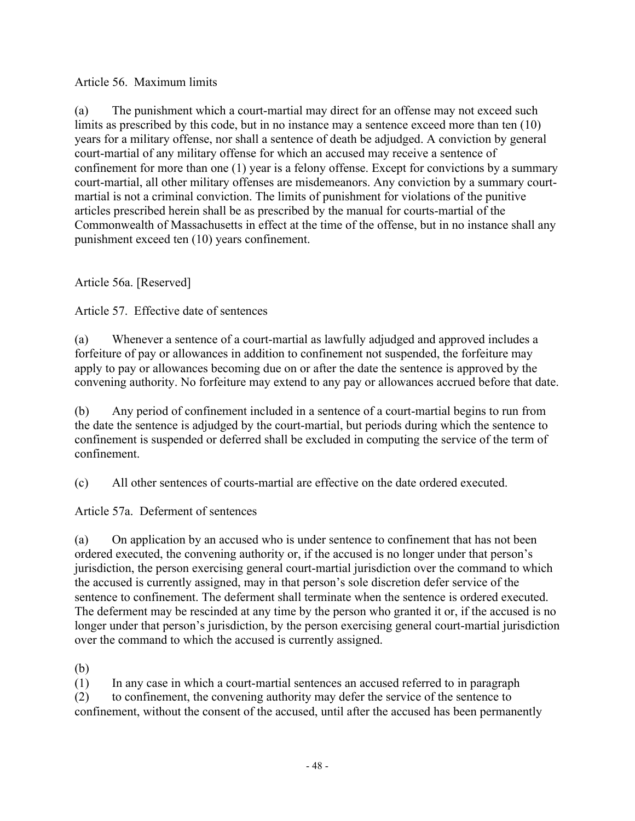### Article 56. Maximum limits

(a) The punishment which a court-martial may direct for an offense may not exceed such limits as prescribed by this code, but in no instance may a sentence exceed more than ten (10) years for a military offense, nor shall a sentence of death be adjudged. A conviction by general court-martial of any military offense for which an accused may receive a sentence of confinement for more than one (1) year is a felony offense. Except for convictions by a summary court-martial, all other military offenses are misdemeanors. Any conviction by a summary courtmartial is not a criminal conviction. The limits of punishment for violations of the punitive articles prescribed herein shall be as prescribed by the manual for courts-martial of the Commonwealth of Massachusetts in effect at the time of the offense, but in no instance shall any punishment exceed ten (10) years confinement.

Article 56a. [Reserved]

Article 57. Effective date of sentences

(a) Whenever a sentence of a court-martial as lawfully adjudged and approved includes a forfeiture of pay or allowances in addition to confinement not suspended, the forfeiture may apply to pay or allowances becoming due on or after the date the sentence is approved by the convening authority. No forfeiture may extend to any pay or allowances accrued before that date.

(b) Any period of confinement included in a sentence of a court-martial begins to run from the date the sentence is adjudged by the court-martial, but periods during which the sentence to confinement is suspended or deferred shall be excluded in computing the service of the term of confinement.

(c) All other sentences of courts-martial are effective on the date ordered executed.

Article 57a. Deferment of sentences

(a) On application by an accused who is under sentence to confinement that has not been ordered executed, the convening authority or, if the accused is no longer under that person's jurisdiction, the person exercising general court-martial jurisdiction over the command to which the accused is currently assigned, may in that person's sole discretion defer service of the sentence to confinement. The deferment shall terminate when the sentence is ordered executed. The deferment may be rescinded at any time by the person who granted it or, if the accused is no longer under that person's jurisdiction, by the person exercising general court-martial jurisdiction over the command to which the accused is currently assigned.

(b)

(1) In any case in which a court-martial sentences an accused referred to in paragraph

(2) to confinement, the convening authority may defer the service of the sentence to

confinement, without the consent of the accused, until after the accused has been permanently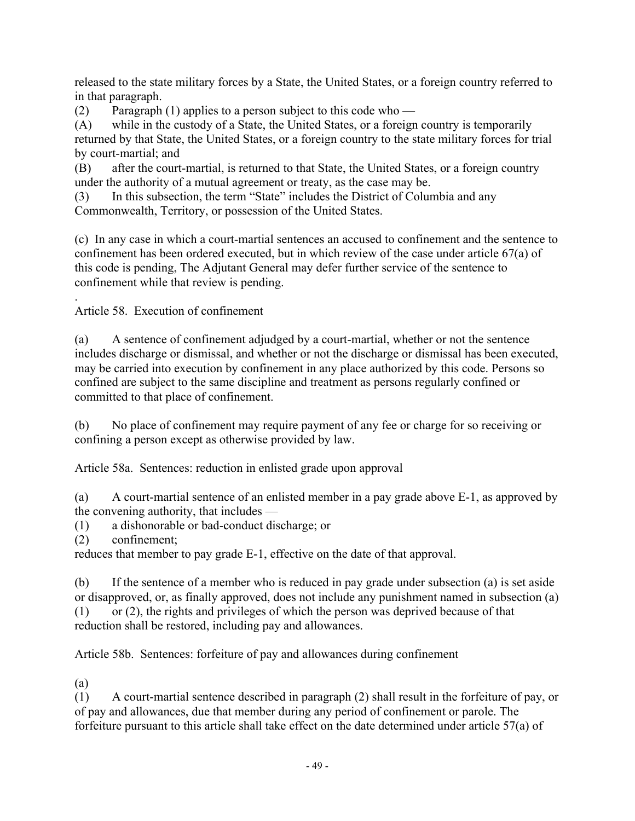released to the state military forces by a State, the United States, or a foreign country referred to in that paragraph.

(2) Paragraph (1) applies to a person subject to this code who —

(A) while in the custody of a State, the United States, or a foreign country is temporarily returned by that State, the United States, or a foreign country to the state military forces for trial by court-martial; and

(B) after the court-martial, is returned to that State, the United States, or a foreign country under the authority of a mutual agreement or treaty, as the case may be.

(3) In this subsection, the term "State" includes the District of Columbia and any Commonwealth, Territory, or possession of the United States.

(c) In any case in which a court-martial sentences an accused to confinement and the sentence to confinement has been ordered executed, but in which review of the case under article 67(a) of this code is pending, The Adjutant General may defer further service of the sentence to confinement while that review is pending.

. Article 58. Execution of confinement

(a) A sentence of confinement adjudged by a court-martial, whether or not the sentence includes discharge or dismissal, and whether or not the discharge or dismissal has been executed, may be carried into execution by confinement in any place authorized by this code. Persons so confined are subject to the same discipline and treatment as persons regularly confined or committed to that place of confinement.

(b) No place of confinement may require payment of any fee or charge for so receiving or confining a person except as otherwise provided by law.

Article 58a. Sentences: reduction in enlisted grade upon approval

(a) A court-martial sentence of an enlisted member in a pay grade above E-1, as approved by the convening authority, that includes —

(1) a dishonorable or bad-conduct discharge; or

(2) confinement;

reduces that member to pay grade E-1, effective on the date of that approval.

(b) If the sentence of a member who is reduced in pay grade under subsection (a) is set aside or disapproved, or, as finally approved, does not include any punishment named in subsection (a) (1) or (2), the rights and privileges of which the person was deprived because of that reduction shall be restored, including pay and allowances.

Article 58b. Sentences: forfeiture of pay and allowances during confinement

(a)

(1) A court-martial sentence described in paragraph (2) shall result in the forfeiture of pay, or of pay and allowances, due that member during any period of confinement or parole. The forfeiture pursuant to this article shall take effect on the date determined under article 57(a) of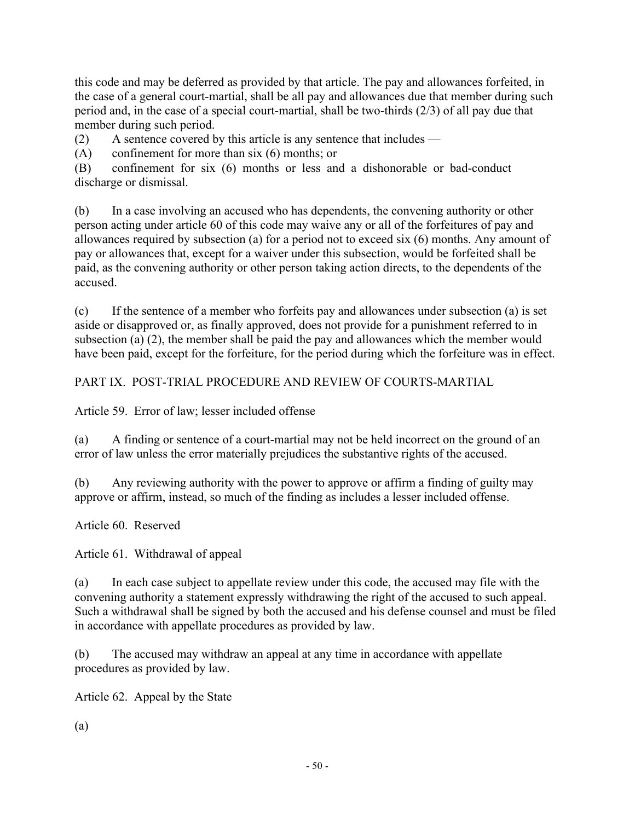this code and may be deferred as provided by that article. The pay and allowances forfeited, in the case of a general court-martial, shall be all pay and allowances due that member during such period and, in the case of a special court-martial, shall be two-thirds (2/3) of all pay due that member during such period.

(2) A sentence covered by this article is any sentence that includes —

(A) confinement for more than six (6) months; or

(B) confinement for six (6) months or less and a dishonorable or bad-conduct discharge or dismissal.

(b) In a case involving an accused who has dependents, the convening authority or other person acting under article 60 of this code may waive any or all of the forfeitures of pay and allowances required by subsection (a) for a period not to exceed six (6) months. Any amount of pay or allowances that, except for a waiver under this subsection, would be forfeited shall be paid, as the convening authority or other person taking action directs, to the dependents of the accused.

(c) If the sentence of a member who forfeits pay and allowances under subsection (a) is set aside or disapproved or, as finally approved, does not provide for a punishment referred to in subsection (a) (2), the member shall be paid the pay and allowances which the member would have been paid, except for the forfeiture, for the period during which the forfeiture was in effect.

PART IX. POST-TRIAL PROCEDURE AND REVIEW OF COURTS-MARTIAL

Article 59. Error of law; lesser included offense

(a) A finding or sentence of a court-martial may not be held incorrect on the ground of an error of law unless the error materially prejudices the substantive rights of the accused.

(b) Any reviewing authority with the power to approve or affirm a finding of guilty may approve or affirm, instead, so much of the finding as includes a lesser included offense.

Article 60. Reserved

Article 61. Withdrawal of appeal

(a) In each case subject to appellate review under this code, the accused may file with the convening authority a statement expressly withdrawing the right of the accused to such appeal. Such a withdrawal shall be signed by both the accused and his defense counsel and must be filed in accordance with appellate procedures as provided by law.

(b) The accused may withdraw an appeal at any time in accordance with appellate procedures as provided by law.

Article 62. Appeal by the State

(a)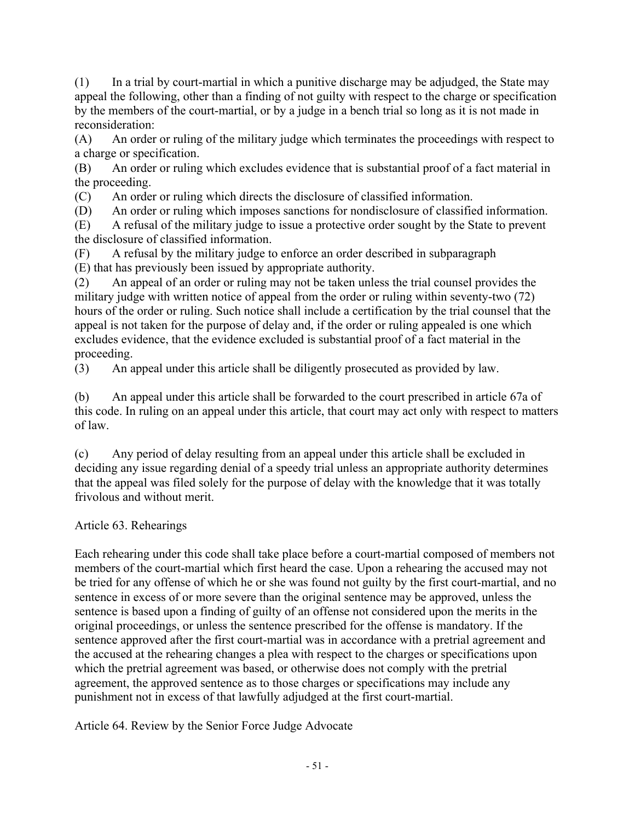(1) In a trial by court-martial in which a punitive discharge may be adjudged, the State may appeal the following, other than a finding of not guilty with respect to the charge or specification by the members of the court-martial, or by a judge in a bench trial so long as it is not made in reconsideration:

(A) An order or ruling of the military judge which terminates the proceedings with respect to a charge or specification.

(B) An order or ruling which excludes evidence that is substantial proof of a fact material in the proceeding.

(C) An order or ruling which directs the disclosure of classified information.

(D) An order or ruling which imposes sanctions for nondisclosure of classified information.

(E) A refusal of the military judge to issue a protective order sought by the State to prevent the disclosure of classified information.

(F) A refusal by the military judge to enforce an order described in subparagraph

(E) that has previously been issued by appropriate authority.

(2) An appeal of an order or ruling may not be taken unless the trial counsel provides the military judge with written notice of appeal from the order or ruling within seventy-two (72) hours of the order or ruling. Such notice shall include a certification by the trial counsel that the appeal is not taken for the purpose of delay and, if the order or ruling appealed is one which excludes evidence, that the evidence excluded is substantial proof of a fact material in the proceeding.

(3) An appeal under this article shall be diligently prosecuted as provided by law.

(b) An appeal under this article shall be forwarded to the court prescribed in article 67a of this code. In ruling on an appeal under this article, that court may act only with respect to matters of law.

(c) Any period of delay resulting from an appeal under this article shall be excluded in deciding any issue regarding denial of a speedy trial unless an appropriate authority determines that the appeal was filed solely for the purpose of delay with the knowledge that it was totally frivolous and without merit.

### Article 63. Rehearings

Each rehearing under this code shall take place before a court-martial composed of members not members of the court-martial which first heard the case. Upon a rehearing the accused may not be tried for any offense of which he or she was found not guilty by the first court-martial, and no sentence in excess of or more severe than the original sentence may be approved, unless the sentence is based upon a finding of guilty of an offense not considered upon the merits in the original proceedings, or unless the sentence prescribed for the offense is mandatory. If the sentence approved after the first court-martial was in accordance with a pretrial agreement and the accused at the rehearing changes a plea with respect to the charges or specifications upon which the pretrial agreement was based, or otherwise does not comply with the pretrial agreement, the approved sentence as to those charges or specifications may include any punishment not in excess of that lawfully adjudged at the first court-martial.

Article 64. Review by the Senior Force Judge Advocate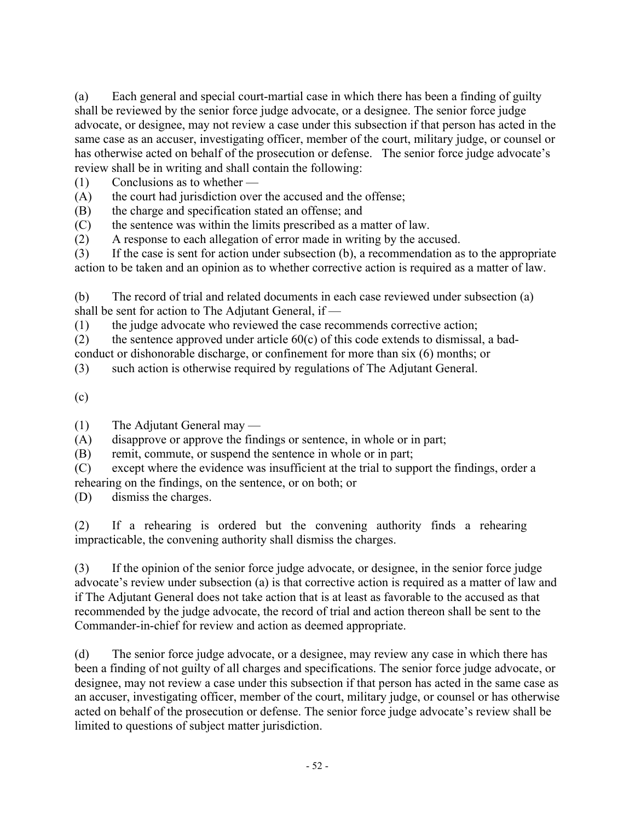(a) Each general and special court-martial case in which there has been a finding of guilty shall be reviewed by the senior force judge advocate, or a designee. The senior force judge advocate, or designee, may not review a case under this subsection if that person has acted in the same case as an accuser, investigating officer, member of the court, military judge, or counsel or has otherwise acted on behalf of the prosecution or defense. The senior force judge advocate's review shall be in writing and shall contain the following:

(1) Conclusions as to whether —

(A) the court had jurisdiction over the accused and the offense;

(B) the charge and specification stated an offense; and

(C) the sentence was within the limits prescribed as a matter of law.

(2) A response to each allegation of error made in writing by the accused.

(3) If the case is sent for action under subsection (b), a recommendation as to the appropriate action to be taken and an opinion as to whether corrective action is required as a matter of law.

(b) The record of trial and related documents in each case reviewed under subsection (a) shall be sent for action to The Adjutant General, if —

(1) the judge advocate who reviewed the case recommends corrective action;

(2) the sentence approved under article  $60(c)$  of this code extends to dismissal, a badconduct or dishonorable discharge, or confinement for more than six (6) months; or

(3) such action is otherwise required by regulations of The Adjutant General.

(c)

(1) The Adjutant General may —

(A) disapprove or approve the findings or sentence, in whole or in part;

(B) remit, commute, or suspend the sentence in whole or in part;

(C) except where the evidence was insufficient at the trial to support the findings, order a rehearing on the findings, on the sentence, or on both; or

(D) dismiss the charges.

(2) If a rehearing is ordered but the convening authority finds a rehearing impracticable, the convening authority shall dismiss the charges.

(3) If the opinion of the senior force judge advocate, or designee, in the senior force judge advocate's review under subsection (a) is that corrective action is required as a matter of law and if The Adjutant General does not take action that is at least as favorable to the accused as that recommended by the judge advocate, the record of trial and action thereon shall be sent to the Commander-in-chief for review and action as deemed appropriate.

(d) The senior force judge advocate, or a designee, may review any case in which there has been a finding of not guilty of all charges and specifications. The senior force judge advocate, or designee, may not review a case under this subsection if that person has acted in the same case as an accuser, investigating officer, member of the court, military judge, or counsel or has otherwise acted on behalf of the prosecution or defense. The senior force judge advocate's review shall be limited to questions of subject matter jurisdiction.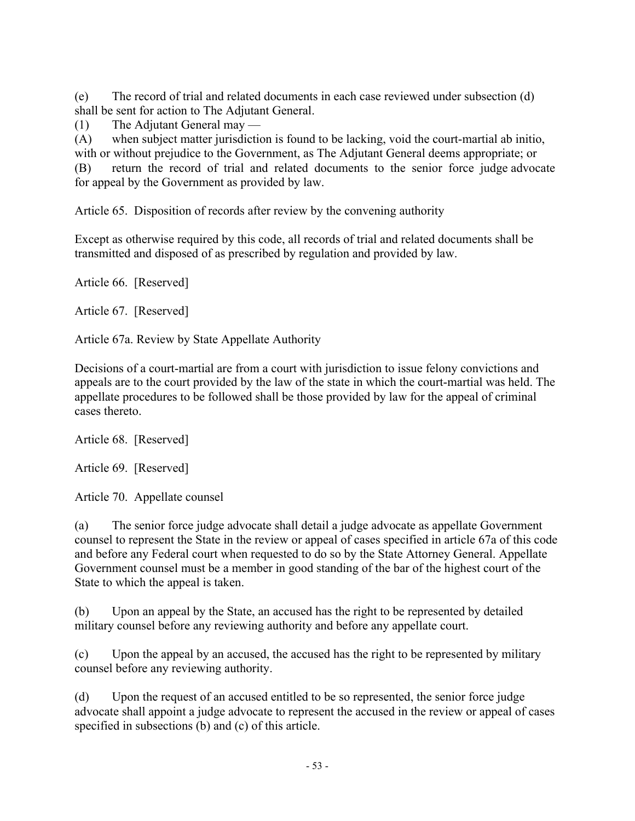(e) The record of trial and related documents in each case reviewed under subsection (d) shall be sent for action to The Adjutant General.

(1) The Adjutant General may —

(A) when subject matter jurisdiction is found to be lacking, void the court-martial ab initio, with or without prejudice to the Government, as The Adjutant General deems appropriate; or (B) return the record of trial and related documents to the senior force judge advocate for appeal by the Government as provided by law.

Article 65. Disposition of records after review by the convening authority

Except as otherwise required by this code, all records of trial and related documents shall be transmitted and disposed of as prescribed by regulation and provided by law.

Article 66. [Reserved]

Article 67. [Reserved]

Article 67a. Review by State Appellate Authority

Decisions of a court-martial are from a court with jurisdiction to issue felony convictions and appeals are to the court provided by the law of the state in which the court-martial was held. The appellate procedures to be followed shall be those provided by law for the appeal of criminal cases thereto.

Article 68. [Reserved]

Article 69. [Reserved]

Article 70. Appellate counsel

(a) The senior force judge advocate shall detail a judge advocate as appellate Government counsel to represent the State in the review or appeal of cases specified in article 67a of this code and before any Federal court when requested to do so by the State Attorney General. Appellate Government counsel must be a member in good standing of the bar of the highest court of the State to which the appeal is taken.

(b) Upon an appeal by the State, an accused has the right to be represented by detailed military counsel before any reviewing authority and before any appellate court.

(c) Upon the appeal by an accused, the accused has the right to be represented by military counsel before any reviewing authority.

(d) Upon the request of an accused entitled to be so represented, the senior force judge advocate shall appoint a judge advocate to represent the accused in the review or appeal of cases specified in subsections (b) and (c) of this article.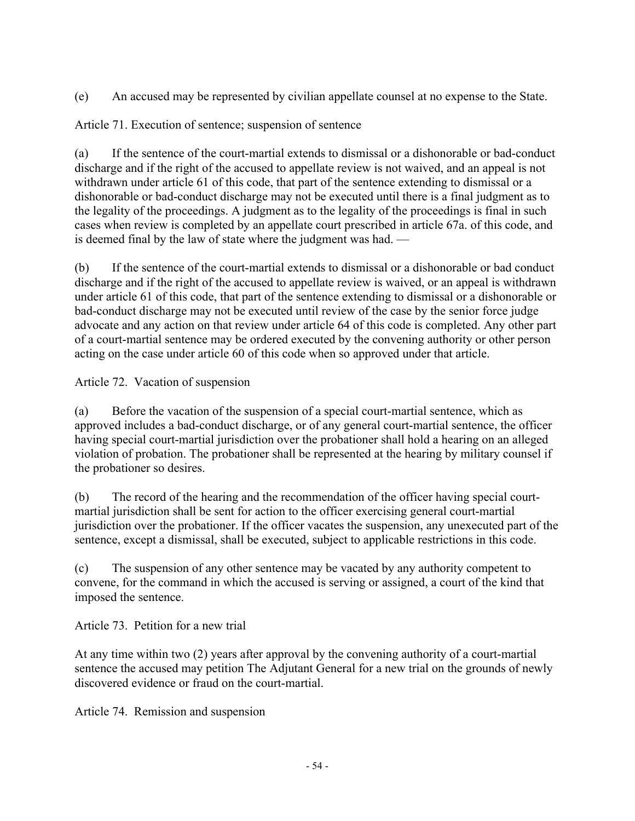(e) An accused may be represented by civilian appellate counsel at no expense to the State.

Article 71. Execution of sentence; suspension of sentence

(a) If the sentence of the court-martial extends to dismissal or a dishonorable or bad-conduct discharge and if the right of the accused to appellate review is not waived, and an appeal is not withdrawn under article 61 of this code, that part of the sentence extending to dismissal or a dishonorable or bad-conduct discharge may not be executed until there is a final judgment as to the legality of the proceedings. A judgment as to the legality of the proceedings is final in such cases when review is completed by an appellate court prescribed in article 67a. of this code, and is deemed final by the law of state where the judgment was had. —

(b) If the sentence of the court-martial extends to dismissal or a dishonorable or bad conduct discharge and if the right of the accused to appellate review is waived, or an appeal is withdrawn under article 61 of this code, that part of the sentence extending to dismissal or a dishonorable or bad-conduct discharge may not be executed until review of the case by the senior force judge advocate and any action on that review under article 64 of this code is completed. Any other part of a court-martial sentence may be ordered executed by the convening authority or other person acting on the case under article 60 of this code when so approved under that article.

Article 72. Vacation of suspension

(a) Before the vacation of the suspension of a special court-martial sentence, which as approved includes a bad-conduct discharge, or of any general court-martial sentence, the officer having special court-martial jurisdiction over the probationer shall hold a hearing on an alleged violation of probation. The probationer shall be represented at the hearing by military counsel if the probationer so desires.

(b) The record of the hearing and the recommendation of the officer having special courtmartial jurisdiction shall be sent for action to the officer exercising general court-martial jurisdiction over the probationer. If the officer vacates the suspension, any unexecuted part of the sentence, except a dismissal, shall be executed, subject to applicable restrictions in this code.

(c) The suspension of any other sentence may be vacated by any authority competent to convene, for the command in which the accused is serving or assigned, a court of the kind that imposed the sentence.

Article 73. Petition for a new trial

At any time within two (2) years after approval by the convening authority of a court-martial sentence the accused may petition The Adjutant General for a new trial on the grounds of newly discovered evidence or fraud on the court-martial.

Article 74. Remission and suspension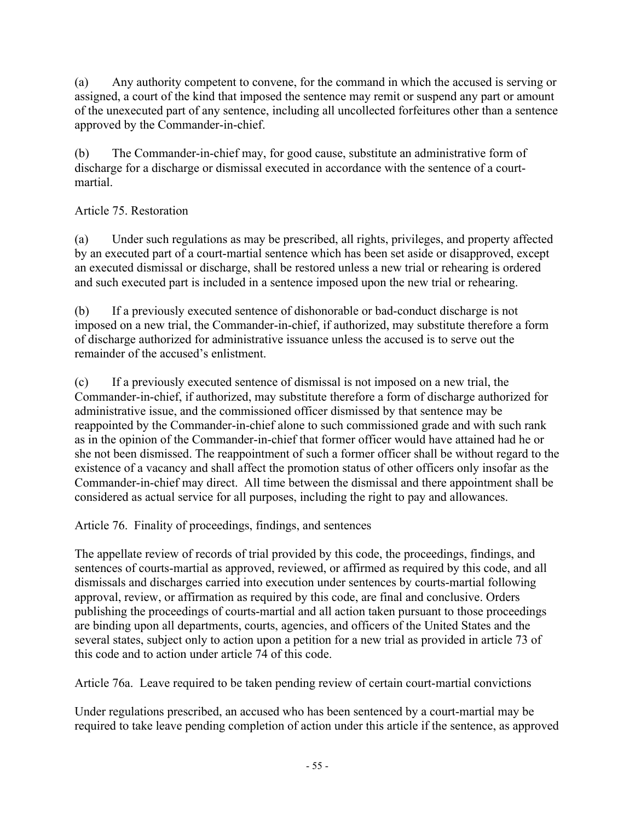(a) Any authority competent to convene, for the command in which the accused is serving or assigned, a court of the kind that imposed the sentence may remit or suspend any part or amount of the unexecuted part of any sentence, including all uncollected forfeitures other than a sentence approved by the Commander-in-chief.

(b) The Commander-in-chief may, for good cause, substitute an administrative form of discharge for a discharge or dismissal executed in accordance with the sentence of a courtmartial.

## Article 75. Restoration

(a) Under such regulations as may be prescribed, all rights, privileges, and property affected by an executed part of a court-martial sentence which has been set aside or disapproved, except an executed dismissal or discharge, shall be restored unless a new trial or rehearing is ordered and such executed part is included in a sentence imposed upon the new trial or rehearing.

(b) If a previously executed sentence of dishonorable or bad-conduct discharge is not imposed on a new trial, the Commander-in-chief, if authorized, may substitute therefore a form of discharge authorized for administrative issuance unless the accused is to serve out the remainder of the accused's enlistment.

(c) If a previously executed sentence of dismissal is not imposed on a new trial, the Commander-in-chief, if authorized, may substitute therefore a form of discharge authorized for administrative issue, and the commissioned officer dismissed by that sentence may be reappointed by the Commander-in-chief alone to such commissioned grade and with such rank as in the opinion of the Commander-in-chief that former officer would have attained had he or she not been dismissed. The reappointment of such a former officer shall be without regard to the existence of a vacancy and shall affect the promotion status of other officers only insofar as the Commander-in-chief may direct. All time between the dismissal and there appointment shall be considered as actual service for all purposes, including the right to pay and allowances.

Article 76. Finality of proceedings, findings, and sentences

The appellate review of records of trial provided by this code, the proceedings, findings, and sentences of courts-martial as approved, reviewed, or affirmed as required by this code, and all dismissals and discharges carried into execution under sentences by courts-martial following approval, review, or affirmation as required by this code, are final and conclusive. Orders publishing the proceedings of courts-martial and all action taken pursuant to those proceedings are binding upon all departments, courts, agencies, and officers of the United States and the several states, subject only to action upon a petition for a new trial as provided in article 73 of this code and to action under article 74 of this code.

Article 76a. Leave required to be taken pending review of certain court-martial convictions

Under regulations prescribed, an accused who has been sentenced by a court-martial may be required to take leave pending completion of action under this article if the sentence, as approved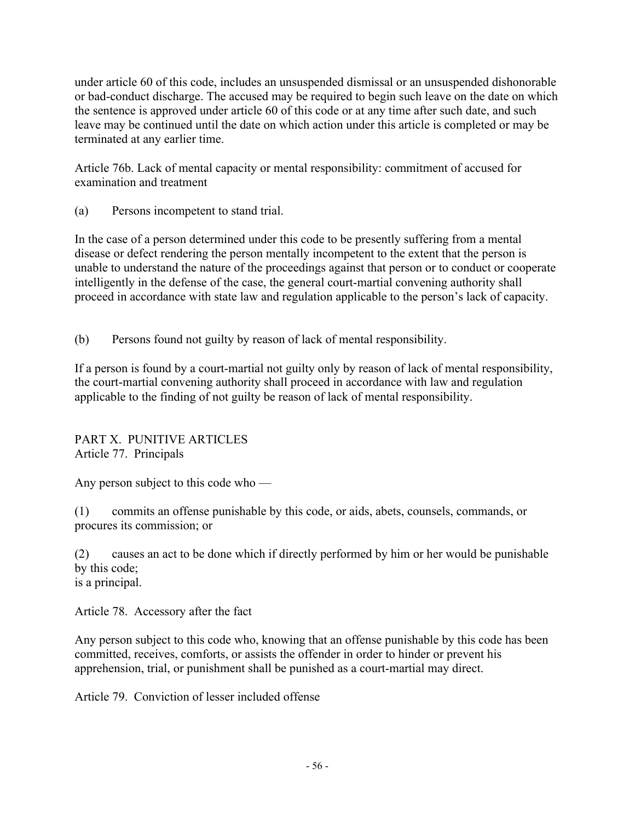under article 60 of this code, includes an unsuspended dismissal or an unsuspended dishonorable or bad-conduct discharge. The accused may be required to begin such leave on the date on which the sentence is approved under article 60 of this code or at any time after such date, and such leave may be continued until the date on which action under this article is completed or may be terminated at any earlier time.

Article 76b. Lack of mental capacity or mental responsibility: commitment of accused for examination and treatment

(a) Persons incompetent to stand trial.

In the case of a person determined under this code to be presently suffering from a mental disease or defect rendering the person mentally incompetent to the extent that the person is unable to understand the nature of the proceedings against that person or to conduct or cooperate intelligently in the defense of the case, the general court-martial convening authority shall proceed in accordance with state law and regulation applicable to the person's lack of capacity.

(b) Persons found not guilty by reason of lack of mental responsibility.

If a person is found by a court-martial not guilty only by reason of lack of mental responsibility, the court-martial convening authority shall proceed in accordance with law and regulation applicable to the finding of not guilty be reason of lack of mental responsibility.

PART X. PUNITIVE ARTICLES Article 77. Principals

Any person subject to this code who —

(1) commits an offense punishable by this code, or aids, abets, counsels, commands, or procures its commission; or

(2) causes an act to be done which if directly performed by him or her would be punishable by this code;

is a principal.

Article 78. Accessory after the fact

Any person subject to this code who, knowing that an offense punishable by this code has been committed, receives, comforts, or assists the offender in order to hinder or prevent his apprehension, trial, or punishment shall be punished as a court-martial may direct.

Article 79. Conviction of lesser included offense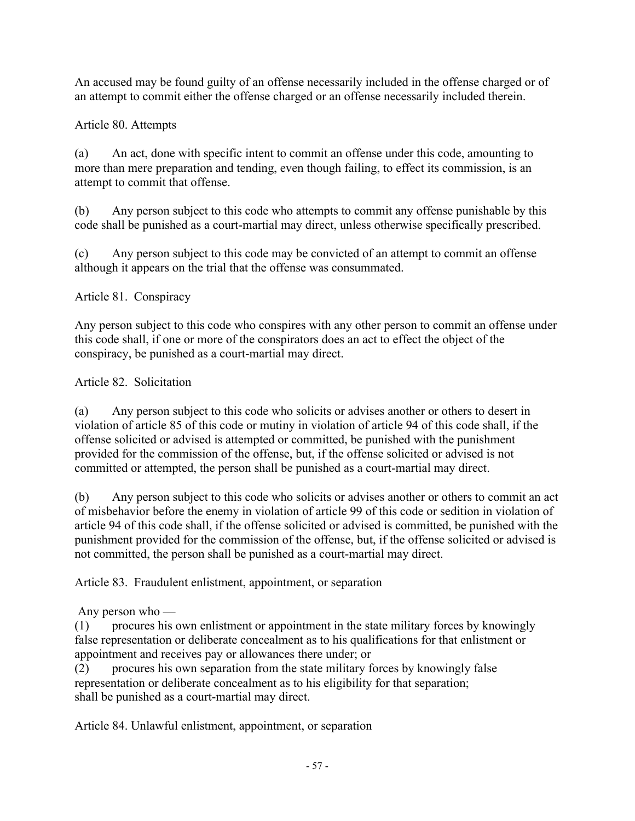An accused may be found guilty of an offense necessarily included in the offense charged or of an attempt to commit either the offense charged or an offense necessarily included therein.

## Article 80. Attempts

(a) An act, done with specific intent to commit an offense under this code, amounting to more than mere preparation and tending, even though failing, to effect its commission, is an attempt to commit that offense.

(b) Any person subject to this code who attempts to commit any offense punishable by this code shall be punished as a court-martial may direct, unless otherwise specifically prescribed.

(c) Any person subject to this code may be convicted of an attempt to commit an offense although it appears on the trial that the offense was consummated.

Article 81. Conspiracy

Any person subject to this code who conspires with any other person to commit an offense under this code shall, if one or more of the conspirators does an act to effect the object of the conspiracy, be punished as a court-martial may direct.

### Article 82. Solicitation

(a) Any person subject to this code who solicits or advises another or others to desert in violation of article 85 of this code or mutiny in violation of article 94 of this code shall, if the offense solicited or advised is attempted or committed, be punished with the punishment provided for the commission of the offense, but, if the offense solicited or advised is not committed or attempted, the person shall be punished as a court-martial may direct.

(b) Any person subject to this code who solicits or advises another or others to commit an act of misbehavior before the enemy in violation of article 99 of this code or sedition in violation of article 94 of this code shall, if the offense solicited or advised is committed, be punished with the punishment provided for the commission of the offense, but, if the offense solicited or advised is not committed, the person shall be punished as a court-martial may direct.

Article 83. Fraudulent enlistment, appointment, or separation

# Any person who —

(1) procures his own enlistment or appointment in the state military forces by knowingly false representation or deliberate concealment as to his qualifications for that enlistment or appointment and receives pay or allowances there under; or

(2) procures his own separation from the state military forces by knowingly false representation or deliberate concealment as to his eligibility for that separation; shall be punished as a court-martial may direct.

Article 84. Unlawful enlistment, appointment, or separation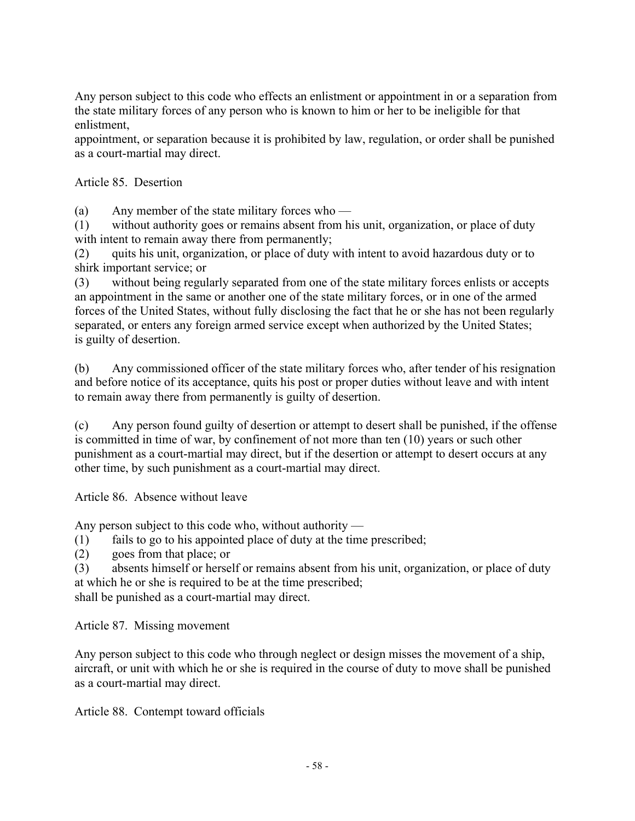Any person subject to this code who effects an enlistment or appointment in or a separation from the state military forces of any person who is known to him or her to be ineligible for that enlistment,

appointment, or separation because it is prohibited by law, regulation, or order shall be punished as a court-martial may direct.

Article 85. Desertion

(a) Any member of the state military forces who —

(1) without authority goes or remains absent from his unit, organization, or place of duty with intent to remain away there from permanently;

(2) quits his unit, organization, or place of duty with intent to avoid hazardous duty or to shirk important service; or

(3) without being regularly separated from one of the state military forces enlists or accepts an appointment in the same or another one of the state military forces, or in one of the armed forces of the United States, without fully disclosing the fact that he or she has not been regularly separated, or enters any foreign armed service except when authorized by the United States; is guilty of desertion.

(b) Any commissioned officer of the state military forces who, after tender of his resignation and before notice of its acceptance, quits his post or proper duties without leave and with intent to remain away there from permanently is guilty of desertion.

(c) Any person found guilty of desertion or attempt to desert shall be punished, if the offense is committed in time of war, by confinement of not more than ten (10) years or such other punishment as a court-martial may direct, but if the desertion or attempt to desert occurs at any other time, by such punishment as a court-martial may direct.

Article 86. Absence without leave

Any person subject to this code who, without authority —

- (1) fails to go to his appointed place of duty at the time prescribed;
- (2) goes from that place; or

(3) absents himself or herself or remains absent from his unit, organization, or place of duty at which he or she is required to be at the time prescribed; shall be punished as a court-martial may direct.

Article 87. Missing movement

Any person subject to this code who through neglect or design misses the movement of a ship, aircraft, or unit with which he or she is required in the course of duty to move shall be punished as a court-martial may direct.

Article 88. Contempt toward officials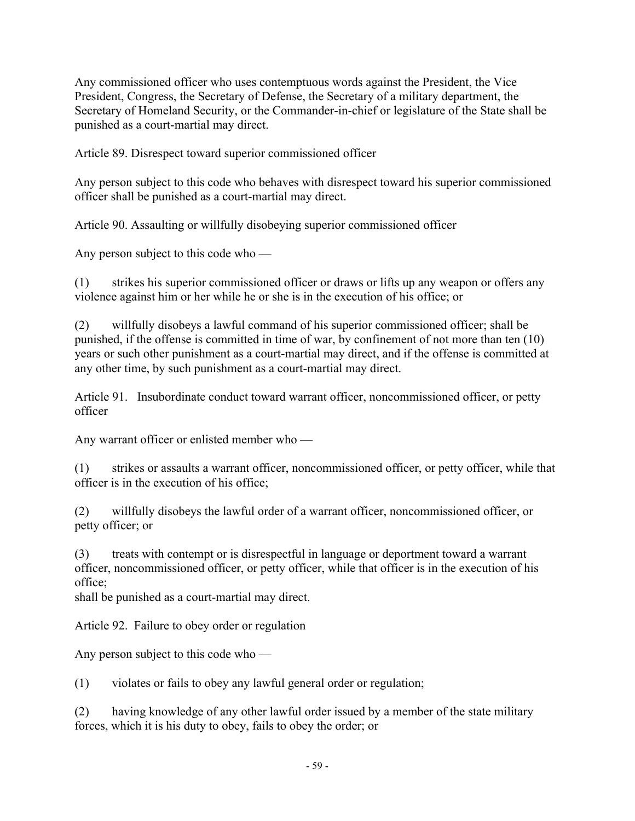Any commissioned officer who uses contemptuous words against the President, the Vice President, Congress, the Secretary of Defense, the Secretary of a military department, the Secretary of Homeland Security, or the Commander-in-chief or legislature of the State shall be punished as a court-martial may direct.

Article 89. Disrespect toward superior commissioned officer

Any person subject to this code who behaves with disrespect toward his superior commissioned officer shall be punished as a court-martial may direct.

Article 90. Assaulting or willfully disobeying superior commissioned officer

Any person subject to this code who —

(1) strikes his superior commissioned officer or draws or lifts up any weapon or offers any violence against him or her while he or she is in the execution of his office; or

(2) willfully disobeys a lawful command of his superior commissioned officer; shall be punished, if the offense is committed in time of war, by confinement of not more than ten (10) years or such other punishment as a court-martial may direct, and if the offense is committed at any other time, by such punishment as a court-martial may direct.

Article 91. Insubordinate conduct toward warrant officer, noncommissioned officer, or petty officer

Any warrant officer or enlisted member who —

(1) strikes or assaults a warrant officer, noncommissioned officer, or petty officer, while that officer is in the execution of his office;

(2) willfully disobeys the lawful order of a warrant officer, noncommissioned officer, or petty officer; or

(3) treats with contempt or is disrespectful in language or deportment toward a warrant officer, noncommissioned officer, or petty officer, while that officer is in the execution of his office;

shall be punished as a court-martial may direct.

Article 92. Failure to obey order or regulation

Any person subject to this code who —

(1) violates or fails to obey any lawful general order or regulation;

(2) having knowledge of any other lawful order issued by a member of the state military forces, which it is his duty to obey, fails to obey the order; or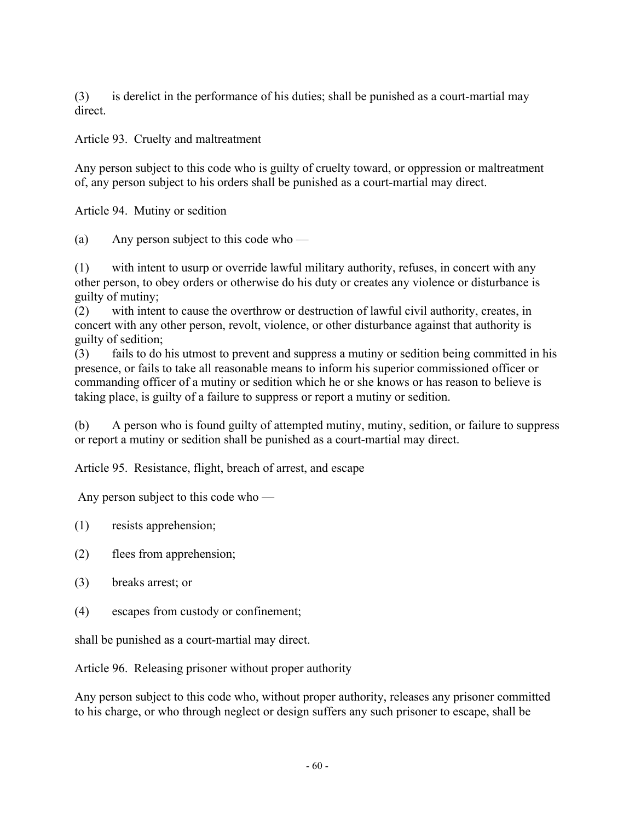(3) is derelict in the performance of his duties; shall be punished as a court-martial may direct.

Article 93. Cruelty and maltreatment

Any person subject to this code who is guilty of cruelty toward, or oppression or maltreatment of, any person subject to his orders shall be punished as a court-martial may direct.

Article 94. Mutiny or sedition

(a) Any person subject to this code who —

(1) with intent to usurp or override lawful military authority, refuses, in concert with any other person, to obey orders or otherwise do his duty or creates any violence or disturbance is guilty of mutiny;

(2) with intent to cause the overthrow or destruction of lawful civil authority, creates, in concert with any other person, revolt, violence, or other disturbance against that authority is guilty of sedition;

(3) fails to do his utmost to prevent and suppress a mutiny or sedition being committed in his presence, or fails to take all reasonable means to inform his superior commissioned officer or commanding officer of a mutiny or sedition which he or she knows or has reason to believe is taking place, is guilty of a failure to suppress or report a mutiny or sedition.

(b) A person who is found guilty of attempted mutiny, mutiny, sedition, or failure to suppress or report a mutiny or sedition shall be punished as a court-martial may direct.

Article 95. Resistance, flight, breach of arrest, and escape

Any person subject to this code who —

- (1) resists apprehension;
- (2) flees from apprehension;
- (3) breaks arrest; or
- (4) escapes from custody or confinement;

shall be punished as a court-martial may direct.

Article 96. Releasing prisoner without proper authority

Any person subject to this code who, without proper authority, releases any prisoner committed to his charge, or who through neglect or design suffers any such prisoner to escape, shall be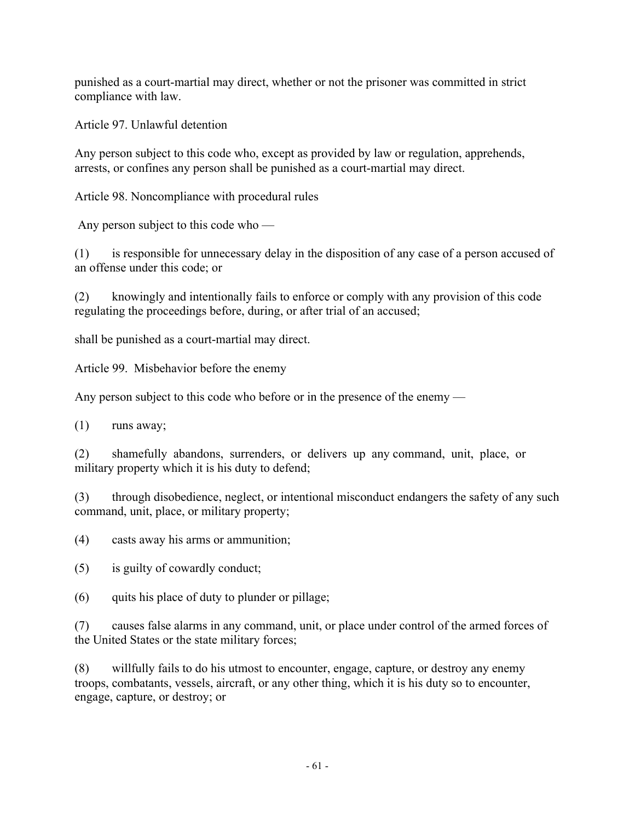punished as a court-martial may direct, whether or not the prisoner was committed in strict compliance with law.

Article 97. Unlawful detention

Any person subject to this code who, except as provided by law or regulation, apprehends, arrests, or confines any person shall be punished as a court-martial may direct.

Article 98. Noncompliance with procedural rules

Any person subject to this code who —

(1) is responsible for unnecessary delay in the disposition of any case of a person accused of an offense under this code; or

(2) knowingly and intentionally fails to enforce or comply with any provision of this code regulating the proceedings before, during, or after trial of an accused;

shall be punished as a court-martial may direct.

Article 99. Misbehavior before the enemy

Any person subject to this code who before or in the presence of the enemy —

(1) runs away;

(2) shamefully abandons, surrenders, or delivers up any command, unit, place, or military property which it is his duty to defend;

(3) through disobedience, neglect, or intentional misconduct endangers the safety of any such command, unit, place, or military property;

(4) casts away his arms or ammunition;

(5) is guilty of cowardly conduct;

(6) quits his place of duty to plunder or pillage;

(7) causes false alarms in any command, unit, or place under control of the armed forces of the United States or the state military forces;

(8) willfully fails to do his utmost to encounter, engage, capture, or destroy any enemy troops, combatants, vessels, aircraft, or any other thing, which it is his duty so to encounter, engage, capture, or destroy; or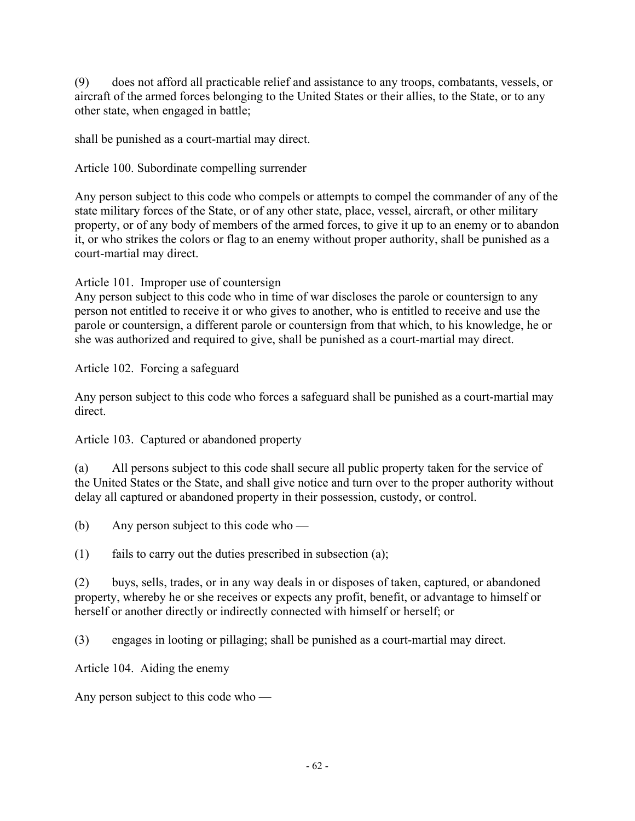(9) does not afford all practicable relief and assistance to any troops, combatants, vessels, or aircraft of the armed forces belonging to the United States or their allies, to the State, or to any other state, when engaged in battle;

shall be punished as a court-martial may direct.

Article 100. Subordinate compelling surrender

Any person subject to this code who compels or attempts to compel the commander of any of the state military forces of the State, or of any other state, place, vessel, aircraft, or other military property, or of any body of members of the armed forces, to give it up to an enemy or to abandon it, or who strikes the colors or flag to an enemy without proper authority, shall be punished as a court-martial may direct.

Article 101. Improper use of countersign

Any person subject to this code who in time of war discloses the parole or countersign to any person not entitled to receive it or who gives to another, who is entitled to receive and use the parole or countersign, a different parole or countersign from that which, to his knowledge, he or she was authorized and required to give, shall be punished as a court-martial may direct.

Article 102. Forcing a safeguard

Any person subject to this code who forces a safeguard shall be punished as a court-martial may direct.

Article 103. Captured or abandoned property

(a) All persons subject to this code shall secure all public property taken for the service of the United States or the State, and shall give notice and turn over to the proper authority without delay all captured or abandoned property in their possession, custody, or control.

(b) Any person subject to this code who —

 $(1)$  fails to carry out the duties prescribed in subsection (a);

(2) buys, sells, trades, or in any way deals in or disposes of taken, captured, or abandoned property, whereby he or she receives or expects any profit, benefit, or advantage to himself or herself or another directly or indirectly connected with himself or herself; or

(3) engages in looting or pillaging; shall be punished as a court-martial may direct.

Article 104. Aiding the enemy

Any person subject to this code who —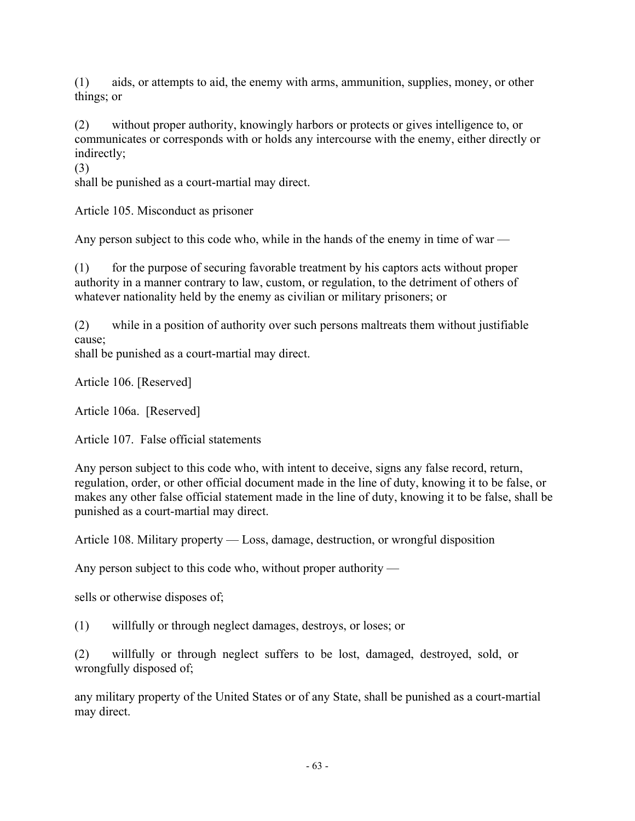(1) aids, or attempts to aid, the enemy with arms, ammunition, supplies, money, or other things; or

(2) without proper authority, knowingly harbors or protects or gives intelligence to, or communicates or corresponds with or holds any intercourse with the enemy, either directly or indirectly;

(3)

shall be punished as a court-martial may direct.

Article 105. Misconduct as prisoner

Any person subject to this code who, while in the hands of the enemy in time of war —

(1) for the purpose of securing favorable treatment by his captors acts without proper authority in a manner contrary to law, custom, or regulation, to the detriment of others of whatever nationality held by the enemy as civilian or military prisoners; or

(2) while in a position of authority over such persons maltreats them without justifiable cause;

shall be punished as a court-martial may direct.

Article 106. [Reserved]

Article 106a. [Reserved]

Article 107. False official statements

Any person subject to this code who, with intent to deceive, signs any false record, return, regulation, order, or other official document made in the line of duty, knowing it to be false, or makes any other false official statement made in the line of duty, knowing it to be false, shall be punished as a court-martial may direct.

Article 108. Military property — Loss, damage, destruction, or wrongful disposition

Any person subject to this code who, without proper authority —

sells or otherwise disposes of;

(1) willfully or through neglect damages, destroys, or loses; or

(2) willfully or through neglect suffers to be lost, damaged, destroyed, sold, or wrongfully disposed of;

any military property of the United States or of any State, shall be punished as a court-martial may direct.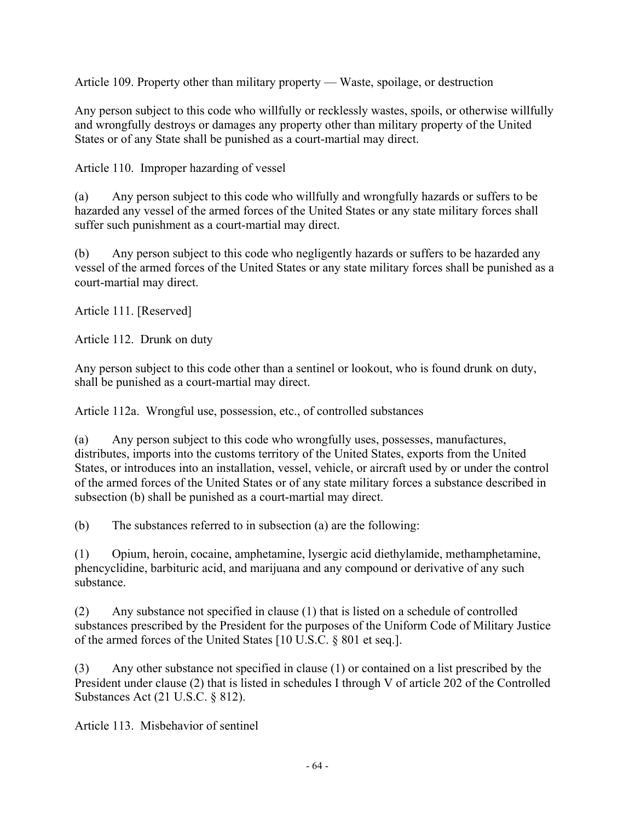Article 109. Property other than military property — Waste, spoilage, or destruction

Any person subject to this code who willfully or recklessly wastes, spoils, or otherwise willfully and wrongfully destroys or damages any property other than military property of the United States or of any State shall be punished as a court-martial may direct.

Article 110. Improper hazarding of vessel

(a) Any person subject to this code who willfully and wrongfully hazards or suffers to be hazarded any vessel of the armed forces of the United States or any state military forces shall suffer such punishment as a court-martial may direct.

(b) Any person subject to this code who negligently hazards or suffers to be hazarded any vessel of the armed forces of the United States or any state military forces shall be punished as a court-martial may direct.

Article 111. [Reserved]

Article 112. Drunk on duty

Any person subject to this code other than a sentinel or lookout, who is found drunk on duty, shall be punished as a court-martial may direct.

Article 112a. Wrongful use, possession, etc., of controlled substances

(a) Any person subject to this code who wrongfully uses, possesses, manufactures, distributes, imports into the customs territory of the United States, exports from the United States, or introduces into an installation, vessel, vehicle, or aircraft used by or under the control of the armed forces of the United States or of any state military forces a substance described in subsection (b) shall be punished as a court-martial may direct.

(b) The substances referred to in subsection (a) are the following:

(1) Opium, heroin, cocaine, amphetamine, lysergic acid diethylamide, methamphetamine, phencyclidine, barbituric acid, and marijuana and any compound or derivative of any such substance.

(2) Any substance not specified in clause (1) that is listed on a schedule of controlled substances prescribed by the President for the purposes of the Uniform Code of Military Justice of the armed forces of the United States [10 U.S.C. § 801 et seq.].

(3) Any other substance not specified in clause (1) or contained on a list prescribed by the President under clause (2) that is listed in schedules I through V of article 202 of the Controlled Substances Act (21 U.S.C. § 812).

Article 113. Misbehavior of sentinel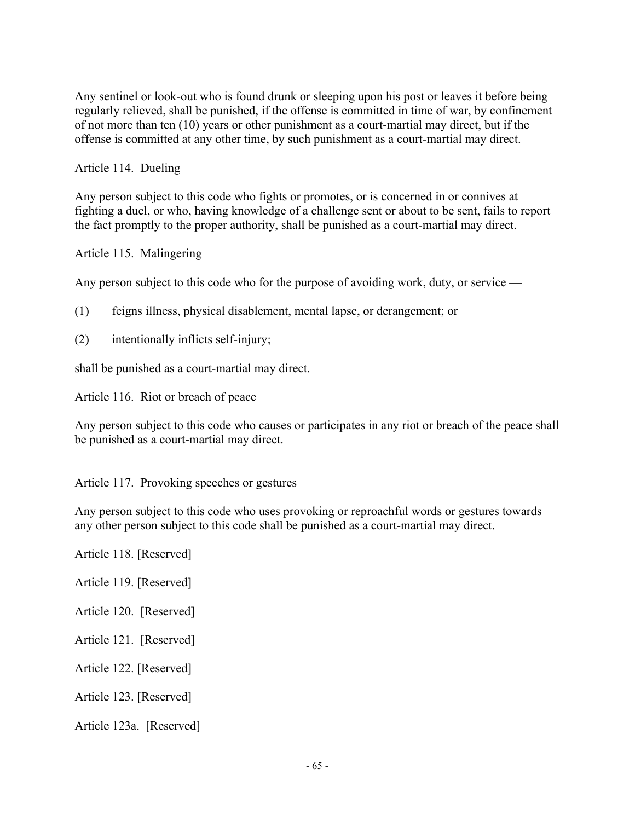Any sentinel or look-out who is found drunk or sleeping upon his post or leaves it before being regularly relieved, shall be punished, if the offense is committed in time of war, by confinement of not more than ten (10) years or other punishment as a court-martial may direct, but if the offense is committed at any other time, by such punishment as a court-martial may direct.

Article 114. Dueling

Any person subject to this code who fights or promotes, or is concerned in or connives at fighting a duel, or who, having knowledge of a challenge sent or about to be sent, fails to report the fact promptly to the proper authority, shall be punished as a court-martial may direct.

Article 115. Malingering

Any person subject to this code who for the purpose of avoiding work, duty, or service —

(1) feigns illness, physical disablement, mental lapse, or derangement; or

(2) intentionally inflicts self-injury;

shall be punished as a court-martial may direct.

Article 116. Riot or breach of peace

Any person subject to this code who causes or participates in any riot or breach of the peace shall be punished as a court-martial may direct.

Article 117. Provoking speeches or gestures

Any person subject to this code who uses provoking or reproachful words or gestures towards any other person subject to this code shall be punished as a court-martial may direct.

- Article 118. [Reserved]
- Article 119. [Reserved]
- Article 120. [Reserved]
- Article 121. [Reserved]
- Article 122. [Reserved]

Article 123. [Reserved]

Article 123a. [Reserved]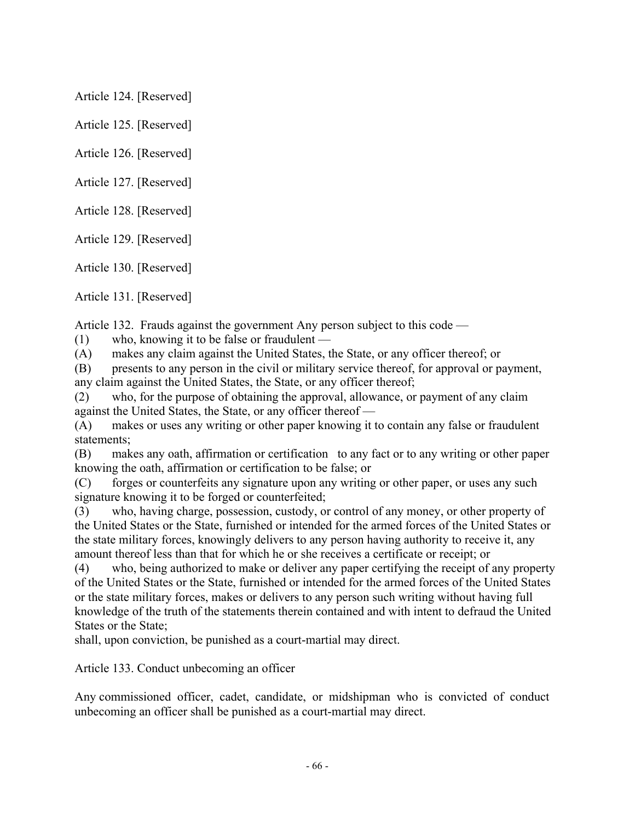Article 124. [Reserved]

Article 125. [Reserved]

Article 126. [Reserved]

Article 127. [Reserved]

Article 128. [Reserved]

Article 129. [Reserved]

Article 130. [Reserved]

Article 131. [Reserved]

Article 132. Frauds against the government Any person subject to this code —

(1) who, knowing it to be false or fraudulent —

(A) makes any claim against the United States, the State, or any officer thereof; or

(B) presents to any person in the civil or military service thereof, for approval or payment, any claim against the United States, the State, or any officer thereof;

(2) who, for the purpose of obtaining the approval, allowance, or payment of any claim against the United States, the State, or any officer thereof —

(A) makes or uses any writing or other paper knowing it to contain any false or fraudulent statements;

(B) makes any oath, affirmation or certification to any fact or to any writing or other paper knowing the oath, affirmation or certification to be false; or

(C) forges or counterfeits any signature upon any writing or other paper, or uses any such signature knowing it to be forged or counterfeited;

(3) who, having charge, possession, custody, or control of any money, or other property of the United States or the State, furnished or intended for the armed forces of the United States or the state military forces, knowingly delivers to any person having authority to receive it, any amount thereof less than that for which he or she receives a certificate or receipt; or

(4) who, being authorized to make or deliver any paper certifying the receipt of any property of the United States or the State, furnished or intended for the armed forces of the United States or the state military forces, makes or delivers to any person such writing without having full knowledge of the truth of the statements therein contained and with intent to defraud the United States or the State;

shall, upon conviction, be punished as a court-martial may direct.

Article 133. Conduct unbecoming an officer

Any commissioned officer, cadet, candidate, or midshipman who is convicted of conduct unbecoming an officer shall be punished as a court-martial may direct.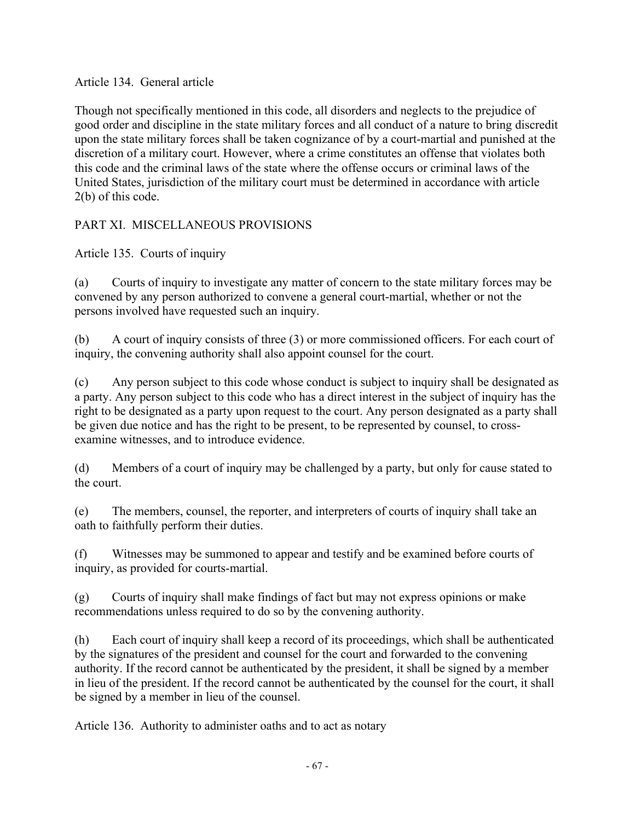Article 134. General article

Though not specifically mentioned in this code, all disorders and neglects to the prejudice of good order and discipline in the state military forces and all conduct of a nature to bring discredit upon the state military forces shall be taken cognizance of by a court-martial and punished at the discretion of a military court. However, where a crime constitutes an offense that violates both this code and the criminal laws of the state where the offense occurs or criminal laws of the United States, jurisdiction of the military court must be determined in accordance with article 2(b) of this code.

PART XI. MISCELLANEOUS PROVISIONS

Article 135. Courts of inquiry

(a) Courts of inquiry to investigate any matter of concern to the state military forces may be convened by any person authorized to convene a general court-martial, whether or not the persons involved have requested such an inquiry.

(b) A court of inquiry consists of three (3) or more commissioned officers. For each court of inquiry, the convening authority shall also appoint counsel for the court.

(c) Any person subject to this code whose conduct is subject to inquiry shall be designated as a party. Any person subject to this code who has a direct interest in the subject of inquiry has the right to be designated as a party upon request to the court. Any person designated as a party shall be given due notice and has the right to be present, to be represented by counsel, to crossexamine witnesses, and to introduce evidence.

(d) Members of a court of inquiry may be challenged by a party, but only for cause stated to the court.

(e) The members, counsel, the reporter, and interpreters of courts of inquiry shall take an oath to faithfully perform their duties.

(f) Witnesses may be summoned to appear and testify and be examined before courts of inquiry, as provided for courts-martial.

(g) Courts of inquiry shall make findings of fact but may not express opinions or make recommendations unless required to do so by the convening authority.

(h) Each court of inquiry shall keep a record of its proceedings, which shall be authenticated by the signatures of the president and counsel for the court and forwarded to the convening authority. If the record cannot be authenticated by the president, it shall be signed by a member in lieu of the president. If the record cannot be authenticated by the counsel for the court, it shall be signed by a member in lieu of the counsel.

Article 136. Authority to administer oaths and to act as notary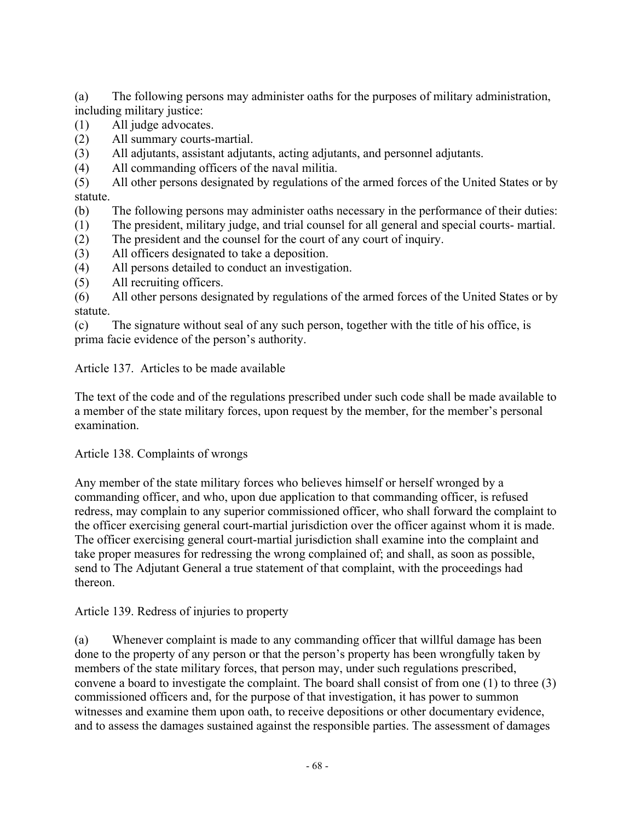(a) The following persons may administer oaths for the purposes of military administration, including military justice:

- (1) All judge advocates.
- (2) All summary courts-martial.
- (3) All adjutants, assistant adjutants, acting adjutants, and personnel adjutants.
- (4) All commanding officers of the naval militia.

(5) All other persons designated by regulations of the armed forces of the United States or by statute.

- (b) The following persons may administer oaths necessary in the performance of their duties:
- (1) The president, military judge, and trial counsel for all general and special courts- martial.
- (2) The president and the counsel for the court of any court of inquiry.
- (3) All officers designated to take a deposition.
- (4) All persons detailed to conduct an investigation.
- (5) All recruiting officers.

(6) All other persons designated by regulations of the armed forces of the United States or by statute.

(c) The signature without seal of any such person, together with the title of his office, is prima facie evidence of the person's authority.

Article 137. Articles to be made available

The text of the code and of the regulations prescribed under such code shall be made available to a member of the state military forces, upon request by the member, for the member's personal examination.

#### Article 138. Complaints of wrongs

Any member of the state military forces who believes himself or herself wronged by a commanding officer, and who, upon due application to that commanding officer, is refused redress, may complain to any superior commissioned officer, who shall forward the complaint to the officer exercising general court-martial jurisdiction over the officer against whom it is made. The officer exercising general court-martial jurisdiction shall examine into the complaint and take proper measures for redressing the wrong complained of; and shall, as soon as possible, send to The Adjutant General a true statement of that complaint, with the proceedings had thereon.

Article 139. Redress of injuries to property

(a) Whenever complaint is made to any commanding officer that willful damage has been done to the property of any person or that the person's property has been wrongfully taken by members of the state military forces, that person may, under such regulations prescribed, convene a board to investigate the complaint. The board shall consist of from one (1) to three (3) commissioned officers and, for the purpose of that investigation, it has power to summon witnesses and examine them upon oath, to receive depositions or other documentary evidence, and to assess the damages sustained against the responsible parties. The assessment of damages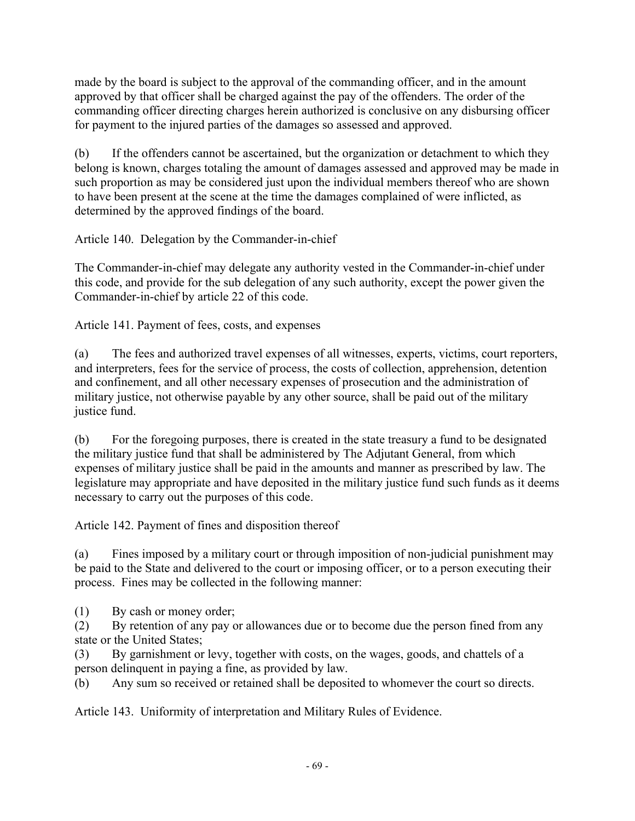made by the board is subject to the approval of the commanding officer, and in the amount approved by that officer shall be charged against the pay of the offenders. The order of the commanding officer directing charges herein authorized is conclusive on any disbursing officer for payment to the injured parties of the damages so assessed and approved.

(b) If the offenders cannot be ascertained, but the organization or detachment to which they belong is known, charges totaling the amount of damages assessed and approved may be made in such proportion as may be considered just upon the individual members thereof who are shown to have been present at the scene at the time the damages complained of were inflicted, as determined by the approved findings of the board.

Article 140. Delegation by the Commander-in-chief

The Commander-in-chief may delegate any authority vested in the Commander-in-chief under this code, and provide for the sub delegation of any such authority, except the power given the Commander-in-chief by article 22 of this code.

Article 141. Payment of fees, costs, and expenses

(a) The fees and authorized travel expenses of all witnesses, experts, victims, court reporters, and interpreters, fees for the service of process, the costs of collection, apprehension, detention and confinement, and all other necessary expenses of prosecution and the administration of military justice, not otherwise payable by any other source, shall be paid out of the military justice fund.

(b) For the foregoing purposes, there is created in the state treasury a fund to be designated the military justice fund that shall be administered by The Adjutant General, from which expenses of military justice shall be paid in the amounts and manner as prescribed by law. The legislature may appropriate and have deposited in the military justice fund such funds as it deems necessary to carry out the purposes of this code.

Article 142. Payment of fines and disposition thereof

(a) Fines imposed by a military court or through imposition of non-judicial punishment may be paid to the State and delivered to the court or imposing officer, or to a person executing their process. Fines may be collected in the following manner:

(1) By cash or money order;

(2) By retention of any pay or allowances due or to become due the person fined from any state or the United States;

(3) By garnishment or levy, together with costs, on the wages, goods, and chattels of a person delinquent in paying a fine, as provided by law.

(b) Any sum so received or retained shall be deposited to whomever the court so directs.

Article 143. Uniformity of interpretation and Military Rules of Evidence.